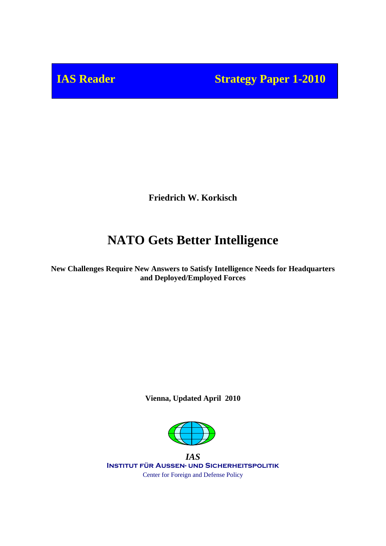**IAS Reader Strategy Paper 1-2010** 

**Friedrich W. Korkisch**

# **NATO Gets Better Intelligence**

**New Challenges Require New Answers to Satisfy Intelligence Needs for Headquarters and Deployed/Employed Forces**

**Vienna, Updated April 2010**



*IAS* **Institut für Außen- und Sicherheitspolitik** Center for Foreign and Defense Policy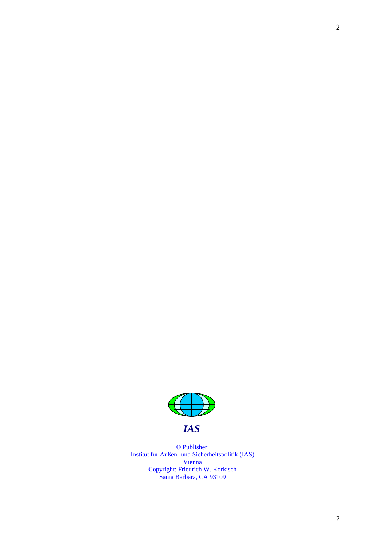

© Publisher: Institut für Außen- und Sicherheitspolitik (IAS) Vienna Copyright: Friedrich W. Korkisch Santa Barbara, CA 93109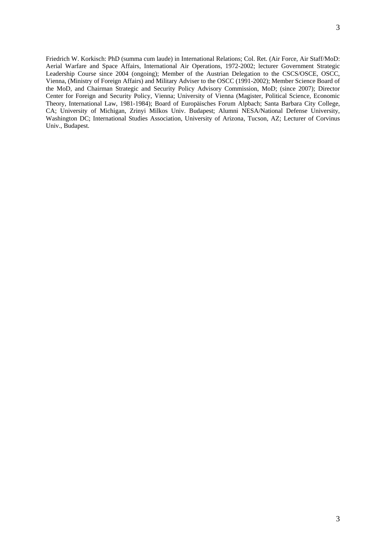<span id="page-2-14"></span><span id="page-2-13"></span><span id="page-2-12"></span><span id="page-2-11"></span><span id="page-2-10"></span><span id="page-2-9"></span><span id="page-2-8"></span><span id="page-2-7"></span><span id="page-2-6"></span><span id="page-2-5"></span><span id="page-2-4"></span><span id="page-2-3"></span><span id="page-2-2"></span><span id="page-2-1"></span><span id="page-2-0"></span>Friedrich W. Korkisch: PhD (summa cum laude) in International Relations; Col. Ret. (Air Force, Air Staff/MoD: Aerial Warfare and Space Affairs, International Air Operations, 1972-2002; lecturer Government Strategic Leadership Course since 2004 (ongoing); Member of the Austrian Delegation to the CSCS/OSCE, OSCC, Vienna, (Ministry of Foreign Affairs) and Military Adviser to the OSCC (1991-2002); Member Science Board of the MoD, and Chairman Strategic and Security Policy Advisory Commission, MoD; (since 2007); Director Center for Foreign and Security Policy, Vienna; University of Vienna (Magister, Political Science, Economic Theory, International Law, 1981-1984); Board of Europäisches Forum Alpbach; Santa Barbara City College, CA; University of Michigan, Zrinyi Milkos Univ. Budapest; Alumni NESA/National Defense University, Washington DC; International Studies Association, University of Arizona, Tucson, AZ; Lecturer of Corvinus Univ., Budapest.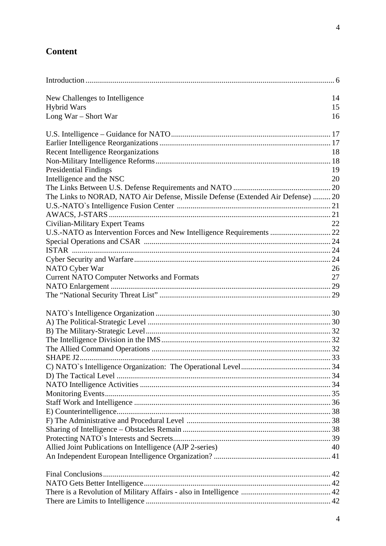## <span id="page-3-0"></span>**Content**

<span id="page-3-12"></span><span id="page-3-11"></span><span id="page-3-10"></span><span id="page-3-9"></span><span id="page-3-8"></span><span id="page-3-7"></span><span id="page-3-6"></span><span id="page-3-5"></span><span id="page-3-4"></span><span id="page-3-3"></span><span id="page-3-2"></span><span id="page-3-1"></span>

| New Challenges to Intelligence                                                   | 14 |
|----------------------------------------------------------------------------------|----|
| <b>Hybrid Wars</b>                                                               | 15 |
| Long War - Short War                                                             | 16 |
|                                                                                  |    |
|                                                                                  |    |
| <b>Recent Intelligence Reorganizations</b>                                       | 18 |
|                                                                                  |    |
| <b>Presidential Findings</b>                                                     | 19 |
| Intelligence and the NSC                                                         | 20 |
|                                                                                  |    |
| The Links to NORAD, NATO Air Defense, Missile Defense (Extended Air Defense)  20 |    |
|                                                                                  |    |
|                                                                                  |    |
| Civilian-Military Expert Teams                                                   | 22 |
| U.S.-NATO as Intervention Forces and New Intelligence Requirements  22           |    |
|                                                                                  |    |
|                                                                                  |    |
|                                                                                  |    |
| NATO Cyber War                                                                   | 26 |
| <b>Current NATO Computer Networks and Formats</b>                                | 27 |
|                                                                                  |    |
|                                                                                  |    |
|                                                                                  |    |
|                                                                                  |    |
|                                                                                  |    |
|                                                                                  |    |
|                                                                                  |    |
|                                                                                  |    |
|                                                                                  |    |
|                                                                                  |    |
|                                                                                  |    |
|                                                                                  |    |
|                                                                                  |    |
|                                                                                  |    |
|                                                                                  |    |
|                                                                                  |    |
|                                                                                  |    |
| Allied Joint Publications on Intelligence (AJP 2-series)                         | 40 |
|                                                                                  |    |
|                                                                                  |    |
|                                                                                  |    |
|                                                                                  |    |
|                                                                                  |    |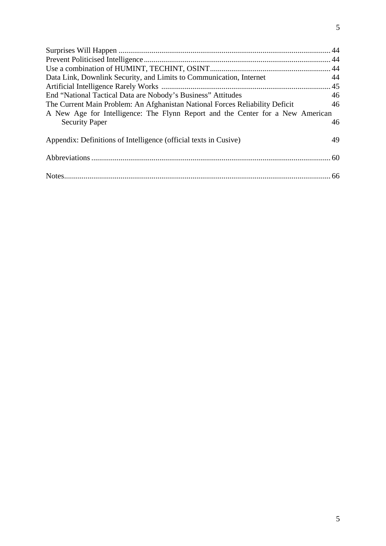<span id="page-4-14"></span><span id="page-4-13"></span><span id="page-4-12"></span><span id="page-4-11"></span><span id="page-4-10"></span><span id="page-4-9"></span><span id="page-4-8"></span><span id="page-4-7"></span><span id="page-4-6"></span><span id="page-4-5"></span><span id="page-4-4"></span><span id="page-4-3"></span><span id="page-4-2"></span><span id="page-4-1"></span><span id="page-4-0"></span>

| Data Link, Downlink Security, and Limits to Communication, Internet            | 44 |
|--------------------------------------------------------------------------------|----|
|                                                                                |    |
| End "National Tactical Data are Nobody's Business" Attitudes                   | 46 |
| The Current Main Problem: An Afghanistan National Forces Reliability Deficit   | 46 |
| A New Age for Intelligence: The Flynn Report and the Center for a New American |    |
| <b>Security Paper</b>                                                          | 46 |
| Appendix: Definitions of Intelligence (official texts in Cusive)               | 49 |
|                                                                                |    |
|                                                                                |    |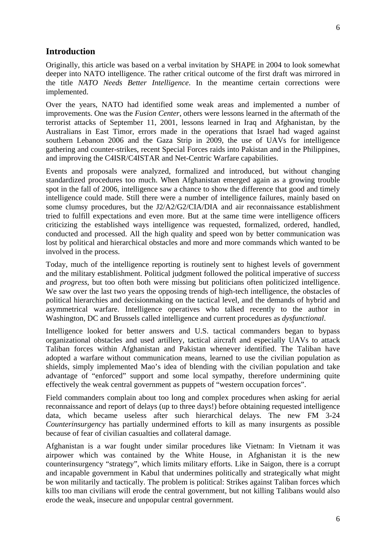#### <span id="page-5-0"></span>**Introduction**

<span id="page-5-2"></span><span id="page-5-1"></span>Originally, this article was based on a verbal invitation by SHAPE in 2004 to look somewhat deeper into NATO intelligence. The rather critical outcome of the first draft was mirrored in the title *NATO Needs Better Intelligence*. In the meantime certain corrections were implemented.

<span id="page-5-4"></span><span id="page-5-3"></span>Over the years, NATO had identified some weak areas and implemented a number of improvements. One was the *Fusion Center*, others were lessons learned in the aftermath of the terrorist attacks of September 11, 2001, lessons learned in Iraq and Afghanistan, by the Australians in East Timor, errors made in the operations that Israel had waged against southern Lebanon 2006 and the Gaza Strip in 2009, the use of UAVs for intelligence gathering and counter-strikes, recent Special Forces raids into Pakistan and in the Philippines, and improving the C4ISR/C4ISTAR and Net-Centric Warfare capabilities.

<span id="page-5-6"></span><span id="page-5-5"></span>Events and proposals were analyzed, formalized and introduced, but without changing standardized procedures too much. When Afghanistan emerged again as a growing trouble spot in the fall of 2006, intelligence saw a chance to show the difference that good and timely intelligence could made. Still there were a number of intelligence failures, mainly based on some clumsy procedures, but the J2/A2/G2/CIA/DIA and air reconnaissance establishment tried to fulfill expectations and even more. But at the same time were intelligence officers criticizing the established ways intelligence was requested, formalized, ordered, handled, conducted and processed. All the high quality and speed won by better communication was lost by political and hierarchical obstacles and more and more commands which wanted to be involved in the process.

<span id="page-5-7"></span>Today, much of the intelligence reporting is routinely sent to highest levels of government and the military establishment. Political judgment followed the political imperative of *success* and *progress*, but too often both were missing but politicians often politicized intelligence. We saw over the last two years the opposing trends of high-tech intelligence, the obstacles of political hierarchies and decisionmaking on the tactical level, and the demands of hybrid and asymmetrical warfare. Intelligence operatives who talked recently to the author in Washington, DC and Brussels called intelligence and current procedures as *dysfunctional*.

<span id="page-5-9"></span><span id="page-5-8"></span>Intelligence looked for better answers and U.S. tactical commanders began to bypass organizational obstacles and used artillery, tactical aircraft and especially UAVs to attack Taliban forces within Afghanistan and Pakistan whenever identified. The Taliban have adopted a warfare without communication means, learned to use the civilian population as shields, simply implemented Mao's idea of blending with the civilian population and take advantage of "enforced" support and some local sympathy, therefore undermining quite effectively the weak central government as puppets of "western occupation forces".

<span id="page-5-10"></span>Field commanders complain about too long and complex procedures when asking for aerial reconnaissance and report of delays (up to three days!) before obtaining requested intelligence data, which became useless after such hierarchical delays. The new FM 3-24 *Counterinsurgency* has partially undermined efforts to kill as many insurgents as possible because of fear of civilian casualties and collateral damage.

<span id="page-5-12"></span><span id="page-5-11"></span>Afghanistan is a war fought under similar procedures like Vietnam: In Vietnam it was airpower which was contained by the White House, in Afghanistan it is the new counterinsurgency "strategy", which limits military efforts. Like in Saigon, there is a corrupt and incapable government in Kabul that undermines politically and strategically what might be won militarily and tactically. The problem is political: Strikes against Taliban forces which kills too man civilians will erode the central government, but not killing Talibans would also erode the weak, insecure and unpopular central government.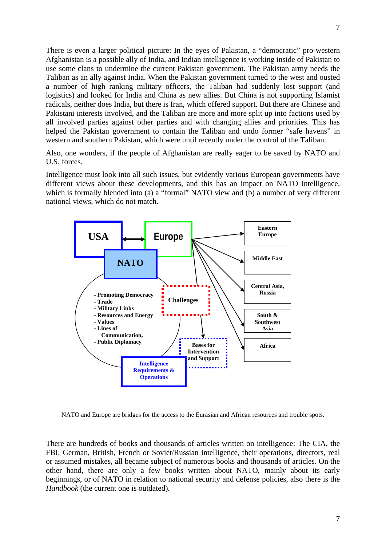<span id="page-6-1"></span><span id="page-6-0"></span>There is even a larger political picture: In the eyes of Pakistan, a "democratic" pro-western Afghanistan is a possible ally of India, and Indian intelligence is working inside of Pakistan to use some clans to undermine the current Pakistan government. The Pakistan army needs the Taliban as an ally against India. When the Pakistan government turned to the west and ousted a number of high ranking military officers, the Taliban had suddenly lost support (and logistics) and looked for India and China as new allies. But China is not supporting Islamist radicals, neither does India, but there is Iran, which offered support. But there are Chinese and Pakistani interests involved, and the Taliban are more and more split up into factions used by all involved parties against other parties and with changing allies and priorities. This has helped the Pakistan government to contain the Taliban and undo former "safe havens" in western and southern Pakistan, which were until recently under the control of the Taliban.

<span id="page-6-2"></span>Also, one wonders, if the people of Afghanistan are really eager to be saved by NATO and U.S. forces.

<span id="page-6-4"></span><span id="page-6-3"></span>Intelligence must look into all such issues, but evidently various European governments have different views about these developments, and this has an impact on NATO intelligence, which is formally blended into (a) a "formal" NATO view and (b) a number of very different national views, which do not match.

<span id="page-6-9"></span><span id="page-6-8"></span><span id="page-6-7"></span><span id="page-6-6"></span><span id="page-6-5"></span>

<span id="page-6-10"></span>NATO and Europe are bridges for the access to the Eurasian and African resources and trouble spots.

<span id="page-6-13"></span><span id="page-6-12"></span><span id="page-6-11"></span>There are hundreds of books and thousands of articles written on intelligence: The CIA, the FBI, German, British, French or Soviet/Russian intelligence, their operations, directors, real or assumed mistakes, all became subject of numerous books and thousands of articles. On the other hand, there are only a few books written about NATO, mainly about its early beginnings, or of NATO in relation to national security and defense policies, also there is the *Handbook* (the current one is outdated)*.*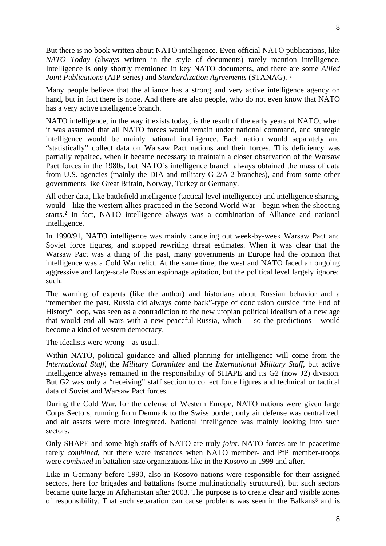<span id="page-7-0"></span>But there is no book written about NATO intelligence. Even official NATO publications, like *NATO Today* (always written in the style of documents) rarely mention intelligence. Intelligence is only shortly mentioned in key NATO documents, and there are some *Allied Joint Publications* (AJP-series) and *Standardization Agreements* (STANAG)*. [1](#page-2-0)*

<span id="page-7-2"></span><span id="page-7-1"></span>Many people believe that the alliance has a strong and very active intelligence agency on hand, but in fact there is none. And there are also people, who do not even know that NATO has a very active intelligence branch.

<span id="page-7-4"></span><span id="page-7-3"></span>NATO intelligence, in the way it exists today, is the result of the early years of NATO, when it was assumed that all NATO forces would remain under national command, and strategic intelligence would be mainly national intelligence. Each nation would separately and "statistically" collect data on Warsaw Pact nations and their forces. This deficiency was partially repaired, when it became necessary to maintain a closer observation of the Warsaw Pact forces in the 1980s, but NATO`s intelligence branch always obtained the mass of data from U.S. agencies (mainly the DIA and military G-2/A-2 branches), and from some other governments like Great Britain, Norway, Turkey or Germany.

<span id="page-7-8"></span><span id="page-7-7"></span><span id="page-7-6"></span><span id="page-7-5"></span>All other data, like battlefield intelligence (tactical level intelligence) and intelligence sharing, would - like the western allies practiced in the Second World War - begin when the shooting starts.[2](#page-2-1) In fact, NATO intelligence always was a combination of Alliance and national intelligence.

<span id="page-7-10"></span><span id="page-7-9"></span>In 1990/91, NATO intelligence was mainly canceling out week-by-week Warsaw Pact and Soviet force figures, and stopped rewriting threat estimates. When it was clear that the Warsaw Pact was a thing of the past, many governments in Europe had the opinion that intelligence was a Cold War relict. At the same time, the west and NATO faced an ongoing aggressive and large-scale Russian espionage agitation, but the political level largely ignored such.

<span id="page-7-12"></span><span id="page-7-11"></span>The warning of experts (like the author) and historians about Russian behavior and a "remember the past, Russia did always come back"-type of conclusion outside "the End of History" loop, was seen as a contradiction to the new utopian political idealism of a new age that would end all wars with a new peaceful Russia, which - so the predictions - would become a kind of western democracy.

<span id="page-7-13"></span>The idealists were wrong – as usual.

Within NATO, political guidance and allied planning for intelligence will come from the *International Staff*, the *Military Committee* and the *International Military Staff*, but active intelligence always remained in the responsibility of SHAPE and its G2 (now J2) division. But G2 was only a "receiving" staff section to collect force figures and technical or tactical data of Soviet and Warsaw Pact forces.

During the Cold War, for the defense of Western Europe, NATO nations were given large Corps Sectors, running from Denmark to the Swiss border, only air defense was centralized, and air assets were more integrated. National intelligence was mainly looking into such sectors.

Only SHAPE and some high staffs of NATO are truly *joint*. NATO forces are in peacetime rarely *combined*, but there were instances when NATO member- and PfP member-troops were *combined* in battalion-size organizations like in the Kosovo in 1999 and after.

Like in Germany before 1990, also in Kosovo nations were responsible for their assigned sectors, here for brigades and battalions (some multinationally structured), but such sectors became quite large in Afghanistan after 2003. The purpose is to create clear and visible zones of responsibility. That such separation can cause problems was seen in the Balkans<sup>[3](#page-2-2)</sup> and is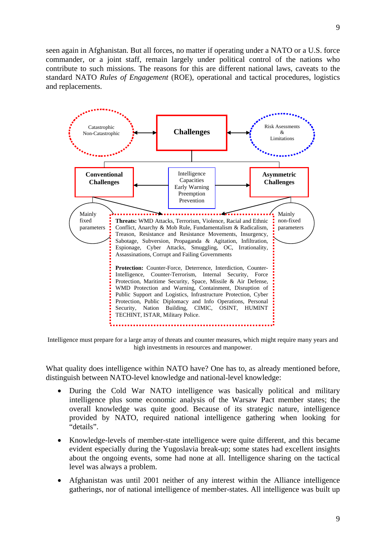seen again in Afghanistan. But all forces, no matter if operating under a NATO or a U.S. force commander, or a joint staff, remain largely under political control of the nations who contribute to such missions. The reasons for this are different national laws, caveats to the standard NATO *Rules of Engagement* (ROE), operational and tactical procedures, logistics and replacements.



Intelligence must prepare for a large array of threats and counter measures, which might require many years and high investments in resources and manpower.

What quality does intelligence within NATO have? One has to, as already mentioned before, distinguish between NATO-level knowledge and national-level knowledge:

- During the Cold War NATO intelligence was basically political and military intelligence plus some economic analysis of the Warsaw Pact member states; the overall knowledge was quite good. Because of its strategic nature, intelligence provided by NATO, required national intelligence gathering when looking for "details".
- Knowledge-levels of member-state intelligence were quite different, and this became evident especially during the Yugoslavia break-up; some states had excellent insights about the ongoing events, some had none at all. Intelligence sharing on the tactical level was always a problem.
- Afghanistan was until 2001 neither of any interest within the Alliance intelligence gatherings, nor of national intelligence of member-states. All intelligence was built up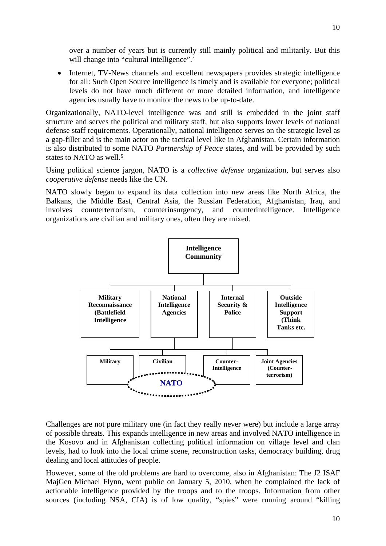over a number of years but is currently still mainly political and militarily. But this will change into "cultural intelligence".<sup>[4](#page-2-3)</sup>

• Internet, TV-News channels and excellent newspapers provides strategic intelligence for all: Such Open Source intelligence is timely and is available for everyone; political levels do not have much different or more detailed information, and intelligence agencies usually have to monitor the news to be up-to-date.

Organizationally, NATO-level intelligence was and still is embedded in the joint staff structure and serves the political and military staff, but also supports lower levels of national defense staff requirements. Operationally, national intelligence serves on the strategic level as a gap-filler and is the main actor on the tactical level like in Afghanistan. Certain information is also distributed to some NATO *Partnership of Peace* states, and will be provided by such states to NATO as well.[5](#page-2-4)

Using political science jargon, NATO is a *collective defense* organization, but serves also *cooperative defense* needs like the UN.

NATO slowly began to expand its data collection into new areas like North Africa, the Balkans, the Middle East, Central Asia, the Russian Federation, Afghanistan, Iraq, and involves counterterrorism, counterinsurgency, and counterintelligence. Intelligence organizations are civilian and military ones, often they are mixed.



Challenges are not pure military one (in fact they really never were) but include a large array of possible threats. This expands intelligence in new areas and involved NATO intelligence in the Kosovo and in Afghanistan collecting political information on village level and clan levels, had to look into the local crime scene, reconstruction tasks, democracy building, drug dealing and local attitudes of people.

However, some of the old problems are hard to overcome, also in Afghanistan: The J2 ISAF MajGen Michael Flynn, went public on January 5, 2010, when he complained the lack of actionable intelligence provided by the troops and to the troops. Information from other sources (including NSA, CIA) is of low quality, "spies" were running around "killing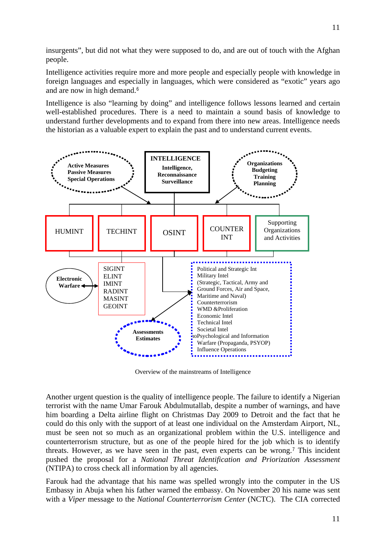insurgents", but did not what they were supposed to do, and are out of touch with the Afghan people.

Intelligence activities require more and more people and especially people with knowledge in foreign languages and especially in languages, which were considered as "exotic" years ago and are now in high demand.<sup>[6](#page-2-5)</sup>

Intelligence is also "learning by doing" and intelligence follows lessons learned and certain well-established procedures. There is a need to maintain a sound basis of knowledge to understand further developments and to expand from there into new areas. Intelligence needs the historian as a valuable expert to explain the past and to understand current events.



Overview of the mainstreams of Intelligence

Another urgent question is the quality of intelligence people. The failure to identify a Nigerian terrorist with the name Umar Farouk Abdulmutallab, despite a number of warnings, and have him boarding a Delta airline flight on Christmas Day 2009 to Detroit and the fact that he could do this only with the support of at least one individual on the Amsterdam Airport, NL, must be seen not so much as an organizational problem within the U.S. intelligence and counterterrorism structure, but as one of the people hired for the job which is to identify threats. However, as we have seen in the past, even experts can be wrong.<sup>[7](#page-2-6)</sup> This incident pushed the proposal for a *National Threat Identification and Priorization Assessment* (NTIPA) to cross check all information by all agencies.

Farouk had the advantage that his name was spelled wrongly into the computer in the US Embassy in Abuja when his father warned the embassy. On November 20 his name was sent with a *Viper* message to the *National Counterterrorism Center* (NCTC). The CIA corrected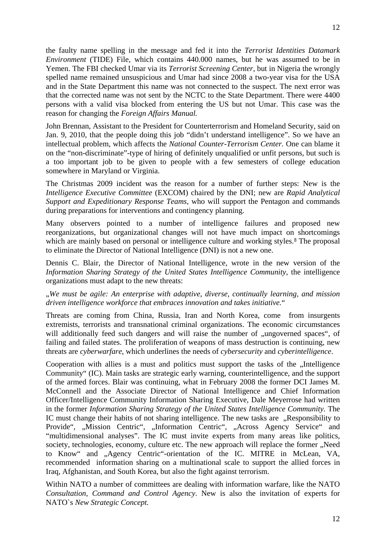the faulty name spelling in the message and fed it into the *Terrorist Identities Datamark Environment* (TIDE) File, which contains 440.000 names, but he was assumed to be in Yemen. The FBI checked Umar via its *Terrorist Screening Center*, but in Nigeria the wrongly spelled name remained unsuspicious and Umar had since 2008 a two-year visa for the USA and in the State Department this name was not connected to the suspect. The next error was that the corrected name was not sent by the NCTC to the State Department. There were 4400 persons with a valid visa blocked from entering the US but not Umar. This case was the reason for changing the *Foreign Affairs Manual.*

John Brennan, Assistant to the President for Counterterrorism and Homeland Security, said on Jan. 9, 2010, that the people doing this job "didn't understand intelligence". So we have an intellectual problem, which affects the *National Counter-Terrorism Center.* One can blame it on the "non-discriminate"-type of hiring of definitely unqualified or unfit persons, but such is a too important job to be given to people with a few semesters of college education somewhere in Maryland or Virginia.

The Christmas 2009 incident was the reason for a number of further steps: New is the *Intelligence Executive Committee* (EXCOM) chaired by the DNI; new are *Rapid Analytical Support and Expeditionary Response Teams*, who will support the Pentagon and commands during preparations for interventions and contingency planning.

Many observers pointed to a number of intelligence failures and proposed new reorganizations, but organizational changes will not have much impact on shortcomings which are mainly based on personal or intelligence culture and working styles.<sup>[8](#page-2-7)</sup> The proposal to eliminate the Director of National Intelligence (DNI) is not a new one.

Dennis C. Blair, the Director of National Intelligence, wrote in the new version of the *Information Sharing Strategy of the United States Intelligence Community*, the intelligence organizations must adapt to the new threats:

#### "*We must be agile: An enterprise with adaptive, diverse, continually learning, and mission driven intelligence workforce that embraces innovation and takes initiative.*"

Threats are coming from China, Russia, Iran and North Korea, come from insurgents extremists, terrorists and transnational criminal organizations. The economic circumstances will additionally feed such dangers and will raise the number of "ungoverned spaces", of failing and failed states. The proliferation of weapons of mass destruction is continuing, new threats are *cyberwarfare*, which underlines the needs of *cybersecurity* and *cyberintelligence*.

Cooperation with allies is a must and politics must support the tasks of the "Intelligence Community" (IC). Main tasks are strategic early warning, counterintelligence, and the support of the armed forces. Blair was continuing, what in February 2008 the former DCI James M. McConnell and the Associate Director of National Intelligence and Chief Information Officer/Intelligence Community Information Sharing Executive, Dale Meyerrose had written in the former *Information Sharing Strategy of the United States Intelligence Community.* The IC must change their habits of not sharing intelligence. The new tasks are "Responsibility to Provide", "Mission Centric", "Information Centric", "Across Agency Service" and "multidimensional analyses". The IC must invite experts from many areas like politics, society, technologies, economy, culture etc. The new approach will replace the former "Need to Know" and "Agency Centric"-orientation of the IC. MITRE in McLean, VA, recommended information sharing on a multinational scale to support the allied forces in Iraq, Afghanistan, and South Korea, but also the fight against terrorism.

Within NATO a number of committees are dealing with information warfare, like the NATO *Consultation, Command and Control Agency*. New is also the invitation of experts for NATO`s *New Strategic Concept.*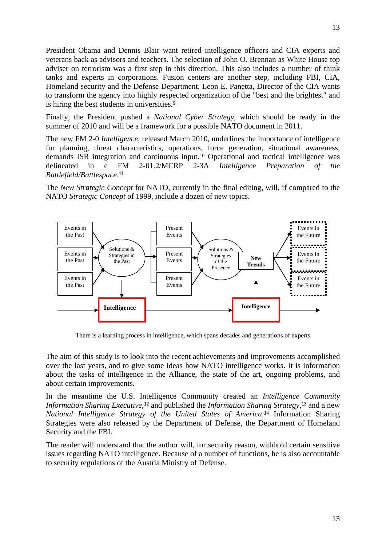President Obama and Dennis Blair want retired intelligence officers and CIA experts and veterans back as advisors and teachers. The selection of John O. Brennan as White House top adviser on terrorism was a first step in this direction. This also includes a number of think tanks and experts in corporations. Fusion centers are another step, including FBI, CIA, Homeland security and the Defense Department. Leon E. Panetta, Director of the CIA wants to transform the agency into highly respected organization of the "best and the brightest" and is hiring the best students in universities.[9](#page-2-8)

Finally, the President pushed a *National Cyber Strategy*, which should be ready in the summer of 2010 and will be a framework for a possible NATO document in 2011.

The new FM 2-0 *Intelligence*, released March 2010, underlines the importance of intelligence for planning, threat characteristics, operations, force generation, situational awareness, demands ISR integration and continuous input.[10](#page-2-9) Operational and tactical intelligence was delineated in e FM 2-01.2/MCRP 2-3A *Intelligence Preparation of the Battlefield/Battlespace*.[11](#page-2-10)

The *New Strategic Concept* for NATO, currently in the final editing, will, if compared to the NATO *Strategic Concept* of 1999, include a dozen of new topics.



There is a learning process in intelligence, which spans decades and generations of experts

The aim of this study is to look into the recent achievements and improvements accomplished over the last years, and to give some ideas how NATO intelligence works. It is information about the tasks of intelligence in the Alliance, the state of the art, ongoing problems, and about certain improvements.

In the meantime the U.S. Intelligence Community created an *Intelligence Community Information Sharing Executive*,<sup>[12](#page-2-11)</sup> and published the *Information Sharing Strategy*,<sup>[13](#page-2-12)</sup> and a new *National Intelligence Strategy of the United States of America*.[14](#page-2-13) Information Sharing Strategies were also released by the Department of Defense, the Department of Homeland Security and the FBI.

The reader will understand that the author will, for security reason, withhold certain sensitive issues regarding NATO intelligence. Because of a number of functions, he is also accountable to security regulations of the Austria Ministry of Defense.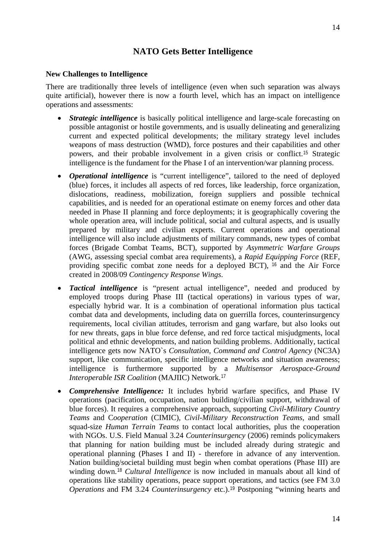## **NATO Gets Better Intelligence**

#### <span id="page-13-0"></span>**New Challenges to Intelligence**

There are traditionally three levels of intelligence (even when such separation was always quite artificial), however there is now a fourth level, which has an impact on intelligence operations and assessments:

- *Strategic intelligence* is basically political intelligence and large-scale forecasting on possible antagonist or hostile governments, and is usually delineating and generalizing current and expected political developments; the military strategy level includes weapons of mass destruction (WMD), force postures and their capabilities and other powers, and their probable involvement in a given crisis or conflict.[15](#page-2-14) Strategic intelligence is the fundament for the Phase I of an intervention/war planning process.
- *Operational intelligence* is "current intelligence", tailored to the need of deployed (blue) forces, it includes all aspects of red forces, like leadership, force organization, dislocations, readiness, mobilization, foreign suppliers and possible technical capabilities, and is needed for an operational estimate on enemy forces and other data needed in Phase II planning and force deployments; it is geographically covering the whole operation area, will include political, social and cultural aspects, and is usually prepared by military and civilian experts. Current operations and operational intelligence will also include adjustments of military commands, new types of combat forces (Brigade Combat Teams, BCT), supported by *Asymmetric Warfare Groups* (AWG, assessing special combat area requirements), a *Rapid Equipping Force* (REF, providing specific combat zone needs for a deployed BCT), [16](#page-3-0) and the Air Force created in 2008/09 *Contingency Response Wings*.
- *Tactical intelligence* is "present actual intelligence", needed and produced by employed troops during Phase III (tactical operations) in various types of war, especially hybrid war. It is a combination of operational information plus tactical combat data and developments, including data on guerrilla forces, counterinsurgency requirements, local civilian attitudes, terrorism and gang warfare, but also looks out for new threats, gaps in blue force defense, and red force tactical misjudgments, local political and ethnic developments, and nation building problems. Additionally, tactical intelligence gets now NATO`s *Consultation, Command and Control Agency* (NC3A) support, like communication, specific intelligence networks and situation awareness; intelligence is furthermore supported by a *Multisensor Aerospace-Ground Interoperable ISR Coalition* (MAJIIC) Network.[17](#page-3-1)
- *Comprehensive Intelligence:* It includes hybrid warfare specifics, and Phase IV operations (pacification, occupation, nation building/civilian support, withdrawal of blue forces). It requires a comprehensive approach, supporting *Civil-Military Country Teams* and C*ooperation* (CIMIC), *Civil-Military Reconstruction Teams*, and small squad-size *Human Terrain Teams* to contact local authorities, plus the cooperation with NGOs. U.S. Field Manual 3.24 *Counterinsurgency* (2006) reminds policymakers that planning for nation building must be included already during strategic and operational planning (Phases I and II) - therefore in advance of any intervention. Nation building/societal building must begin when combat operations (Phase III) are winding down.[18](#page-3-2) *Cultural Intelligence* is now included in manuals about all kind of operations like stability operations, peace support operations, and tactics (see FM 3.0 *Operations* and FM 3.24 *Counterinsurgency* etc.).[19](#page-3-3) Postponing "winning hearts and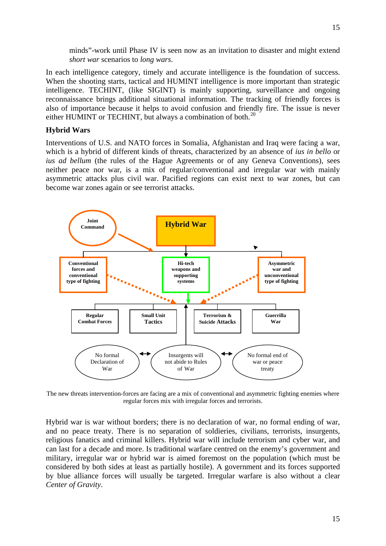minds"-work until Phase IV is seen now as an invitation to disaster and might extend *short war* scenarios to *long wars*.

In each intelligence category, timely and accurate intelligence is the foundation of success. When the shooting starts, tactical and HUMINT intelligence is more important than strategic intelligence. TECHINT, (like SIGINT) is mainly supporting, surveillance and ongoing reconnaissance brings additional situational information. The tracking of friendly forces is also of importance because it helps to avoid confusion and friendly fire. The issue is never either HUMINT or TECHINT, but always a combination of both.<sup>[20](#page-3-4)</sup>

#### <span id="page-14-0"></span>**Hybrid Wars**

Interventions of U.S. and NATO forces in Somalia, Afghanistan and Iraq were facing a war, which is a hybrid of different kinds of threats, characterized by an absence of *ius in bello* or *ius ad bellum* (the rules of the Hague Agreements or of any Geneva Conventions), sees neither peace nor war, is a mix of regular/conventional and irregular war with mainly asymmetric attacks plus civil war. Pacified regions can exist next to war zones, but can become war zones again or see terrorist attacks.



The new threats intervention-forces are facing are a mix of conventional and asymmetric fighting enemies where regular forces mix with irregular forces and terrorists.

Hybrid war is war without borders; there is no declaration of war, no formal ending of war, and no peace treaty. There is no separation of soldieries, civilians, terrorists, insurgents, religious fanatics and criminal killers. Hybrid war will include terrorism and cyber war, and can last for a decade and more. Is traditional warfare centred on the enemy's government and military, irregular war or hybrid war is aimed foremost on the population (which must be considered by both sides at least as partially hostile). A government and its forces supported by blue alliance forces will usually be targeted. Irregular warfare is also without a clear *Center of Gravity*.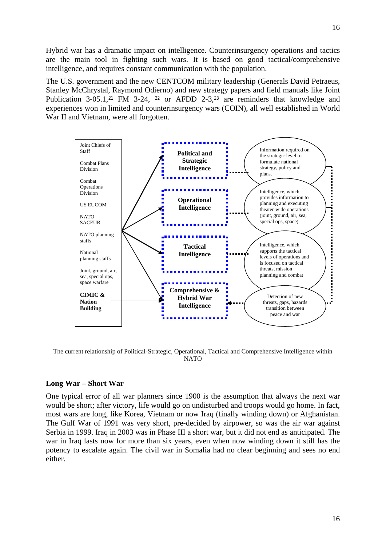Hybrid war has a dramatic impact on intelligence. Counterinsurgency operations and tactics are the main tool in fighting such wars. It is based on good tactical/comprehensive intelligence, and requires constant communication with the population.

The U.S. government and the new CENTCOM military leadership (Generals David Petraeus, Stanley McChrystal, Raymond Odierno) and new strategy papers and field manuals like Joint Publication  $3-05.1$ ,<sup>[21](#page-3-5)</sup> FM  $3-24$ , <sup>[22](#page-3-6)</sup> or AFDD  $2-3$ ,<sup>[23](#page-3-7)</sup> are reminders that knowledge and experiences won in limited and counterinsurgency wars (COIN), all well established in World War II and Vietnam, were all forgotten.



The current relationship of Political-Strategic, Operational, Tactical and Comprehensive Intelligence within **NATO** 

#### <span id="page-15-0"></span>**Long War – Short War**

One typical error of all war planners since 1900 is the assumption that always the next war would be short; after victory, life would go on undisturbed and troops would go home. In fact, most wars are long, like Korea, Vietnam or now Iraq (finally winding down) or Afghanistan. The Gulf War of 1991 was very short, pre-decided by airpower, so was the air war against Serbia in 1999. Iraq in 2003 was in Phase III a short war, but it did not end as anticipated. The war in Iraq lasts now for more than six years, even when now winding down it still has the potency to escalate again. The civil war in Somalia had no clear beginning and sees no end either.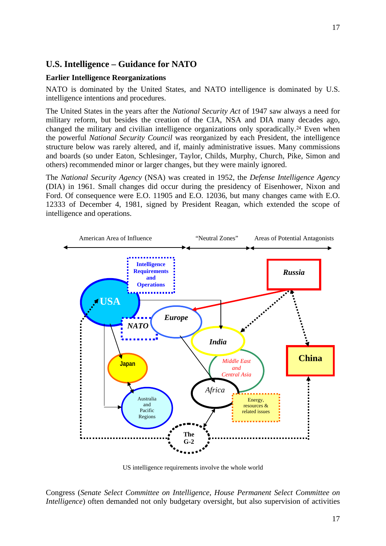## <span id="page-16-0"></span>**U.S. Intelligence – Guidance for NATO**

#### <span id="page-16-1"></span>**Earlier Intelligence Reorganizations**

NATO is dominated by the United States, and NATO intelligence is dominated by U.S. intelligence intentions and procedures.

The United States in the years after the *National Security Act* of 1947 saw always a need for military reform, but besides the creation of the CIA, NSA and DIA many decades ago, changed the military and civilian intelligence organizations only sporadically.[24](#page-3-8) Even when the powerful *National Security Council* was reorganized by each President, the intelligence structure below was rarely altered, and if, mainly administrative issues. Many commissions and boards (so under Eaton, Schlesinger, Taylor, Childs, Murphy, Church, Pike, Simon and others) recommended minor or larger changes, but they were mainly ignored.

The *National Security Agency* (NSA) was created in 1952, the *Defense Intelligence Agency* (DIA) in 1961. Small changes did occur during the presidency of Eisenhower, Nixon and Ford. Of consequence were E.O. 11905 and E.O. 12036, but many changes came with E.O. 12333 of December 4, 1981, signed by President Reagan, which extended the scope of intelligence and operations.



US intelligence requirements involve the whole world

Congress (*Senate Select Committee on Intelligence*, *House Permanent Select Committee on Intelligence*) often demanded not only budgetary oversight, but also supervision of activities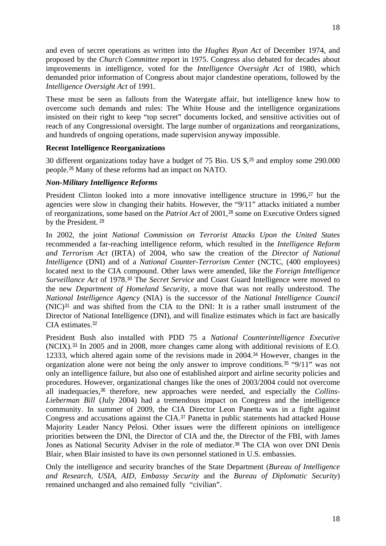and even of secret operations as written into the *Hughes Ryan Act* of December 1974, and proposed by the *Church Committee* report in 1975. Congress also debated for decades about improvements in intelligence, voted for the *Intelligence Oversight Act* of 1980, which demanded prior information of Congress about major clandestine operations, followed by the *Intelligence Oversight Act* of 1991.

These must be seen as fallouts from the Watergate affair, but intelligence knew how to overcome such demands and rules: The White House and the intelligence organizations insisted on their right to keep "top secret" documents locked, and sensitive activities out of reach of any Congressional oversight. The large number of organizations and reorganizations, and hundreds of ongoing operations, made supervision anyway impossible.

#### <span id="page-17-0"></span>**Recent Intelligence Reorganizations**

30 different organizations today have a budget of 75 Bio. US \$,[25](#page-3-9) and employ some 290.000 people.[26](#page-3-10) Many of these reforms had an impact on NATO.

#### <span id="page-17-1"></span>*Non-Military Intelligence Reforms*

President Clinton looked into a more innovative intelligence structure in 1996,<sup>[27](#page-3-11)</sup> but the agencies were slow in changing their habits. However, the "9/11" attacks initiated a number of reorganizations, some based on the *Patriot Act* of 2001,[28](#page-3-12) some on Executive Orders signed by the President. [29](#page-4-0)

In 2002, the joint *National Commission on Terrorist Attacks Upon the United States* recommended a far-reaching intelligence reform, which resulted in the *Intelligence Reform and Terrorism Act* (IRTA) of 2004, who saw the creation of the *Director of National Intelligence* (DNI) and of a *National Counter-Terrorism Center* (NCTC, (400 employees) located next to the CIA compound. Other laws were amended, like the *Foreign Intelligence Surveillance Act* of 1978.[30](#page-4-1) The *Secret Service* and Coast Guard Intelligence were moved to the new *Department of Homeland Security*, a move that was not really understood. The *National Intelligence Agency* (NIA) is the successor of the *National Intelligence Council* (NIC)[31](#page-4-2) and was shifted from the CIA to the DNI: It is a rather small instrument of the Director of National Intelligence (DNI), and will finalize estimates which in fact are basically CIA estimates.[32](#page-4-3)

President Bush also installed with PDD 75 a *National Counterintelligence Executive* (NCIX).[33](#page-4-4) In 2005 and in 2008, more changes came along with additional revisions of E.O. 12333, which altered again some of the revisions made in 2004.[34](#page-4-5) However, changes in the organization alone were not being the only answer to improve conditions.[35](#page-4-6) "9/11" was not only an intelligence failure, but also one of established airport and airline security policies and procedures. However, organizational changes like the ones of 2003/2004 could not overcome all inadequacies,[36](#page-4-7) therefore, new approaches were needed, and especially the *Collins-Lieberman Bill* (July 2004) had a tremendous impact on Congress and the intelligence community. In summer of 2009, the CIA Director Leon Panetta was in a fight against Congress and accusations against the CIA.[37](#page-4-8) Panetta in public statements had attacked House Majority Leader Nancy Pelosi. Other issues were the different opinions on intelligence priorities between the DNI, the Director of CIA and the, the Director of the FBI, with James Jones as National Security Adviser in the role of mediator.<sup>[38](#page-4-9)</sup> The CIA won over DNI Denis Blair, when Blair insisted to have its own personnel stationed in U.S. embassies.

Only the intelligence and security branches of the State Department (*Bureau of Intelligence and Research, USIA, AID, Embassy Security* and the *Bureau of Diplomatic Security*) remained unchanged and also remained fully "civilian".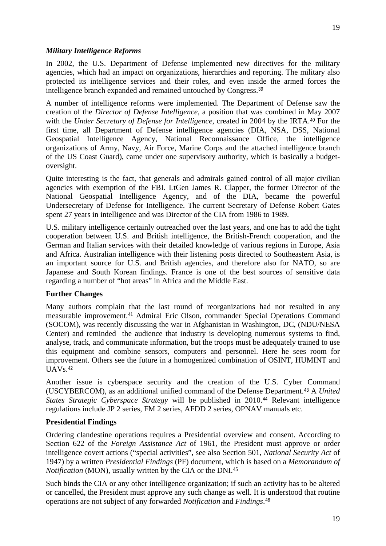In 2002, the U.S. Department of Defense implemented new directives for the military agencies, which had an impact on organizations, hierarchies and reporting. The military also protected its intelligence services and their roles, and even inside the armed forces the intelligence branch expanded and remained untouched by Congress.[39](#page-4-10)

A number of intelligence reforms were implemented. The Department of Defense saw the creation of the *Director of Defense Intelligence*, a position that was combined in May 2007 with the *Under Secretary of Defense for Intelligence*, created in 2004 by the IRTA.<sup>[40](#page-4-11)</sup> For the first time, all Department of Defense intelligence agencies (DIA, NSA, DSS, National Geospatial Intelligence Agency, National Reconnaissance Office, the intelligence organizations of Army, Navy, Air Force, Marine Corps and the attached intelligence branch of the US Coast Guard), came under one supervisory authority, which is basically a budgetoversight.

Quite interesting is the fact, that generals and admirals gained control of all major civilian agencies with exemption of the FBI. LtGen James R. Clapper, the former Director of the National Geospatial Intelligence Agency, and of the DIA, became the powerful Undersecretary of Defense for Intelligence. The current Secretary of Defense Robert Gates spent 27 years in intelligence and was Director of the CIA from 1986 to 1989.

U.S. military intelligence certainly outreached over the last years, and one has to add the tight cooperation between U.S. and British intelligence, the British-French cooperation, and the German and Italian services with their detailed knowledge of various regions in Europe, Asia and Africa. Australian intelligence with their listening posts directed to Southeastern Asia, is an important source for U.S. and British agencies, and therefore also for NATO, so are Japanese and South Korean findings. France is one of the best sources of sensitive data regarding a number of "hot areas" in Africa and the Middle East.

#### **Further Changes**

Many authors complain that the last round of reorganizations had not resulted in any measurable improvement.[41](#page-4-12) Admiral Eric Olson, commander Special Operations Command (SOCOM), was recently discussing the war in Afghanistan in Washington, DC, (NDU/NESA Center) and reminded the audience that industry is developing numerous systems to find, analyse, track, and communicate information, but the troops must be adequately trained to use this equipment and combine sensors, computers and personnel. Here he sees room for improvement. Others see the future in a homogenized combination of OSINT, HUMINT and  $UAVs.<sup>42</sup>$  $UAVs.<sup>42</sup>$  $UAVs.<sup>42</sup>$ 

Another issue is cyberspace security and the creation of the U.S. Cyber Command (USCYBERCOM), as an additional unified command of the Defense Department.[43](#page-4-14) A *United States Strategic Cyberspace Strategy* will be published in 2010.[44](#page-5-1) Relevant intelligence regulations include JP 2 series, FM 2 series, AFDD 2 series, OPNAV manuals etc.

#### <span id="page-18-0"></span>**Presidential Findings**

Ordering clandestine operations requires a Presidential overview and consent. According to Section 622 of the *Foreign Assistance Act* of 1961, the President must approve or order intelligence covert actions ("special activities", see also Section 501, *National Security Act* of 1947) by a written *Presidential Findings* (PF) document*,* which is based on a *Memorandum of Notification* (MON), usually written by the CIA or the DNI.<sup>[45](#page-5-2)</sup>

Such binds the CIA or any other intelligence organization; if such an activity has to be altered or cancelled, the President must approve any such change as well. It is understood that routine operations are not subject of any forwarded *Notification* and *Findings*.[46](#page-5-3)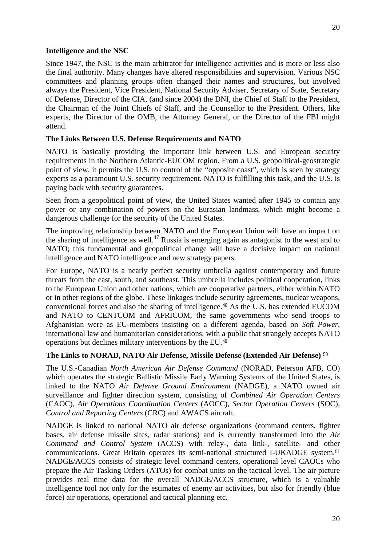20

#### <span id="page-19-0"></span>**Intelligence and the NSC**

Since 1947, the NSC is the main arbitrator for intelligence activities and is more or less also the final authority. Many changes have altered responsibilities and supervision. Various NSC committees and planning groups often changed their names and structures, but involved always the President, Vice President, National Security Adviser, Secretary of State, Secretary of Defense, Director of the CIA, (and since 2004) the DNI, the Chief of Staff to the President, the Chairman of the Joint Chiefs of Staff, and the Counsellor to the President. Others, like experts, the Director of the OMB, the Attorney General, or the Director of the FBI might attend.

## <span id="page-19-1"></span>**The Links Between U.S. Defense Requirements and NATO**

NATO is basically providing the important link between U.S. and European security requirements in the Northern Atlantic-EUCOM region. From a U.S. geopolitical-geostrategic point of view, it permits the U.S. to control of the "opposite coast", which is seen by strategy experts as a paramount U.S. security requirement. NATO is fulfilling this task, and the U.S. is paying back with security guarantees.

Seen from a geopolitical point of view, the United States wanted after 1945 to contain any power or any combination of powers on the Eurasian landmass, which might become a dangerous challenge for the security of the United States.

The improving relationship between NATO and the European Union will have an impact on the sharing of intelligence as well.<sup>[47](#page-5-4)</sup> Russia is emerging again as antagonist to the west and to NATO; this fundamental and geopolitical change will have a decisive impact on national intelligence and NATO intelligence and new strategy papers.

For Europe, NATO is a nearly perfect security umbrella against contemporary and future threats from the east, south, and southeast. This umbrella includes political cooperation, links to the European Union and other nations, which are cooperative partners, either within NATO or in other regions of the globe. These linkages include security agreements, nuclear weapons, conventional forces and also the sharing of intelligence.[48](#page-5-5) As the U.S. has extended EUCOM and NATO to CENTCOM and AFRICOM, the same governments who send troops to Afghanistan were as EU-members insisting on a different agenda, based on *Soft Power*, international law and humanitarian considerations, with a public that strangely accepts NATO operations but declines military interventions by the EU.[49](#page-5-6)

#### <span id="page-19-2"></span>**The Links to NORAD, NATO Air Defense, Missile Defense (Extended Air Defense)** [50](#page-5-7)

The U.S.-Canadian *North American Air Defense Command* (NORAD, Peterson AFB, CO) which operates the strategic Ballistic Missile Early Warning Systems of the United States, is linked to the NATO *Air Defense Ground Environment* (NADGE), a NATO owned air surveillance and fighter direction system, consisting of *Combined Air Operation Centers* (CAOC), *Air Operations Coordination Centers* (AOCC), *Sector Operation Centers* (SOC), *Control and Reporting Centers* (CRC) and AWACS aircraft.

NADGE is linked to national NATO air defense organizations (command centers, fighter bases, air defense missile sites, radar stations) and is currently transformed into the *Air Command and Control System* (ACCS) with relay-, data link-, satellite- and other communications. Great Britain operates its semi-national structured I-UKADGE system.[51](#page-5-8) NADGE/ACCS consists of strategic level command centers, operational level CAOCs who prepare the Air Tasking Orders (ATOs) for combat units on the tactical level. The air picture provides real time data for the overall NADGE/ACCS structure, which is a valuable intelligence tool not only for the estimates of enemy air activities, but also for friendly (blue force) air operations, operational and tactical planning etc.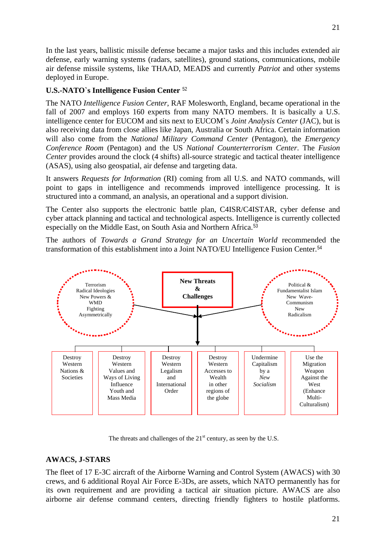In the last years, ballistic missile defense became a major tasks and this includes extended air defense, early warning systems (radars, satellites), ground stations, communications, mobile air defense missile systems, like THAAD, MEADS and currently *Patriot* and other systems deployed in Europe.

#### <span id="page-20-0"></span>**U.S.-NATO`s Intelligence Fusion Center** [52](#page-5-9)

The NATO *Intelligence Fusion Center*, RAF Molesworth, England, became operational in the fall of 2007 and employs 160 experts from many NATO members. It is basically a U.S. intelligence center for EUCOM and sits next to EUCOM`s *Joint Analysis Center* (JAC), but is also receiving data from close allies like Japan, Australia or South Africa. Certain information will also come from the *National Military Command Center* (Pentagon), the *Emergency Conference Room* (Pentagon) and the US *National Counterterrorism Center*. The *Fusion Center* provides around the clock (4 shifts) all-source strategic and tactical theater intelligence (ASAS), using also geospatial, air defense and targeting data.

It answers *Requests for Information* (RI) coming from all U.S. and NATO commands, will point to gaps in intelligence and recommends improved intelligence processing. It is structured into a command, an analysis, an operational and a support division.

The Center also supports the electronic battle plan, C4ISR/C4ISTAR, cyber defense and cyber attack planning and tactical and technological aspects. Intelligence is currently collected especially on the Middle East, on South Asia and Northern Africa.<sup>[53](#page-5-10)</sup>

The authors of *Towards a Grand Strategy for an Uncertain World* recommended the transformation of this establishment into a Joint NATO/EU Intelligence Fusion Center.[54](#page-5-11)



The threats and challenges of the  $21<sup>st</sup>$  century, as seen by the U.S.

#### <span id="page-20-1"></span>**AWACS, J-STARS**

The fleet of 17 E-3C aircraft of the Airborne Warning and Control System (AWACS) with 30 crews, and 6 additional Royal Air Force E-3Ds, are assets, which NATO permanently has for its own requirement and are providing a tactical air situation picture. AWACS are also airborne air defense command centers, directing friendly fighters to hostile platforms.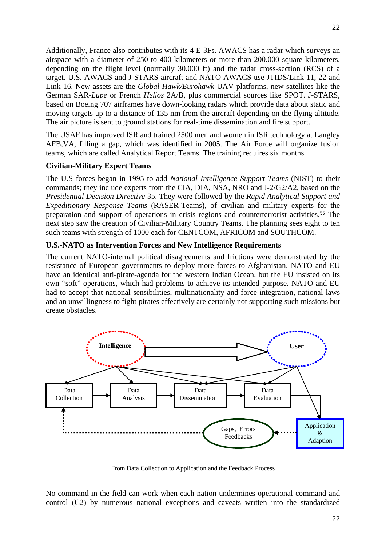Additionally, France also contributes with its 4 E-3Fs. AWACS has a radar which surveys an airspace with a diameter of 250 to 400 kilometers or more than 200.000 square kilometers, depending on the flight level (normally 30.000 ft) and the radar cross-section (RCS) of a target. U.S. AWACS and J-STARS aircraft and NATO AWACS use JTIDS/Link 11, 22 and Link 16. New assets are the *Global Hawk/Eurohawk* UAV platforms, new satellites like the German SAR-*Lupe* or French *Helios* 2A/B, plus commercial sources like SPOT. J-STARS, based on Boeing 707 airframes have down-looking radars which provide data about static and moving targets up to a distance of 135 nm from the aircraft depending on the flying altitude. The air picture is sent to ground stations for real-time dissemination and fire support.

The USAF has improved ISR and trained 2500 men and women in ISR technology at Langley AFB,VA, filling a gap, which was identified in 2005. The Air Force will organize fusion teams, which are called Analytical Report Teams. The training requires six months

#### <span id="page-21-0"></span>**Civilian-Military Expert Teams**

The U.S forces began in 1995 to add *National Intelligence Support Teams* (NIST) to their commands; they include experts from the CIA, DIA, NSA, NRO and J-2/G2/A2, based on the *Presidential Decision Directive* 35. They were followed by the *Rapid Analytical Support and Expeditionary Response Teams* (RASER-Teams), of civilian and military experts for the preparation and support of operations in crisis regions and counterterrorist activities.[55](#page-5-12) The next step saw the creation of Civilian-Military Country Teams. The planning sees eight to ten such teams with strength of 1000 each for CENTCOM, AFRICOM and SOUTHCOM.

#### <span id="page-21-1"></span>**U.S.-NATO as Intervention Forces and New Intelligence Requirements**

The current NATO-internal political disagreements and frictions were demonstrated by the resistance of European governments to deploy more forces to Afghanistan. NATO and EU have an identical anti-pirate-agenda for the western Indian Ocean, but the EU insisted on its own "soft" operations, which had problems to achieve its intended purpose. NATO and EU had to accept that national sensibilities, multinationality and force integration, national laws and an unwillingness to fight pirates effectively are certainly not supporting such missions but create obstacles.



From Data Collection to Application and the Feedback Process

No command in the field can work when each nation undermines operational command and control (C2) by numerous national exceptions and caveats written into the standardized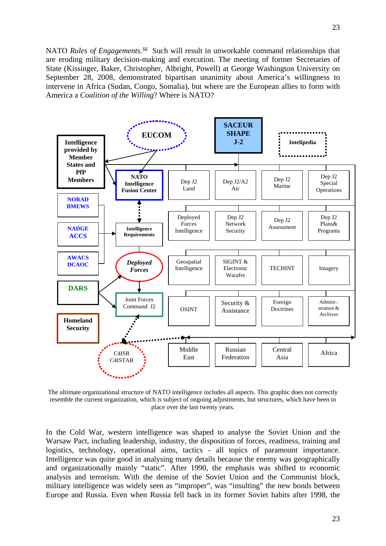NATO *Rules of Engagements.[56](#page-6-0)* Such will result in unworkable command relationships that are eroding military decision-making and execution. The meeting of former Secretaries of State (Kissinger, Baker, Christopher, Albright, Powell) at George Washington University on September 28, 2008, demonstrated bipartisan unanimity about America's willingness to intervene in Africa (Sudan, Congo, Somalia), but where are the European allies to form with America a *Coalition of the Willing*? Where is NATO?



The ultimate organizational structure of NATO intelligence includes all aspects. This graphic does not correctly resemble the current organization, which is subject of ongoing adjustments, but structures, which have been in place over the last twenty years.

In the Cold War, western intelligence was shaped to analyse the Soviet Union and the Warsaw Pact, including leadership, industry, the disposition of forces, readiness, training and logistics, technology, operational aims, tactics - all topics of paramount importance. Intelligence was quite good in analysing many details because the enemy was geographically and organizationally mainly "static". After 1990, the emphasis was shifted to economic analysis and terrorism. With the demise of the Soviet Union and the Communist block, military intelligence was widely seen as "improper", was "insulting" the new bonds between Europe and Russia. Even when Russia fell back in its former Soviet habits after 1998, the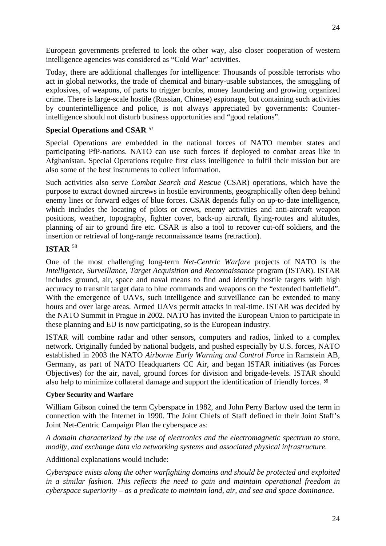European governments preferred to look the other way, also closer cooperation of western intelligence agencies was considered as "Cold War" activities.

Today, there are additional challenges for intelligence: Thousands of possible terrorists who act in global networks, the trade of chemical and binary-usable substances, the smuggling of explosives, of weapons, of parts to trigger bombs, money laundering and growing organized crime. There is large-scale hostile (Russian, Chinese) espionage, but containing such activities by counterintelligence and police, is not always appreciated by governments: Counterintelligence should not disturb business opportunities and "good relations".

#### <span id="page-23-0"></span>**Special Operations and CSAR** [57](#page-6-1)

Special Operations are embedded in the national forces of NATO member states and participating PfP-nations. NATO can use such forces if deployed to combat areas like in Afghanistan. Special Operations require first class intelligence to fulfil their mission but are also some of the best instruments to collect information.

Such activities also serve *Combat Search and Rescue* (CSAR) operations, which have the purpose to extract downed aircrews in hostile environments, geographically often deep behind enemy lines or forward edges of blue forces. CSAR depends fully on up-to-date intelligence, which includes the locating of pilots or crews, enemy activities and anti-aircraft weapon positions, weather, topography, fighter cover, back-up aircraft, flying-routes and altitudes, planning of air to ground fire etc. CSAR is also a tool to recover cut-off soldiers, and the insertion or retrieval of long-range reconnaissance teams (retraction).

#### <span id="page-23-1"></span>**ISTAR** [58](#page-6-2)

One of the most challenging long-term *Net-Centric Warfare* projects of NATO is the *Intelligence, Surveillance, Target Acquisition and Reconnaissance* program (ISTAR). ISTAR includes ground, air, space and naval means to find and identify hostile targets with high accuracy to transmit target data to blue commands and weapons on the "extended battlefield". With the emergence of UAVs, such intelligence and surveillance can be extended to many hours and over large areas. Armed UAVs permit attacks in real-time. ISTAR was decided by the NATO Summit in Prague in 2002. NATO has invited the European Union to participate in these planning and EU is now participating, so is the European industry.

ISTAR will combine radar and other sensors, computers and radios, linked to a complex network. Originally funded by national budgets, and pushed especially by U.S. forces, NATO established in 2003 the NATO *Airborne Early Warning and Control Force* in Ramstein AB, Germany, as part of NATO Headquarters CC Air, and began ISTAR initiatives (as Forces Objectives) for the air, naval, ground forces for division and brigade-levels. ISTAR should also help to minimize collateral damage and support the identification of friendly forces. [59](#page-6-3)

#### <span id="page-23-2"></span>**Cyber Security and Warfare**

William Gibson coined the term Cyberspace in 1982, and John Perry Barlow used the term in connection with the Internet in 1990. The Joint Chiefs of Staff defined in their Joint Staff's Joint Net-Centric Campaign Plan the cyberspace as:

*A domain characterized by the use of electronics and the electromagnetic spectrum to store, modify, and exchange data via networking systems and associated physical infrastructure.*

Additional explanations would include:

*Cyberspace exists along the other warfighting domains and should be protected and exploited in a similar fashion. This reflects the need to gain and maintain operational freedom in cyberspace superiority – as a predicate to maintain land, air, and sea and space dominance.*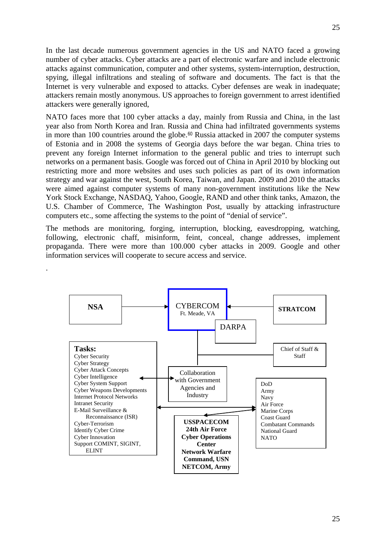In the last decade numerous government agencies in the US and NATO faced a growing number of cyber attacks. Cyber attacks are a part of electronic warfare and include electronic attacks against communication, computer and other systems, system-interruption, destruction, spying, illegal infiltrations and stealing of software and documents. The fact is that the Internet is very vulnerable and exposed to attacks. Cyber defenses are weak in inadequate; attackers remain mostly anonymous. US approaches to foreign government to arrest identified attackers were generally ignored,

NATO faces more that 100 cyber attacks a day, mainly from Russia and China, in the last year also from North Korea and Iran. Russia and China had infiltrated governments systems in more than 100 countries around the globe.<sup>[60](#page-6-4)</sup> Russia attacked in 2007 the computer systems of Estonia and in 2008 the systems of Georgia days before the war began. China tries to prevent any foreign Internet information to the general public and tries to interrupt such networks on a permanent basis. Google was forced out of China in April 2010 by blocking out restricting more and more websites and uses such policies as part of its own information strategy and war against the west, South Korea, Taiwan, and Japan. 2009 and 2010 the attacks were aimed against computer systems of many non-government institutions like the New York Stock Exchange, NASDAQ, Yahoo, Google, RAND and other think tanks, Amazon, the U.S. Chamber of Commerce, The Washington Post, usually by attacking infrastructure computers etc., some affecting the systems to the point of "denial of service".

The methods are monitoring, forging, interruption, blocking, eavesdropping, watching, following, electronic chaff, misinform, feint, conceal, change addresses, implement propaganda. There were more than 100.000 cyber attacks in 2009. Google and other information services will cooperate to secure access and service.

.

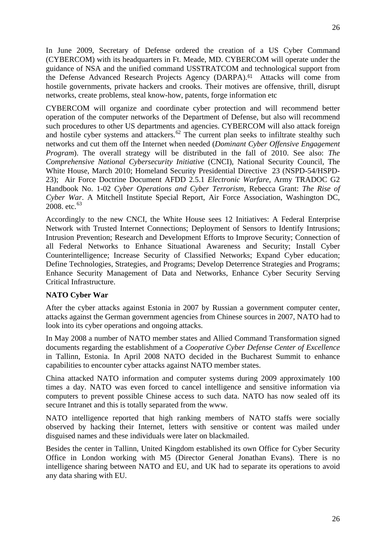In June 2009, Secretary of Defense ordered the creation of a US Cyber Command (CYBERCOM) with its headquarters in Ft. Meade, MD. CYBERCOM will operate under the guidance of NSA and the unified command USSTRATCOM and technological support from the Defense Advanced Research Projects Agency (DARPA).<sup>[61](#page-6-5)</sup> Attacks will come from hostile governments, private hackers and crooks. Their motives are offensive, thrill, disrupt networks, create problems, steal know-how, patents, forge information etc

CYBERCOM will organize and coordinate cyber protection and will recommend better operation of the computer networks of the Department of Defense, but also will recommend such procedures to other US departments and agencies. CYBERCOM will also attack foreign and hostile cyber systems and attackers.<sup>[62](#page-6-6)</sup> The current plan seeks to infiltrate stealthy such networks and cut them off the Internet when needed (*Dominant Cyber Offensive Engagement Program*). The overall strategy will be distributed in the fall of 2010. See also: *The Comprehensive National Cybersecurity Initiative* (CNCI), National Security Council, The White House, March 2010; Homeland Security Presidential Directive 23 (NSPD-54/HSPD-23); Air Force Doctrine Document AFDD 2.5.1 *Electronic Warfare*, Army TRADOC G2 Handbook No. 1-02 *Cyber Operations and Cyber Terrorism,* Rebecca Grant: *The Rise of Cyber War*. A Mitchell Institute Special Report, Air Force Association, Washington DC, 2008. etc. $63$ 

Accordingly to the new CNCI, the White House sees 12 Initiatives: A Federal Enterprise Network with Trusted Internet Connections; Deployment of Sensors to Identify Intrusions; Intrusion Prevention; Research and Development Efforts to Improve Security; Connection of all Federal Networks to Enhance Situational Awareness and Security; Install Cyber Counterintelligence; Increase Security of Classified Networks; Expand Cyber education; Define Technologies, Strategies, and Programs; Develop Deterrence Strategies and Programs; Enhance Security Management of Data and Networks, Enhance Cyber Security Serving Critical Infrastructure.

#### <span id="page-25-0"></span>**NATO Cyber War**

After the cyber attacks against Estonia in 2007 by Russian a government computer center, attacks against the German government agencies from Chinese sources in 2007, NATO had to look into its cyber operations and ongoing attacks.

In May 2008 a number of NATO member states and Allied Command Transformation signed documents regarding the establishment of a *Cooperative Cyber Defense Center of Excellence* in Tallinn, Estonia. In April 2008 NATO decided in the Bucharest Summit to enhance capabilities to encounter cyber attacks against NATO member states.

China attacked NATO information and computer systems during 2009 approximately 100 times a day. NATO was even forced to cancel intelligence and sensitive information via computers to prevent possible Chinese access to such data. NATO has now sealed off its secure Intranet and this is totally separated from the www.

NATO intelligence reported that high ranking members of NATO staffs were socially observed by hacking their Internet, letters with sensitive or content was mailed under disguised names and these individuals were later on blackmailed.

Besides the center in Tallinn, United Kingdom established its own Office for Cyber Security Office in London working with M5 (Director General Jonathan Evans). There is no intelligence sharing between NATO and EU, and UK had to separate its operations to avoid any data sharing with EU.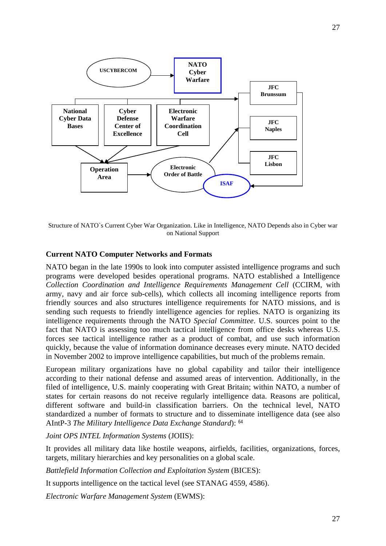

Structure of NATO`s Current Cyber War Organization. Like in Intelligence, NATO Depends also in Cyber war on National Support

#### <span id="page-26-0"></span>**Current NATO Computer Networks and Formats**

NATO began in the late 1990s to look into computer assisted intelligence programs and such programs were developed besides operational programs. NATO established a Intelligence *Collection Coordination and Intelligence Requirements Management Cell* (CCIRM, with army, navy and air force sub-cells), which collects all incoming intelligence reports from friendly sources and also structures intelligence requirements for NATO missions, and is sending such requests to friendly intelligence agencies for replies. NATO is organizing its intelligence requirements through the NATO *Special Committee*. U.S. sources point to the fact that NATO is assessing too much tactical intelligence from office desks whereas U.S. forces see tactical intelligence rather as a product of combat, and use such information quickly, because the value of information dominance decreases every minute. NATO decided in November 2002 to improve intelligence capabilities, but much of the problems remain.

European military organizations have no global capability and tailor their intelligence according to their national defense and assumed areas of intervention. Additionally, in the filed of intelligence, U.S. mainly cooperating with Great Britain; within NATO, a number of states for certain reasons do not receive regularly intelligence data. Reasons are political, different software and build-in classification barriers. On the technical level, NATO standardized a number of formats to structure and to disseminate intelligence data (see also AIntP-3 *The Military Intelligence Data Exchange Standard*): [64](#page-6-8)

*Joint OPS INTEL Information Systems* (JOIIS):

It provides all military data like hostile weapons, airfields, facilities, organizations, forces, targets, military hierarchies and key personalities on a global scale.

*Battlefield Information Collection and Exploitation System* (BICES):

It supports intelligence on the tactical level (see STANAG 4559, 4586).

*Electronic Warfare Management System* (EWMS):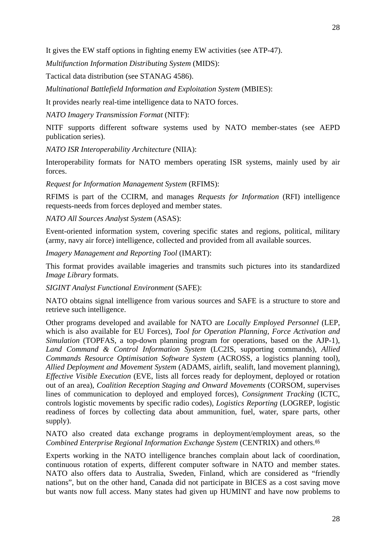*Multifunction Information Distributing System* (MIDS):

Tactical data distribution (see STANAG 4586).

*Multinational Battlefield Information and Exploitation System* (MBIES):

It provides nearly real-time intelligence data to NATO forces.

*NATO Imagery Transmission Format* (NITF):

NITF supports different software systems used by NATO member-states (see AEPD publication series).

*NATO ISR Interoperability Architecture* (NIIA):

Interoperability formats for NATO members operating ISR systems, mainly used by air forces.

*Request for Information Management System* (RFIMS):

RFIMS is part of the CCIRM, and manages *Requests for Information* (RFI) intelligence requests-needs from forces deployed and member states.

*NATO All Sources Analyst System* (ASAS):

Event-oriented information system, covering specific states and regions, political, military (army, navy air force) intelligence, collected and provided from all available sources.

*Imagery Management and Reporting Tool* (IMART):

This format provides available imageries and transmits such pictures into its standardized *Image Library* formats.

*SIGINT Analyst Functional Environment* (SAFE):

NATO obtains signal intelligence from various sources and SAFE is a structure to store and retrieve such intelligence.

Other programs developed and available for NATO are *Locally Employed Personnel* (LEP, which is also available for EU Forces), *Tool for Operation Planning, Force Activation and Simulation* (TOPFAS, a top-down planning program for operations, based on the AJP-1), *Land Command & Control Information System* (LC2IS, supporting commands), *Allied Commands Resource Optimisation Software System* (ACROSS, a logistics planning tool), *Allied Deployment and Movement System* (ADAMS, airlift, sealift, land movement planning), *Effective Visible Execution* (EVE, lists all forces ready for deployment, deployed or rotation out of an area), *Coalition Reception Staging and Onward Movements* (CORSOM, supervises lines of communication to deployed and employed forces), *Consignment Tracking* (ICTC, controls logistic movements by specific radio codes), *Logistics Reporting* (LOGREP, logistic readiness of forces by collecting data about ammunition, fuel, water, spare parts, other supply).

NATO also created data exchange programs in deployment/employment areas, so the *Combined Enterprise Regional Information Exchange System* (CENTRIX) and others.[65](#page-6-9)

Experts working in the NATO intelligence branches complain about lack of coordination, continuous rotation of experts, different computer software in NATO and member states. NATO also offers data to Australia, Sweden, Finland, which are considered as "friendly nations", but on the other hand, Canada did not participate in BICES as a cost saving move but wants now full access. Many states had given up HUMINT and have now problems to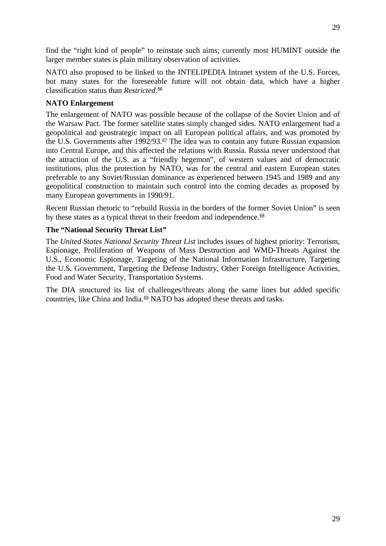find the "right kind of people" to reinstate such aims; currently most HUMINT outside the larger member states is plain military observation of activities.

NATO also proposed to be linked to the INTELIPEDIA Intranet system of the U.S. Forces, but many states for the foreseeable future will not obtain data, which have a higher classification status than *Restricted*.[66](#page-6-10)

#### <span id="page-28-0"></span>**NATO Enlargement**

The enlargement of NATO was possible because of the collapse of the Soviet Union and of the Warsaw Pact. The former satellite states simply changed sides. NATO enlargement had a geopolitical and geostrategic impact on all European political affairs, and was promoted by the U.S. Governments after 1992/93.[67](#page-6-11) The idea was to contain any future Russian expansion into Central Europe, and this affected the relations with Russia. Russia never understood that the attraction of the U.S. as a "friendly hegemon", of western values and of democratic institutions, plus the protection by NATO, was for the central and eastern European states preferable to any Soviet/Russian dominance as experienced between 1945 and 1989 and any geopolitical construction to maintain such control into the coming decades as proposed by many European governments in 1990/91.

Recent Russian rhetoric to "rebuild Russia in the borders of the former Soviet Union" is seen by these states as a typical threat to their freedom and independence.<sup>[68](#page-6-12)</sup>

#### <span id="page-28-1"></span>**The "National Security Threat List"**

The *United States National Security Threat List* includes issues of highest priority: Terrorism, Espionage, Proliferation of Weapons of Mass Destruction and WMD-Threats Against the U.S., Economic Espionage, Targeting of the National Information Infrastructure, Targeting the U.S. Government, Targeting the Defense Industry, Other Foreign Intelligence Activities, Food and Water Security, Transportation Systems.

The DIA structured its list of challenges/threats along the same lines but added specific countries, like China and India.[69](#page-6-13) NATO has adopted these threats and tasks.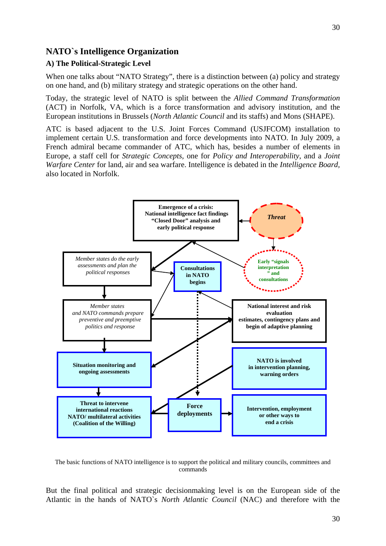#### <span id="page-29-0"></span>**NATO`s Intelligence Organization**

#### <span id="page-29-1"></span>**A) The Political-Strategic Level**

When one talks about "NATO Strategy", there is a distinction between (a) policy and strategy on one hand, and (b) military strategy and strategic operations on the other hand.

Today, the strategic level of NATO is split between the *Allied Command Transformation* (ACT) in Norfolk, VA, which is a force transformation and advisory institution, and the European institutions in Brussels (*North Atlantic Council* and its staffs) and Mons (SHAPE).

ATC is based adjacent to the U.S. Joint Forces Command (USJFCOM) installation to implement certain U.S. transformation and force developments into NATO. In July 2009, a French admiral became commander of ATC, which has, besides a number of elements in Europe, a staff cell for *Strategic Concepts,* one for *Policy and Interoperability*, and a *Joint Warfare Center* for land, air and sea warfare. Intelligence is debated in the *Intelligence Board,*  also located in Norfolk.



The basic functions of NATO intelligence is to support the political and military councils, committees and commands

But the final political and strategic decisionmaking level is on the European side of the Atlantic in the hands of NATO`s *North Atlantic Council* (NAC) and therefore with the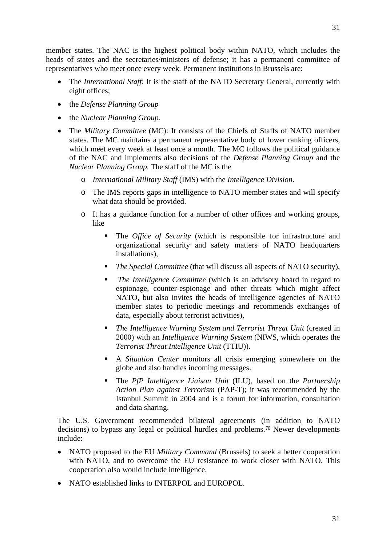member states. The NAC is the highest political body within NATO, which includes the heads of states and the secretaries/ministers of defense; it has a permanent committee of representatives who meet once every week. Permanent institutions in Brussels are:

- The *International Staff*: It is the staff of the NATO Secretary General, currently with eight offices;
- the *Defense Planning Group*
- the *Nuclear Planning Group.*
- The *Military Committee* (MC): It consists of the Chiefs of Staffs of NATO member states. The MC maintains a permanent representative body of lower ranking officers, which meet every week at least once a month. The MC follows the political guidance of the NAC and implements also decisions of the *Defense Planning Group* and the *Nuclear Planning Group.* The staff of the MC is the
	- o *International Military Staff* (IMS) with the *Intelligence Division*.
	- o The IMS reports gaps in intelligence to NATO member states and will specify what data should be provided.
	- o It has a guidance function for a number of other offices and working groups, like
		- The *Office of Security* (which is responsible for infrastructure and organizational security and safety matters of NATO headquarters installations),
		- *The Special Committee* (that will discuss all aspects of NATO security),
		- *The Intelligence Committee* (which is an advisory board in regard to espionage, counter-espionage and other threats which might affect NATO, but also invites the heads of intelligence agencies of NATO member states to periodic meetings and recommends exchanges of data, especially about terrorist activities),
		- *The Intelligence Warning System and Terrorist Threat Unit* (created in 2000) with an *Intelligence Warning System* (NIWS, which operates the *Terrorist Threat Intelligence Unit* (TTIU)).
		- A *Situation Center* monitors all crisis emerging somewhere on the globe and also handles incoming messages.
		- The *PfP Intelligence Liaison Unit* (ILU), based on the *Partnership Action Plan against Terrorism* (PAP-T); it was recommended by the Istanbul Summit in 2004 and is a forum for information, consultation and data sharing.

The U.S. Government recommended bilateral agreements (in addition to NATO decisions) to bypass any legal or political hurdles and problems.[70](#page-7-0) Newer developments include:

- NATO proposed to the EU *Military Command* (Brussels) to seek a better cooperation with NATO, and to overcome the EU resistance to work closer with NATO. This cooperation also would include intelligence.
- NATO established links to INTERPOL and EUROPOL.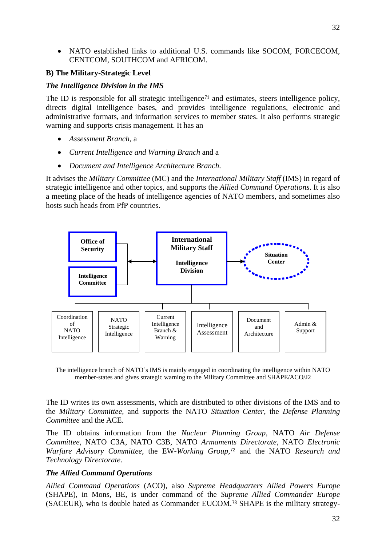• NATO established links to additional U.S. commands like SOCOM, FORCECOM, CENTCOM, SOUTHCOM and AFRICOM.

#### <span id="page-31-0"></span>**B) The Military-Strategic Level**

#### <span id="page-31-1"></span>*The Intelligence Division in the IMS*

The ID is responsible for all strategic intelligence<sup> $71$ </sup> and estimates, steers intelligence policy, directs digital intelligence bases, and provides intelligence regulations, electronic and administrative formats, and information services to member states. It also performs strategic warning and supports crisis management. It has an

- *Assessment Branch*, a
- *Current Intelligence and Warning Branch* and a
- *Document and Intelligence Architecture Branch*.

It advises the *Military Committee* (MC) and the *International Military Staff* (IMS) in regard of strategic intelligence and other topics, and supports the *Allied Command Operations*. It is also a meeting place of the heads of intelligence agencies of NATO members, and sometimes also hosts such heads from PfP countries.



The intelligence branch of NATO`s IMS is mainly engaged in coordinating the intelligence within NATO member-states and gives strategic warning to the Military Committee and SHAPE/ACO/J2

The ID writes its own assessments, which are distributed to other divisions of the IMS and to the *Military Committee,* and supports the NATO *Situation Center*, the *Defense Planning Committee* and the ACE.

The ID obtains information from the *Nuclear Planning Group*, NATO *Air Defense Committee*, NATO C3A, NATO C3B, NATO *Armaments Directorate*, NATO *Electronic Warfare Advisory Committee*, the EW-*Working Group*,<sup>[72](#page-7-2)</sup> and the NATO *Research and Technology Directorate*.

#### <span id="page-31-2"></span>*The Allied Command Operations*

*Allied Command Operations* (ACO), also *Supreme Headquarters Allied Powers Europe*  (SHAPE), in Mons, BE, is under command of the *Supreme Allied Commander Europe* (SACEUR), who is double hated as Commander EUCOM.[73](#page-7-3) SHAPE is the military strategy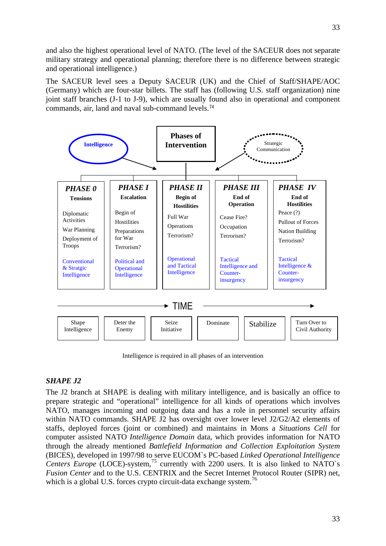and also the highest operational level of NATO. (The level of the SACEUR does not separate military strategy and operational planning; therefore there is no difference between strategic and operational intelligence.)

The SACEUR level sees a Deputy SACEUR (UK) and the Chief of Staff/SHAPE/AOC (Germany) which are four-star billets. The staff has (following U.S. staff organization) nine joint staff branches (J-1 to J-9), which are usually found also in operational and component commands, air, land and naval sub-command levels.[74](#page-7-4)



Intelligence is required in all phases of an intervention

#### <span id="page-32-0"></span>*SHAPE J2*

The J2 branch at SHAPE is dealing with military intelligence, and is basically an office to prepare strategic and "operational" intelligence for all kinds of operations which involves NATO, manages incoming and outgoing data and has a role in personnel security affairs within NATO commands. SHAPE J2 has oversight over lower level J2/G2/A2 elements of staffs, deployed forces (joint or combined) and maintains in Mons a *Situations Cell* for computer assisted NATO *Intelligence Domain* data, which provides information for NATO through the already mentioned *Battlefield Information and Collection Exploitation System* (BICES), developed in 1997/98 to serve EUCOM`s PC-based *Linked Operational Intelligence Centers Europe* (LOCE)-system,<sup>[75](#page-7-5)</sup> currently with 2200 users. It is also linked to NATO`s *Fusion Center* and to the U.S. CENTRIX and the Secret Internet Protocol Router (SIPR) net, which is a global U.S. forces crypto circuit-data exchange system.<sup>[76](#page-7-6)</sup>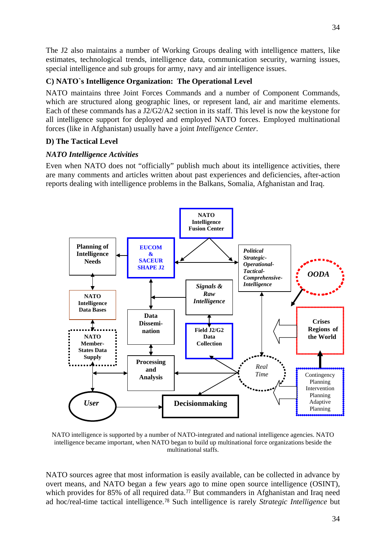The J2 also maintains a number of Working Groups dealing with intelligence matters, like estimates, technological trends, intelligence data, communication security, warning issues, special intelligence and sub groups for army, navy and air intelligence issues.

#### <span id="page-33-0"></span>**C) NATO`s Intelligence Organization: The Operational Level**

NATO maintains three Joint Forces Commands and a number of Component Commands, which are structured along geographic lines, or represent land, air and maritime elements. Each of these commands has a J2/G2/A2 section in its staff. This level is now the keystone for all intelligence support for deployed and employed NATO forces. Employed multinational forces (like in Afghanistan) usually have a joint *Intelligence Center*.

#### <span id="page-33-1"></span>**D) The Tactical Level**

#### <span id="page-33-2"></span>*NATO Intelligence Activities*

Even when NATO does not "officially" publish much about its intelligence activities, there are many comments and articles written about past experiences and deficiencies, after-action reports dealing with intelligence problems in the Balkans, Somalia, Afghanistan and Iraq.



NATO intelligence is supported by a number of NATO-integrated and national intelligence agencies. NATO intelligence became important, when NATO began to build up multinational force organizations beside the multinational staffs.

NATO sources agree that most information is easily available, can be collected in advance by overt means, and NATO began a few years ago to mine open source intelligence (OSINT), which provides for 85% of all required data.<sup>[77](#page-7-7)</sup> But commanders in Afghanistan and Iraq need ad hoc/real-time tactical intelligence.[78](#page-7-8) Such intelligence is rarely *Strategic Intelligence* but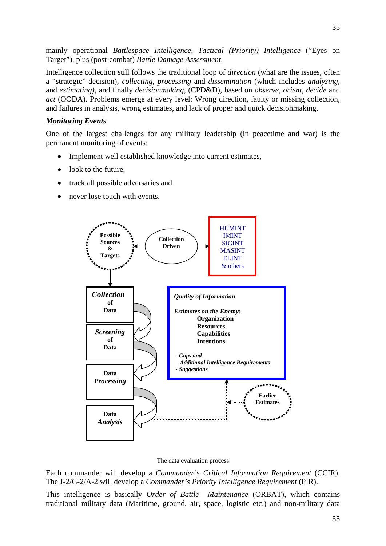mainly operational *Battlespace Intelligence*, *Tactical (Priority) Intelligence* ("Eyes on Target")*,* plus (post-combat) *Battle Damage Assessment*.

Intelligence collection still follows the traditional loop of *direction* (what are the issues, often a "strategic" decision), *collecting*, *processing* and *dissemination* (which includes *analyzing*, and *estimating)*, and finally *decisionmaking*, (CPD&D), based on *observe, orient*, *decide* and *act* (OODA). Problems emerge at every level: Wrong direction, faulty or missing collection, and failures in analysis, wrong estimates, and lack of proper and quick decisionmaking.

#### <span id="page-34-0"></span>*Monitoring Events*

One of the largest challenges for any military leadership (in peacetime and war) is the permanent monitoring of events:

- Implement well established knowledge into current estimates,
- look to the future.
- track all possible adversaries and
- never lose touch with events.



#### The data evaluation process

Each commander will develop a *Commander's Critical Information Requirement* (CCIR). The J-2/G-2/A-2 will develop a *Commander's Priority Intelligence Requirement* (PIR).

This intelligence is basically *Order of Battle Maintenance* (ORBAT), which contains traditional military data (Maritime, ground, air, space, logistic etc.) and non-military data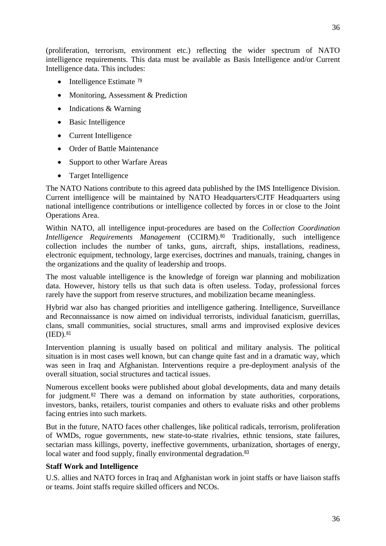(proliferation, terrorism, environment etc.) reflecting the wider spectrum of NATO intelligence requirements. This data must be available as Basis Intelligence and/or Current Intelligence data. This includes:

- Intelligence Estimate  $^{79}$  $^{79}$  $^{79}$
- Monitoring, Assessment & Prediction
- Indications & Warning
- Basic Intelligence
- Current Intelligence
- Order of Battle Maintenance
- Support to other Warfare Areas
- Target Intelligence

The NATO Nations contribute to this agreed data published by the IMS Intelligence Division. Current intelligence will be maintained by NATO Headquarters/CJTF Headquarters using national intelligence contributions or intelligence collected by forces in or close to the Joint Operations Area.

Within NATO, all intelligence input-procedures are based on the *Collection Coordination Intelligence Requirements Management* (CCIRM).<sup>[80](#page-7-10)</sup> Traditionally, such intelligence collection includes the number of tanks, guns, aircraft, ships, installations, readiness, electronic equipment, technology, large exercises, doctrines and manuals, training, changes in the organizations and the quality of leadership and troops.

The most valuable intelligence is the knowledge of foreign war planning and mobilization data. However, history tells us that such data is often useless. Today, professional forces rarely have the support from reserve structures, and mobilization became meaningless.

Hybrid war also has changed priorities and intelligence gathering. Intelligence, Surveillance and Reconnaissance is now aimed on individual terrorists, individual fanaticism, guerrillas, clans, small communities, social structures, small arms and improvised explosive devices  $(IED).<sup>81</sup>$  $(IED).<sup>81</sup>$  $(IED).<sup>81</sup>$ 

Intervention planning is usually based on political and military analysis. The political situation is in most cases well known, but can change quite fast and in a dramatic way, which was seen in Iraq and Afghanistan. Interventions require a pre-deployment analysis of the overall situation, social structures and tactical issues.

Numerous excellent books were published about global developments, data and many details for judgment.[82](#page-7-12) There was a demand on information by state authorities, corporations, investors, banks, retailers, tourist companies and others to evaluate risks and other problems facing entries into such markets.

But in the future, NATO faces other challenges, like political radicals, terrorism, proliferation of WMDs, rogue governments, new state-to-state rivalries, ethnic tensions, state failures, sectarian mass killings, poverty, ineffective governments, urbanization, shortages of energy, local water and food supply, finally environmental degradation.<sup>[83](#page-7-13)</sup>

## <span id="page-35-0"></span>**Staff Work and Intelligence**

U.S. allies and NATO forces in Iraq and Afghanistan work in joint staffs or have liaison staffs or teams. Joint staffs require skilled officers and NCOs.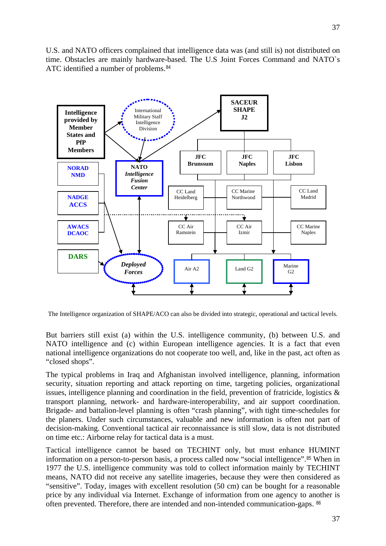37

U.S. and NATO officers complained that intelligence data was (and still is) not distributed on time. Obstacles are mainly hardware-based. The U.S Joint Forces Command and NATO`s ATC identified a number of problems.<sup>[84](#page-7-0)</sup>



The Intelligence organization of SHAPE/ACO can also be divided into strategic, operational and tactical levels.

But barriers still exist (a) within the U.S. intelligence community, (b) between U.S. and NATO intelligence and (c) within European intelligence agencies. It is a fact that even national intelligence organizations do not cooperate too well, and, like in the past, act often as "closed shops".

The typical problems in Iraq and Afghanistan involved intelligence, planning, information security, situation reporting and attack reporting on time, targeting policies, organizational issues, intelligence planning and coordination in the field, prevention of fratricide, logistics  $\&$ transport planning, network- and hardware-interoperability, and air support coordination. Brigade- and battalion-level planning is often "crash planning", with tight time-schedules for the planers. Under such circumstances, valuable and new information is often not part of decision-making. Conventional tactical air reconnaissance is still slow, data is not distributed on time etc.: Airborne relay for tactical data is a must.

Tactical intelligence cannot be based on TECHINT only, but must enhance HUMINT information on a person-to-person basis, a process called now "social intelligence".[85](#page-7-1) When in 1977 the U.S. intelligence community was told to collect information mainly by TECHINT means, NATO did not receive any satellite imageries, because they were then considered as "sensitive". Today, images with excellent resolution (50 cm) can be bought for a reasonable price by any individual via Internet. Exchange of information from one agency to another is often prevented. Therefore, there are intended and non-intended communication-gaps. [86](#page-7-2)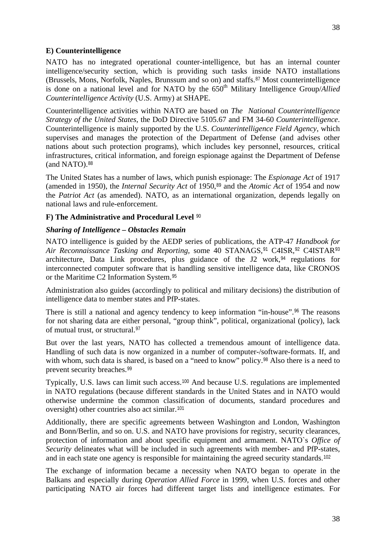### **E) Counterintelligence**

NATO has no integrated operational counter-intelligence, but has an internal counter intelligence/security section, which is providing such tasks inside NATO installations (Brussels, Mons, Norfolk, Naples, Brunssum and so on) and staffs.[87](#page-7-3) Most counterintelligence is done on a national level and for NATO by the  $650<sup>th</sup>$  Military Intelligence Group/*Allied Counterintelligence Activity* (U.S. Army) at SHAPE.

Counterintelligence activities within NATO are based on *The National Counterintelligence Strategy of the United States*, the DoD Directive 5105.67 and FM 34-60 *Counterintelligence*. Counterintelligence is mainly supported by the U.S. *Counterintelligence Field Agency*, which supervises and manages the protection of the Department of Defense (and advises other nations about such protection programs), which includes key personnel, resources, critical infrastructures, critical information, and foreign espionage against the Department of Defense (and NATO).<sup>[88](#page-7-4)</sup>

The United States has a number of laws, which punish espionage: The *Espionage Act* of 1917 (amended in 1950), the *Internal Security Act* of 1950,<sup>[89](#page-8-0)</sup> and the *Atomic Act* of 1954 and now the *Patriot Act* (as amended). NATO, as an international organization, depends legally on national laws and rule-enforcement.

#### **F) The Administrative and Procedural Level** [90](#page-8-1)

#### *Sharing of Intelligence – Obstacles Remain*

NATO intelligence is guided by the AEDP series of publications, the ATP-47 *Handbook for*  Air Reconnaissance Tasking and Reporting, some 40 STANAGS,<sup>[91](#page-8-2)</sup> C4ISR,<sup>[92](#page-8-3)</sup> C4ISTAR<sup>[93](#page-8-4)</sup> architecture, Data Link procedures, plus guidance of the J2 work,  $94$  regulations for interconnected computer software that is handling sensitive intelligence data, like CRONOS or the Maritime C2 Information System.[95](#page-8-6)

Administration also guides (accordingly to political and military decisions) the distribution of intelligence data to member states and PfP-states.

There is still a national and agency tendency to keep information "in-house".<sup>[96](#page-8-7)</sup> The reasons for not sharing data are either personal, "group think", political, organizational (policy), lack of mutual trust, or structural.[97](#page-8-8)

But over the last years, NATO has collected a tremendous amount of intelligence data. Handling of such data is now organized in a number of computer-/software-formats. If, and with whom, such data is shared, is based on a "need to know" policy.<sup>[98](#page-8-9)</sup> Also there is a need to prevent security breaches.[99](#page-8-10)

Typically, U.S. laws can limit such access.[100](#page-8-11) And because U.S. regulations are implemented in NATO regulations (because different standards in the United States and in NATO would otherwise undermine the common classification of documents, standard procedures and oversight) other countries also act similar.[101](#page-8-12)

Additionally, there are specific agreements between Washington and London, Washington and Bonn/Berlin, and so on. U.S. and NATO have provisions for registry, security clearances, protection of information and about specific equipment and armament. NATO`s *Office of Security* delineates what will be included in such agreements with member- and PfP-states, and in each state one agency is responsible for maintaining the agreed security standards.<sup>[102](#page-8-13)</sup>

The exchange of information became a necessity when NATO began to operate in the Balkans and especially during *Operation Allied Force* in 1999, when U.S. forces and other participating NATO air forces had different target lists and intelligence estimates. For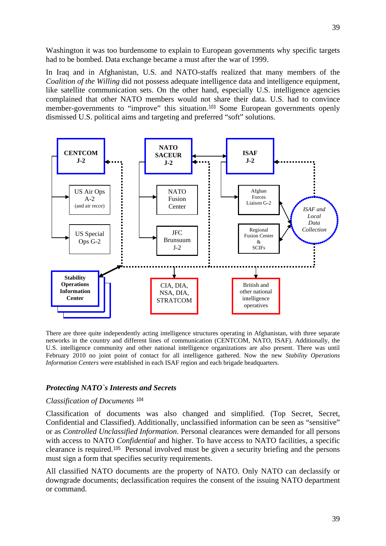Washington it was too burdensome to explain to European governments why specific targets had to be bombed. Data exchange became a must after the war of 1999.

In Iraq and in Afghanistan, U.S. and NATO-staffs realized that many members of the *Coalition of the Willing* did not possess adequate intelligence data and intelligence equipment, like satellite communication sets. On the other hand, especially U.S. intelligence agencies complained that other NATO members would not share their data. U.S. had to convince member-governments to "improve" this situation.[103](#page-9-0) Some European governments openly dismissed U.S. political aims and targeting and preferred "soft" solutions.



There are three quite independently acting intelligence structures operating in Afghanistan, with three separate networks in the country and different lines of communication (CENTCOM, NATO, ISAF). Additionally, the U.S. intelligence community and other national intelligence organizations are also present. There was until February 2010 no joint point of contact for all intelligence gathered. Now the new *Stability Operations Information Centers* were established in each ISAF region and each brigade headquarters.

#### *Protecting NATO`s Interests and Secrets*

#### *Classification of Documents* [104](#page-9-1)

Classification of documents was also changed and simplified. (Top Secret, Secret, Confidential and Classified). Additionally, unclassified information can be seen as "sensitive" or as *Controlled Unclassified Information*. Personal clearances were demanded for all persons with access to NATO *Confidential* and higher. To have access to NATO facilities, a specific clearance is required.[105](#page-9-2) Personal involved must be given a security briefing and the persons must sign a form that specifies security requirements.

All classified NATO documents are the property of NATO. Only NATO can declassify or downgrade documents; declassification requires the consent of the issuing NATO department or command.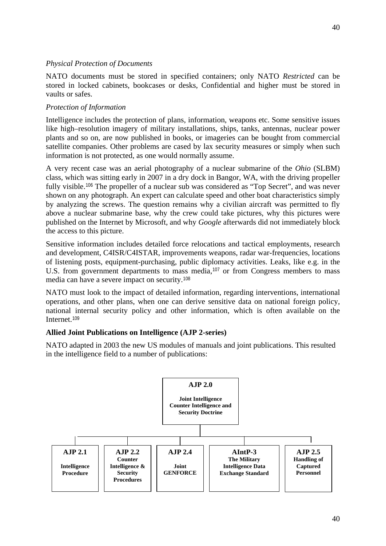### *Physical Protection of Documents*

NATO documents must be stored in specified containers; only NATO *Restricted* can be stored in locked cabinets, bookcases or desks, Confidential and higher must be stored in vaults or safes.

### *Protection of Information*

Intelligence includes the protection of plans, information, weapons etc. Some sensitive issues like high–resolution imagery of military installations, ships, tanks, antennas, nuclear power plants and so on, are now published in books, or imageries can be bought from commercial satellite companies. Other problems are cased by lax security measures or simply when such information is not protected, as one would normally assume.

A very recent case was an aerial photography of a nuclear submarine of the *Ohio* (SLBM) class, which was sitting early in 2007 in a dry dock in Bangor, WA, with the driving propeller fully visible.<sup>[106](#page-9-3)</sup> The propeller of a nuclear sub was considered as "Top Secret", and was never shown on any photograph. An expert can calculate speed and other boat characteristics simply by analyzing the screws. The question remains why a civilian aircraft was permitted to fly above a nuclear submarine base, why the crew could take pictures, why this pictures were published on the Internet by Microsoft, and why *Google* afterwards did not immediately block the access to this picture.

Sensitive information includes detailed force relocations and tactical employments, research and development, C4ISR/C4ISTAR, improvements weapons, radar war-frequencies, locations of listening posts, equipment-purchasing, public diplomacy activities. Leaks, like e.g. in the U.S. from government departments to mass media,<sup>[107](#page-9-4)</sup> or from Congress members to mass media can have a severe impact on security.[108](#page-9-5)

NATO must look to the impact of detailed information, regarding interventions, international operations, and other plans, when one can derive sensitive data on national foreign policy, national internal security policy and other information, which is often available on the Internet.[109](#page-9-6)

# **Allied Joint Publications on Intelligence (AJP 2-series)**

NATO adapted in 2003 the new US modules of manuals and joint publications. This resulted in the intelligence field to a number of publications:

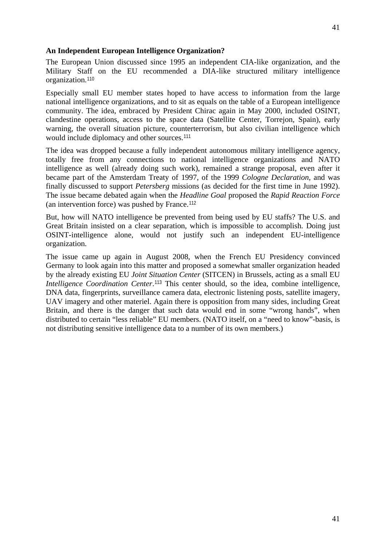### **An Independent European Intelligence Organization?**

The European Union discussed since 1995 an independent CIA-like organization, and the Military Staff on the EU recommended a DIA-like structured military intelligence organization.[110](#page-9-7)

Especially small EU member states hoped to have access to information from the large national intelligence organizations, and to sit as equals on the table of a European intelligence community. The idea, embraced by President Chirac again in May 2000, included OSINT, clandestine operations, access to the space data (Satellite Center, Torrejon, Spain), early warning, the overall situation picture, counterterrorism, but also civilian intelligence which would include diplomacy and other sources.[111](#page-9-8)

The idea was dropped because a fully independent autonomous military intelligence agency, totally free from any connections to national intelligence organizations and NATO intelligence as well (already doing such work), remained a strange proposal, even after it became part of the Amsterdam Treaty of 1997, of the 1999 *Cologne Declaration*, and was finally discussed to support *Petersberg* missions (as decided for the first time in June 1992). The issue became debated again when the *Headline Goal* proposed the *Rapid Reaction Force* (an intervention force) was pushed by France.[112](#page-9-9)

But, how will NATO intelligence be prevented from being used by EU staffs? The U.S. and Great Britain insisted on a clear separation, which is impossible to accomplish. Doing just OSINT-intelligence alone, would not justify such an independent EU-intelligence organization.

The issue came up again in August 2008, when the French EU Presidency convinced Germany to look again into this matter and proposed a somewhat smaller organization headed by the already existing EU *Joint Situation Center* (SITCEN) in Brussels, acting as a small EU *Intelligence Coordination Center*.<sup>[113](#page-9-10)</sup> This center should, so the idea, combine intelligence, DNA data, fingerprints, surveillance camera data, electronic listening posts, satellite imagery, UAV imagery and other materiel. Again there is opposition from many sides, including Great Britain, and there is the danger that such data would end in some "wrong hands", when distributed to certain "less reliable" EU members. (NATO itself, on a "need to know"-basis, is not distributing sensitive intelligence data to a number of its own members.)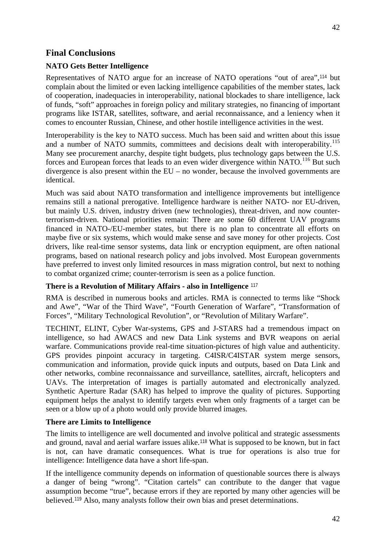# **NATO Gets Better Intelligence**

Representatives of NATO argue for an increase of NATO operations "out of area",[114](#page-9-11) but complain about the limited or even lacking intelligence capabilities of the member states, lack of cooperation, inadequacies in interoperability, national blockades to share intelligence, lack of funds, "soft" approaches in foreign policy and military strategies, no financing of important programs like ISTAR, satellites, software, and aerial reconnaissance, and a leniency when it comes to encounter Russian, Chinese, and other hostile intelligence activities in the west.

Interoperability is the key to NATO success. Much has been said and written about this issue and a number of NATO summits, committees and decisions dealt with interoperability.<sup>[115](#page-10-0)</sup> Many see procurement anarchy, despite tight budgets, plus technology gaps between the U.S. forces and European forces that leads to an even wider divergence within NATO.<sup>[116](#page-10-1)</sup> But such divergence is also present within the EU – no wonder, because the involved governments are identical.

Much was said about NATO transformation and intelligence improvements but intelligence remains still a national prerogative. Intelligence hardware is neither NATO- nor EU-driven, but mainly U.S. driven, industry driven (new technologies), threat-driven, and now counterterrorism-driven. National priorities remain: There are some 60 different UAV programs financed in NATO-/EU-member states, but there is no plan to concentrate all efforts on maybe five or six systems, which would make sense and save money for other projects. Cost drivers, like real-time sensor systems, data link or encryption equipment, are often national programs, based on national research policy and jobs involved. Most European governments have preferred to invest only limited resources in mass migration control, but next to nothing to combat organized crime; counter-terrorism is seen as a police function.

# **There is a Revolution of Military Affairs - also in Intelligence** [117](#page-10-2)

RMA is described in numerous books and articles. RMA is connected to terms like "Shock and Awe", "War of the Third Wave", "Fourth Generation of Warfare", "Transformation of Forces", "Military Technological Revolution", or "Revolution of Military Warfare".

TECHINT, ELINT, Cyber War-systems, GPS and J-STARS had a tremendous impact on intelligence, so had AWACS and new Data Link systems and BVR weapons on aerial warfare. Communications provide real-time situation-pictures of high value and authenticity. GPS provides pinpoint accuracy in targeting. C4ISR/C4ISTAR system merge sensors, communication and information, provide quick inputs and outputs, based on Data Link and other networks, combine reconnaissance and surveillance, satellites, aircraft, helicopters and UAVs. The interpretation of images is partially automated and electronically analyzed. Synthetic Aperture Radar (SAR) has helped to improve the quality of pictures. Supporting equipment helps the analyst to identify targets even when only fragments of a target can be seen or a blow up of a photo would only provide blurred images.

# **There are Limits to Intelligence**

The limits to intelligence are well documented and involve political and strategic assessments and ground, naval and aerial warfare issues alike.[118](#page-10-3) What is supposed to be known, but in fact is not, can have dramatic consequences. What is true for operations is also true for intelligence: Intelligence data have a short life-span.

If the intelligence community depends on information of questionable sources there is always a danger of being "wrong". "Citation cartels" can contribute to the danger that vague assumption become "true", because errors if they are reported by many other agencies will be believed.[119](#page-10-4) Also, many analysts follow their own bias and preset determinations.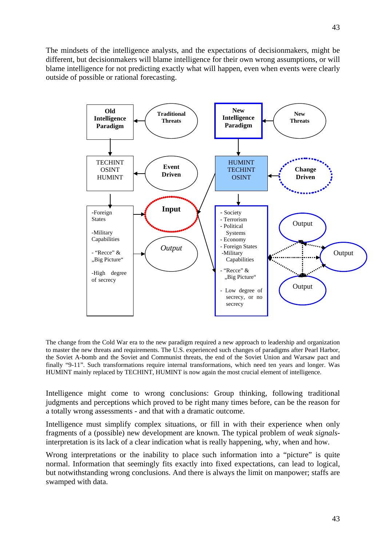The mindsets of the intelligence analysts, and the expectations of decisionmakers, might be different, but decisionmakers will blame intelligence for their own wrong assumptions, or will blame intelligence for not predicting exactly what will happen, even when events were clearly outside of possible or rational forecasting.



The change from the Cold War era to the new paradigm required a new approach to leadership and organization to master the new threats and requirements. The U.S. experienced such changes of paradigms after Pearl Harbor, the Soviet A-bomb and the Soviet and Communist threats, the end of the Soviet Union and Warsaw pact and finally "9-11". Such transformations require internal transformations, which need ten years and longer. Was HUMINT mainly replaced by TECHINT, HUMINT is now again the most crucial element of intelligence.

Intelligence might come to wrong conclusions: Group thinking, following traditional judgments and perceptions which proved to be right many times before, can be the reason for a totally wrong assessments - and that with a dramatic outcome.

Intelligence must simplify complex situations, or fill in with their experience when only fragments of a (possible) new development are known. The typical problem of *weak signals*interpretation is its lack of a clear indication what is really happening, why, when and how.

Wrong interpretations or the inability to place such information into a "picture" is quite normal. Information that seemingly fits exactly into fixed expectations, can lead to logical, but notwithstanding wrong conclusions. And there is always the limit on manpower; staffs are swamped with data.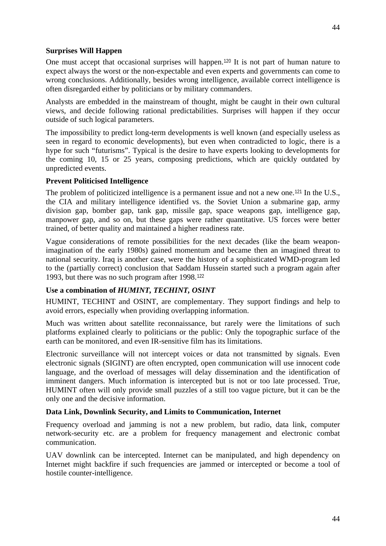One must accept that occasional surprises will happen.[120](#page-10-5) It is not part of human nature to expect always the worst or the non-expectable and even experts and governments can come to wrong conclusions. Additionally, besides wrong intelligence, available correct intelligence is often disregarded either by politicians or by military commanders.

Analysts are embedded in the mainstream of thought, might be caught in their own cultural views, and decide following rational predictabilities. Surprises will happen if they occur outside of such logical parameters.

The impossibility to predict long-term developments is well known (and especially useless as seen in regard to economic developments), but even when contradicted to logic, there is a hype for such "futurisms". Typical is the desire to have experts looking to developments for the coming 10, 15 or 25 years, composing predictions, which are quickly outdated by unpredicted events.

#### **Prevent Politicised Intelligence**

The problem of politicized intelligence is a permanent issue and not a new one.<sup>[121](#page-10-6)</sup> In the U.S., the CIA and military intelligence identified vs. the Soviet Union a submarine gap, army division gap, bomber gap, tank gap, missile gap, space weapons gap, intelligence gap, manpower gap, and so on, but these gaps were rather quantitative. US forces were better trained, of better quality and maintained a higher readiness rate.

Vague considerations of remote possibilities for the next decades (like the beam weaponimagination of the early 1980s) gained momentum and became then an imagined threat to national security. Iraq is another case, were the history of a sophisticated WMD-program led to the (partially correct) conclusion that Saddam Hussein started such a program again after 1993, but there was no such program after 1998.[122](#page-10-7)

# **Use a combination of** *HUMINT, TECHINT, OSINT*

HUMINT, TECHINT and OSINT, are complementary. They support findings and help to avoid errors, especially when providing overlapping information.

Much was written about satellite reconnaissance, but rarely were the limitations of such platforms explained clearly to politicians or the public: Only the topographic surface of the earth can be monitored, and even IR-sensitive film has its limitations.

Electronic surveillance will not intercept voices or data not transmitted by signals. Even electronic signals (SIGINT) are often encrypted, open communication will use innocent code language, and the overload of messages will delay dissemination and the identification of imminent dangers. Much information is intercepted but is not or too late processed. True, HUMINT often will only provide small puzzles of a still too vague picture, but it can be the only one and the decisive information.

#### **Data Link, Downlink Security, and Limits to Communication, Internet**

Frequency overload and jamming is not a new problem, but radio, data link, computer network-security etc. are a problem for frequency management and electronic combat communication.

UAV downlink can be intercepted. Internet can be manipulated, and high dependency on Internet might backfire if such frequencies are jammed or intercepted or become a tool of hostile counter-intelligence.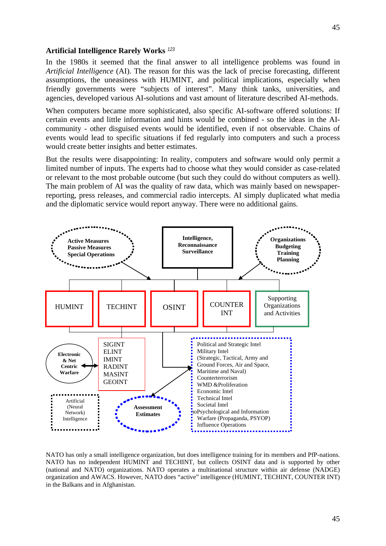#### **Artificial Intelligence Rarely Works** *[123](#page-10-8)*

In the 1980s it seemed that the final answer to all intelligence problems was found in *Artificial Intelligence* (AI). The reason for this was the lack of precise forecasting, different assumptions, the uneasiness with HUMINT, and political implications, especially when friendly governments were "subjects of interest". Many think tanks, universities, and agencies, developed various AI-solutions and vast amount of literature described AI-methods.

When computers became more sophisticated, also specific AI-software offered solutions: If certain events and little information and hints would be combined - so the ideas in the AIcommunity - other disguised events would be identified, even if not observable. Chains of events would lead to specific situations if fed regularly into computers and such a process would create better insights and better estimates.

But the results were disappointing: In reality, computers and software would only permit a limited number of inputs. The experts had to choose what they would consider as case-related or relevant to the most probable outcome (but such they could do without computers as well). The main problem of AI was the quality of raw data, which was mainly based on newspaperreporting, press releases, and commercial radio intercepts. AI simply duplicated what media and the diplomatic service would report anyway. There were no additional gains.



NATO has only a small intelligence organization, but does intelligence training for its members and PfP-nations. NATO has no independent HUMINT and TECHINT, but collects OSINT data and is supported by other (national and NATO) organizations. NATO operates a multinational structure within air defense (NADGE) organization and AWACS. However, NATO does "active" intelligence (HUMINT, TECHINT, COUNTER INT) in the Balkans and in Afghanistan.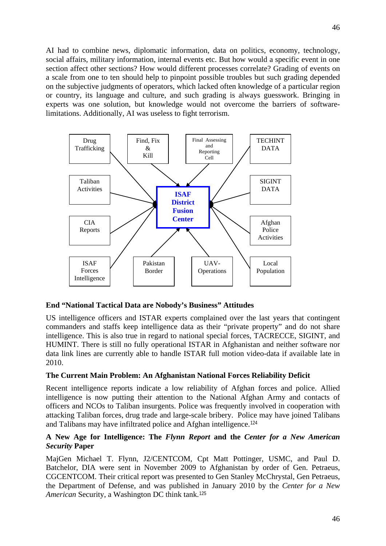AI had to combine news, diplomatic information, data on politics, economy, technology, social affairs, military information, internal events etc. But how would a specific event in one section affect other sections? How would different processes correlate? Grading of events on a scale from one to ten should help to pinpoint possible troubles but such grading depended on the subjective judgments of operators, which lacked often knowledge of a particular region or country, its language and culture, and such grading is always guesswork. Bringing in experts was one solution, but knowledge would not overcome the barriers of softwarelimitations. Additionally, AI was useless to fight terrorism.



# **End "National Tactical Data are Nobody's Business" Attitudes**

US intelligence officers and ISTAR experts complained over the last years that contingent commanders and staffs keep intelligence data as their "private property" and do not share intelligence. This is also true in regard to national special forces, TACRECCE, SIGINT, and HUMINT. There is still no fully operational ISTAR in Afghanistan and neither software nor data link lines are currently able to handle ISTAR full motion video-data if available late in 2010.

# **The Current Main Problem: An Afghanistan National Forces Reliability Deficit**

Recent intelligence reports indicate a low reliability of Afghan forces and police. Allied intelligence is now putting their attention to the National Afghan Army and contacts of officers and NCOs to Taliban insurgents. Police was frequently involved in cooperation with attacking Taliban forces, drug trade and large-scale bribery. Police may have joined Talibans and Talibans may have infiltrated police and Afghan intelligence.[124](#page-10-9)

# **A New Age for Intelligence: The** *Flynn Report* **and the** *Center for a New American Security* **Paper**

MajGen Michael T. Flynn, J2/CENTCOM, Cpt Matt Pottinger, USMC, and Paul D. Batchelor, DIA were sent in November 2009 to Afghanistan by order of Gen. Petraeus, CGCENTCOM. Their critical report was presented to Gen Stanley McChrystal, Gen Petraeus, the Department of Defense, and was published in January 2010 by the *Center for a New American* Security, a Washington DC think tank.[125](#page-10-10)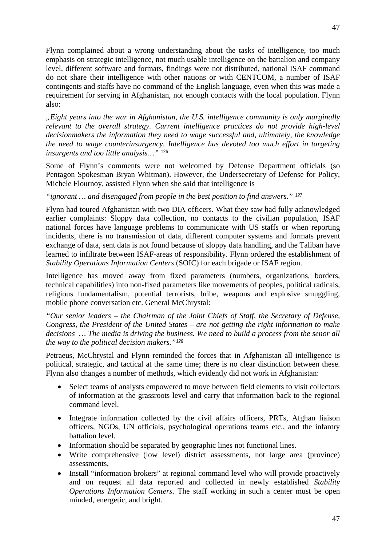Flynn complained about a wrong understanding about the tasks of intelligence, too much emphasis on strategic intelligence, not much usable intelligence on the battalion and company level, different software and formats, findings were not distributed, national ISAF command do not share their intelligence with other nations or with CENTCOM, a number of ISAF contingents and staffs have no command of the English language, even when this was made a requirement for serving in Afghanistan, not enough contacts with the local population. Flynn also:

*"Eight years into the war in Afghanistan, the U.S. intelligence community is only marginally relevant to the overall strategy. Current intelligence practices do not provide high-level decisionmakers the information they need to wage successful and, ultimately, the knowledge the need to wage counterinsurgency. Intelligence has devoted too much effort in targeting insurgents and too little analysis…"* [126](#page-10-11)

Some of Flynn's comments were not welcomed by Defense Department officials (so Pentagon Spokesman Bryan Whitman). However, the Undersecretary of Defense for Policy, Michele Flournoy, assisted Flynn when she said that intelligence is

*"ignorant … and disengaged from people in the best position to find answers." [127](#page-10-12)*

Flynn had toured Afghanistan with two DIA officers. What they saw had fully acknowledged earlier complaints: Sloppy data collection, no contacts to the civilian population, ISAF national forces have language problems to communicate with US staffs or when reporting incidents, there is no transmission of data, different computer systems and formats prevent exchange of data, sent data is not found because of sloppy data handling, and the Taliban have learned to infiltrate between ISAF-areas of responsibility. Flynn ordered the establishment of *Stability Operations Information Centers* (SOIC) for each brigade or ISAF region.

Intelligence has moved away from fixed parameters (numbers, organizations, borders, technical capabilities) into non-fixed parameters like movements of peoples, political radicals, religious fundamentalism, potential terrorists, bribe, weapons and explosive smuggling, mobile phone conversation etc. General McChrystal:

*"Our senior leaders – the Chairman of the Joint Chiefs of Staff, the Secretary of Defense, Congress, the President of the United States – are not getting the right information to make decisions … The media is driving the business. We need to build a process from the senor all the way to the political decision makers."[128](#page-10-13)*

Petraeus, McChrystal and Flynn reminded the forces that in Afghanistan all intelligence is political, strategic, and tactical at the same time; there is no clear distinction between these. Flynn also changes a number of methods, which evidently did not work in Afghanistan:

- Select teams of analysts empowered to move between field elements to visit collectors of information at the grassroots level and carry that information back to the regional command level.
- Integrate information collected by the civil affairs officers, PRTs, Afghan liaison officers, NGOs, UN officials, psychological operations teams etc., and the infantry battalion level.
- Information should be separated by geographic lines not functional lines.
- Write comprehensive (low level) district assessments, not large area (province) assessments,
- Install "information brokers" at regional command level who will provide proactively and on request all data reported and collected in newly established *Stability Operations Information Centers*. The staff working in such a center must be open minded, energetic, and bright.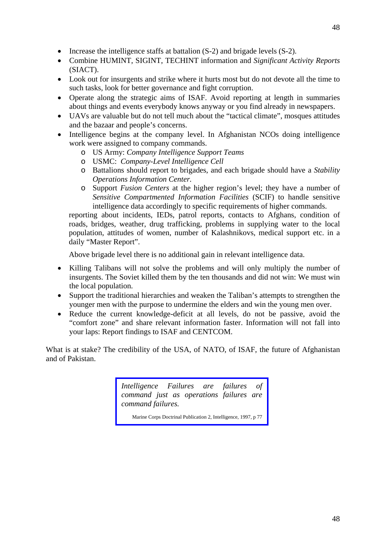- Increase the intelligence staffs at battalion (S-2) and brigade levels (S-2).
- Combine HUMINT, SIGINT, TECHINT information and *Significant Activity Reports* (SIACT).
- Look out for insurgents and strike where it hurts most but do not devote all the time to such tasks, look for better governance and fight corruption.
- Operate along the strategic aims of ISAF. Avoid reporting at length in summaries about things and events everybody knows anyway or you find already in newspapers.
- UAVs are valuable but do not tell much about the "tactical climate", mosques attitudes and the bazaar and people's concerns.
- Intelligence begins at the company level. In Afghanistan NCOs doing intelligence work were assigned to company commands.
	- o US Army: *Company Intelligence Support Teams*
	- o USMC: *Company-Level Intelligence Cell*
	- o Battalions should report to brigades, and each brigade should have a *Stability Operations Information Center.*
	- o Support *Fusion Centers* at the higher region's level; they have a number of *Sensitive Compartmented Information Facilities* (SCIF) to handle sensitive intelligence data accordingly to specific requirements of higher commands.

reporting about incidents, IEDs, patrol reports, contacts to Afghans, condition of roads, bridges, weather, drug trafficking, problems in supplying water to the local population, attitudes of women, number of Kalashnikovs, medical support etc. in a daily "Master Report".

Above brigade level there is no additional gain in relevant intelligence data.

- Killing Talibans will not solve the problems and will only multiply the number of insurgents. The Soviet killed them by the ten thousands and did not win: We must win the local population.
- Support the traditional hierarchies and weaken the Taliban's attempts to strengthen the younger men with the purpose to undermine the elders and win the young men over.
- Reduce the current knowledge-deficit at all levels, do not be passive, avoid the "comfort zone" and share relevant information faster. Information will not fall into your laps: Report findings to ISAF and CENTCOM.

What is at stake? The credibility of the USA, of NATO, of ISAF, the future of Afghanistan and of Pakistan.

> *Intelligence Failures are failures of command just as operations failures are command failures.*

Marine Corps Doctrinal Publication 2, Intelligence, 1997, p 77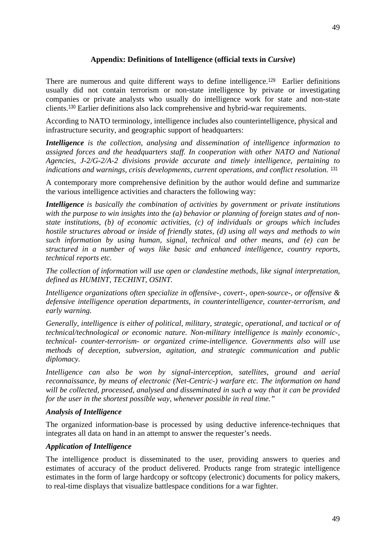### **Appendix: Definitions of Intelligence (official texts in** *Cursive***)**

There are numerous and quite different ways to define intelligence.<sup>[129](#page-10-14)</sup> Earlier definitions usually did not contain terrorism or non-state intelligence by private or investigating companies or private analysts who usually do intelligence work for state and non-state clients.[130](#page-10-15) Earlier definitions also lack comprehensive and hybrid-war requirements.

According to NATO terminology, intelligence includes also counterintelligence, physical and infrastructure security, and geographic support of headquarters:

*Intelligence is the collection, analysing and dissemination of intelligence information to assigned forces and the headquarters staff. In cooperation with other NATO and National Agencies, J-2/G-2/A-2 divisions provide accurate and timely intelligence, pertaining to indications and warnings, crisis developments, current operations, and conflict resolution.* [131](#page-10-16)

A contemporary more comprehensive definition by the author would define and summarize the various intelligence activities and characters the following way:

*Intelligence is basically the combination of activities by government or private institutions with the purpose to win insights into the (a) behavior or planning of foreign states and of nonstate institutions, (b) of economic activities, (c) of individuals or groups which includes hostile structures abroad or inside of friendly states, (d) using all ways and methods to win such information by using human, signal, technical and other means, and (e) can be structured in a number of ways like basic and enhanced intelligence, country reports, technical reports etc.* 

*The collection of information will use open or clandestine methods, like signal interpretation, defined as HUMINT, TECHINT, OSINT.* 

*Intelligence organizations often specialize in offensive-, covert-, open-source-, or offensive & defensive intelligence operation departments, in counterintelligence, counter-terrorism, and early warning.* 

*Generally, intelligence is either of political, military, strategic, operational, and tactical or of technical/technological or economic nature. Non-military intelligence is mainly economic-, technical- counter-terrorism- or organized crime-intelligence. Governments also will use methods of deception, subversion, agitation, and strategic communication and public diplomacy.* 

*Intelligence can also be won by signal-interception, satellites, ground and aerial reconnaissance, by means of electronic (Net-Centric-) warfare etc. The information on hand will be collected, processed, analysed and disseminated in such a way that it can be provided for the user in the shortest possible way, whenever possible in real time."* 

#### *Analysis of Intelligence*

The organized information-base is processed by using deductive inference-techniques that integrates all data on hand in an attempt to answer the requester's needs.

#### *Application of Intelligence*

The intelligence product is disseminated to the user, providing answers to queries and estimates of accuracy of the product delivered. Products range from strategic intelligence estimates in the form of large hardcopy or softcopy (electronic) documents for policy makers, to real-time displays that visualize battlespace conditions for a war fighter.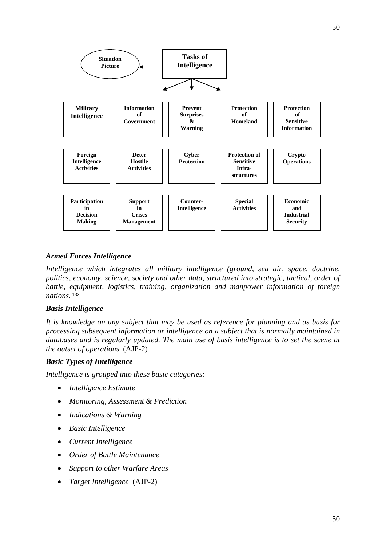

# *Armed Forces Intelligence*

*Intelligence which integrates all military intelligence (ground, sea air, space, doctrine, politics, economy, science, society and other data, structured into strategic, tactical, order of battle, equipment, logistics, training, organization and manpower information of foreign nations.* [132](#page-10-17)

#### *Basis Intelligence*

*It is knowledge on any subject that may be used as reference for planning and as basis for processing subsequent information or intelligence on a subject that is normally maintained in databases and is regularly updated. The main use of basis intelligence is to set the scene at the outset of operations.* (AJP-2)

# *Basic Types of Intelligence*

*Intelligence is grouped into these basic categories:*

- *Intelligence Estimate*
- *Monitoring, Assessment & Prediction*
- *Indications & Warning*
- *Basic Intelligence*
- *Current Intelligence*
- *Order of Battle Maintenance*
- *Support to other Warfare Areas*
- *Target Intelligence* (AJP-2)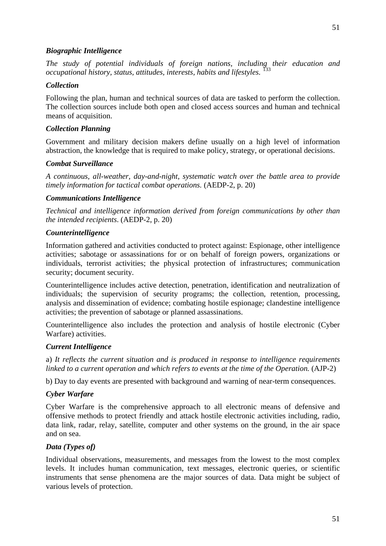#### *Biographic Intelligence*

*The study of potential individuals of foreign nations, including their education and occupational history, status, attitudes, interests, habits and lifestyles.* 

#### *Collection*

Following the plan, human and technical sources of data are tasked to perform the collection. The collection sources include both open and closed access sources and human and technical means of acquisition.

#### *Collection Planning*

Government and military decision makers define usually on a high level of information abstraction, the knowledge that is required to make policy, strategy, or operational decisions.

#### *Combat Surveillance*

*A continuous, all-weather, day-and-night, systematic watch over the battle area to provide timely information for tactical combat operations.* (AEDP-2, p. 20)

#### *Communications Intelligence*

*Technical and intelligence information derived from foreign communications by other than the intended recipients*. (AEDP-2, p. 20)

#### *Counterintelligence*

Information gathered and activities conducted to protect against: Espionage, other intelligence activities; sabotage or assassinations for or on behalf of foreign powers, organizations or individuals, terrorist activities; the physical protection of infrastructures; communication security; document security.

Counterintelligence includes active detection, penetration, identification and neutralization of individuals; the supervision of security programs; the collection, retention, processing, analysis and dissemination of evidence; combating hostile espionage; clandestine intelligence activities; the prevention of sabotage or planned assassinations.

Counterintelligence also includes the protection and analysis of hostile electronic (Cyber Warfare) activities.

#### *Current Intelligence*

a) *It reflects the current situation and is produced in response to intelligence requirements*  linked to a current operation and which refers to events at the time of the Operation. (AJP-2)

b) Day to day events are presented with background and warning of near-term consequences.

#### *Cyber Warfare*

Cyber Warfare is the comprehensive approach to all electronic means of defensive and offensive methods to protect friendly and attack hostile electronic activities including, radio, data link, radar, relay, satellite, computer and other systems on the ground, in the air space and on sea.

#### *Data (Types of)*

Individual observations, measurements, and messages from the lowest to the most complex levels. It includes human communication, text messages, electronic queries, or scientific instruments that sense phenomena are the major sources of data. Data might be subject of various levels of protection.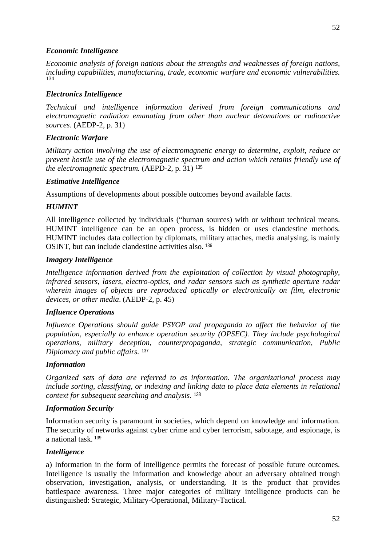### *Economic Intelligence*

*Economic analysis of foreign nations about the strengths and weaknesses of foreign nations, including capabilities, manufacturing, trade, economic warfare and economic vulnerabilities.* [134](#page-10-19)

# *Electronics Intelligence*

*Technical and intelligence information derived from foreign communications and electromagnetic radiation emanating from other than nuclear detonations or radioactive sources*. (AEDP-2, p. 31)

#### *Electronic Warfare*

*Military action involving the use of electromagnetic energy to determine, exploit, reduce or prevent hostile use of the electromagnetic spectrum and action which retains friendly use of the electromagnetic spectrum.* (AEPD-2, p. 31) [135](#page-10-20)

### *Estimative Intelligence*

Assumptions of developments about possible outcomes beyond available facts.

### *HUMINT*

All intelligence collected by individuals ("human sources) with or without technical means. HUMINT intelligence can be an open process, is hidden or uses clandestine methods. HUMINT includes data collection by diplomats, military attaches, media analysing, is mainly OSINT, but can include clandestine activities also. [136](#page-10-21)

#### *Imagery Intelligence*

*Intelligence information derived from the exploitation of collection by visual photography, infrared sensors, lasers, electro-optics, and radar sensors such as synthetic aperture radar wherein images of objects are reproduced optically or electronically on film, electronic devices, or other media*. (AEDP-2, p. 45)

#### *Influence Operations*

*Influence Operations should guide PSYOP and propaganda to affect the behavior of the population, especially to enhance operation security (OPSEC). They include psychological operations, military deception, counterpropaganda, strategic communication, Public Diplomacy and public affairs.* [137](#page-10-22)

#### *Information*

*Organized sets of data are referred to as information. The organizational process may include sorting, classifying, or indexing and linking data to place data elements in relational context for subsequent searching and analysis.* [138](#page-10-23)

#### *Information Security*

Information security is paramount in societies, which depend on knowledge and information. The security of networks against cyber crime and cyber terrorism, sabotage, and espionage, is a national task. [139](#page-11-0)

#### *Intelligence*

a) Information in the form of intelligence permits the forecast of possible future outcomes. Intelligence is usually the information and knowledge about an adversary obtained trough observation, investigation, analysis, or understanding. It is the product that provides battlespace awareness. Three major categories of military intelligence products can be distinguished: Strategic, Military-Operational, Military-Tactical.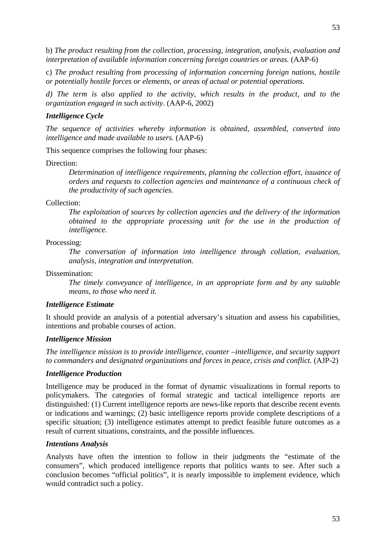53

c) *The product resulting from processing of information concerning foreign nations, hostile or potentially hostile forces or elements, or areas of actual or potential operations.*

*interpretation of available information concerning foreign countries or areas.* (AAP-6)

*d) The term is also applied to the activity, which results in the product, and to the organization engaged in such activity*. (AAP-6, 2002)

# *Intelligence Cycle*

*The sequence of activities whereby information is obtained, assembled, converted into intelligence and made available to users.* (AAP-6)

This sequence comprises the following four phases:

Direction:

*Determination of intelligence requirements, planning the collection effort, issuance of orders and requests to collection agencies and maintenance of a continuous check of the productivity of such agencies.*

Collection:

*The exploitation of sources by collection agencies and the delivery of the information obtained to the appropriate processing unit for the use in the production of intelligence.*

Processing:

*The conversation of information into intelligence through collation, evaluation, analysis, integration and interpretation.*

Dissemination:

*The timely conveyance of intelligence, in an appropriate form and by any suitable means, to those who need it.* 

# *Intelligence Estimate*

It should provide an analysis of a potential adversary's situation and assess his capabilities, intentions and probable courses of action.

# *Intelligence Mission*

*The intelligence mission is to provide intelligence, counter –intelligence, and security support to commanders and designated organizations and forces in peace, crisis and conflict.* (AJP-2)

# *Intelligence Production*

Intelligence may be produced in the format of dynamic visualizations in formal reports to policymakers. The categories of formal strategic and tactical intelligence reports are distinguished: (1) Current intelligence reports are news-like reports that describe recent events or indications and warnings; (2) basic intelligence reports provide complete descriptions of a specific situation; (3) intelligence estimates attempt to predict feasible future outcomes as a result of current situations, constraints, and the possible influences.

# *Intentions Analysis*

Analysts have often the intention to follow in their judgments the "estimate of the consumers", which produced intelligence reports that politics wants to see. After such a conclusion becomes "official politics", it is nearly impossible to implement evidence, which would contradict such a policy.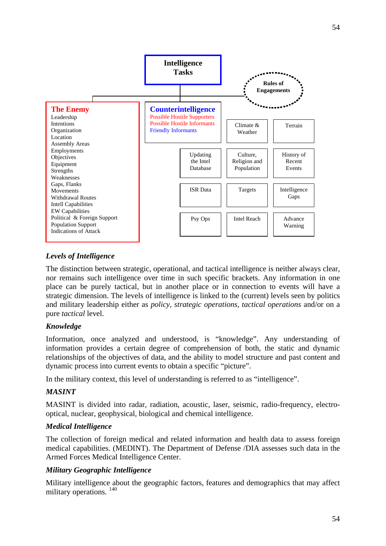

# *Levels of Intelligence*

The distinction between strategic, operational, and tactical intelligence is neither always clear, nor remains such intelligence over time in such specific brackets. Any information in one place can be purely tactical, but in another place or in connection to events will have a strategic dimension. The levels of intelligence is linked to the (current) levels seen by politics and military leadership either as *policy, strategic operations, tactical operations* and/or on a pure *tactical* level.

# *Knowledge*

Information, once analyzed and understood, is "knowledge". Any understanding of information provides a certain degree of comprehension of both, the static and dynamic relationships of the objectives of data, and the ability to model structure and past content and dynamic process into current events to obtain a specific "picture".

In the military context, this level of understanding is referred to as "intelligence".

# *MASINT*

MASINT is divided into radar, radiation, acoustic, laser, seismic, radio-frequency, electrooptical, nuclear, geophysical, biological and chemical intelligence.

#### *Medical Intelligence*

The collection of foreign medical and related information and health data to assess foreign medical capabilities. (MEDINT). The Department of Defense /DIA assesses such data in the Armed Forces Medical Intelligence Center.

# *Military Geographic Intelligence*

Military intelligence about the geographic factors, features and demographics that may affect military operations.<sup>[140](#page-11-1)</sup>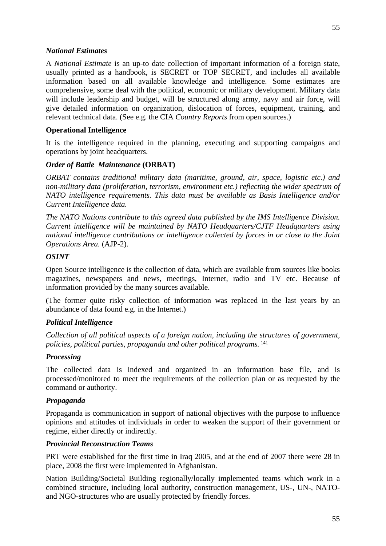A *National Estimate* is an up-to date collection of important information of a foreign state, usually printed as a handbook, is SECRET or TOP SECRET, and includes all available information based on all available knowledge and intelligence. Some estimates are comprehensive, some deal with the political, economic or military development. Military data will include leadership and budget, will be structured along army, navy and air force, will give detailed information on organization, dislocation of forces, equipment, training, and relevant technical data. (See e.g. the CIA *Country Reports* from open sources.)

### **Operational Intelligence**

It is the intelligence required in the planning, executing and supporting campaigns and operations by joint headquarters.

#### *Order of Battle Maintenance* **(ORBAT)**

*ORBAT contains traditional military data (maritime, ground, air, space, logistic etc.) and non-military data (proliferation, terrorism, environment etc.) reflecting the wider spectrum of NATO intelligence requirements. This data must be available as Basis Intelligence and/or Current Intelligence data.*

*The NATO Nations contribute to this agreed data published by the IMS Intelligence Division. Current intelligence will be maintained by NATO Headquarters/CJTF Headquarters using national intelligence contributions or intelligence collected by forces in or close to the Joint Operations Area.* (AJP-2).

### *OSINT*

Open Source intelligence is the collection of data, which are available from sources like books magazines, newspapers and news, meetings, Internet, radio and TV etc. Because of information provided by the many sources available.

(The former quite risky collection of information was replaced in the last years by an abundance of data found e.g. in the Internet.)

# *Political Intelligence*

*Collection of all political aspects of a foreign nation, including the structures of government, policies, political parties, propaganda and other political programs.* [141](#page-11-2)

# *Processing*

The collected data is indexed and organized in an information base file, and is processed/monitored to meet the requirements of the collection plan or as requested by the command or authority.

#### *Propaganda*

Propaganda is communication in support of national objectives with the purpose to influence opinions and attitudes of individuals in order to weaken the support of their government or regime, either directly or indirectly.

#### *Provincial Reconstruction Teams*

PRT were established for the first time in Iraq 2005, and at the end of 2007 there were 28 in place, 2008 the first were implemented in Afghanistan.

Nation Building/Societal Building regionally/locally implemented teams which work in a combined structure, including local authority, construction management, US-, UN-, NATOand NGO-structures who are usually protected by friendly forces.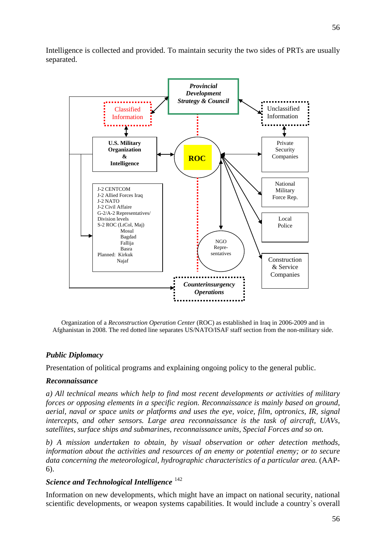

Organization of a *Reconstruction Operation Center* (ROC) as established in Iraq in 2006-2009 and in Afghanistan in 2008. The red dotted line separates US/NATO/ISAF staff section from the non-military side.

# *Public Diplomacy*

Presentation of political programs and explaining ongoing policy to the general public.

# *Reconnaissance*

*a) All technical means which help to find most recent developments or activities of military forces or opposing elements in a specific region. Reconnaissance is mainly based on ground, aerial, naval or space units or platforms and uses the eye, voice, film, optronics, IR, signal intercepts, and other sensors. Large area reconnaissance is the task of aircraft, UAVs, satellites, surface ships and submarines, reconnaissance units, Special Forces and so on.*

*b) A mission undertaken to obtain, by visual observation or other detection methods, information about the activities and resources of an enemy or potential enemy; or to secure data concerning the meteorological, hydrographic characteristics of a particular area.* (AAP-6).

# *Science and Technological Intelligence* [142](#page-11-3)

Information on new developments, which might have an impact on national security, national scientific developments, or weapon systems capabilities. It would include a country`s overall

56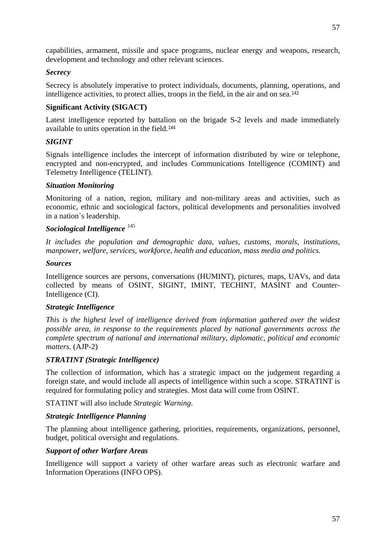capabilities, armament, missile and space programs, nuclear energy and weapons, research, development and technology and other relevant sciences.

### *Secrecy*

Secrecy is absolutely imperative to protect individuals, documents, planning, operations, and intelligence activities, to protect allies, troops in the field, in the air and on sea.[143](#page-11-4)

# **Significant Activity (SIGACT)**

Latest intelligence reported by battalion on the brigade S-2 levels and made immediately available to units operation in the field.[144](#page-11-5)

### *SIGINT*

Signals intelligence includes the intercept of information distributed by wire or telephone, encrypted and non-encrypted, and includes Communications Intelligence (COMINT) and Telemetry Intelligence (TELINT).

#### *Situation Monitoring*

Monitoring of a nation, region, military and non-military areas and activities, such as economic, ethnic and sociological factors, political developments and personalities involved in a nation`s leadership.

### *Sociological Intelligence* [145](#page-11-6)

*It includes the population and demographic data, values, customs, morals, institutions, manpower, welfare, services, workforce, health and education, mass media and politics.*

#### *Sources*

Intelligence sources are persons, conversations (HUMINT), pictures, maps, UAVs, and data collected by means of OSINT, SIGINT, IMINT, TECHINT, MASINT and Counter-Intelligence (CI).

# *Strategic Intelligence*

*This is the highest level of intelligence derived from information gathered over the widest possible area, in response to the requirements placed by national governments across the complete spectrum of national and international military, diplomatic, political and economic matters.* (AJP-2)

# *STRATINT (Strategic Intelligence)*

The collection of information, which has a strategic impact on the judgement regarding a foreign state, and would include all aspects of intelligence within such a scope. STRATINT is required for formulating policy and strategies. Most data will come from OSINT.

STATINT will also include *Strategic Warning*.

#### *Strategic Intelligence Planning*

The planning about intelligence gathering, priorities, requirements, organizations, personnel, budget, political oversight and regulations.

#### *Support of other Warfare Areas*

Intelligence will support a variety of other warfare areas such as electronic warfare and Information Operations (INFO OPS).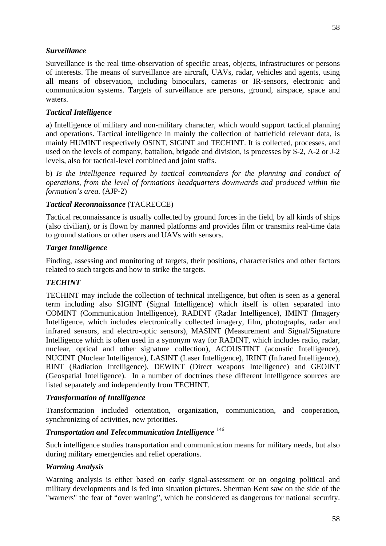# *Surveillance*

Surveillance is the real time-observation of specific areas, objects, infrastructures or persons of interests. The means of surveillance are aircraft, UAVs, radar, vehicles and agents, using all means of observation, including binoculars, cameras or IR-sensors, electronic and communication systems. Targets of surveillance are persons, ground, airspace, space and waters.

# *Tactical Intelligence*

a) Intelligence of military and non-military character, which would support tactical planning and operations. Tactical intelligence in mainly the collection of battlefield relevant data, is mainly HUMINT respectively OSINT, SIGINT and TECHINT. It is collected, processes, and used on the levels of company, battalion, brigade and division, is processes by S-2, A-2 or J-2 levels, also for tactical-level combined and joint staffs.

b) *Is the intelligence required by tactical commanders for the planning and conduct of operations, from the level of formations headquarters downwards and produced within the formation's area.* (AJP-2)

# *Tactical Reconnaissance* (TACRECCE)

Tactical reconnaissance is usually collected by ground forces in the field, by all kinds of ships (also civilian), or is flown by manned platforms and provides film or transmits real-time data to ground stations or other users and UAVs with sensors.

# *Target Intelligence*

Finding, assessing and monitoring of targets, their positions, characteristics and other factors related to such targets and how to strike the targets.

# *TECHINT*

TECHINT may include the collection of technical intelligence, but often is seen as a general term including also SIGINT (Signal Intelligence) which itself is often separated into COMINT (Communication Intelligence), RADINT (Radar Intelligence), IMINT (Imagery Intelligence, which includes electronically collected imagery, film, photographs, radar and infrared sensors, and electro-optic sensors), MASINT (Measurement and Signal/Signature Intelligence which is often used in a synonym way for RADINT, which includes radio, radar, nuclear, optical and other signature collection), ACOUSTINT (acoustic Intelligence), NUCINT (Nuclear Intelligence), LASINT (Laser Intelligence), IRINT (Infrared Intelligence), RINT (Radiation Intelligence), DEWINT (Direct weapons Intelligence) and GEOINT (Geospatial Intelligence). In a number of doctrines these different intelligence sources are listed separately and independently from TECHINT.

# *Transformation of Intelligence*

Transformation included orientation, organization, communication, and cooperation, synchronizing of activities, new priorities.

# *Transportation and Telecommunication Intelligence* [146](#page-11-7)

Such intelligence studies transportation and communication means for military needs, but also during military emergencies and relief operations.

# *Warning Analysis*

Warning analysis is either based on early signal-assessment or on ongoing political and military developments and is fed into situation pictures. Sherman Kent saw on the side of the "warners" the fear of "over waning", which he considered as dangerous for national security.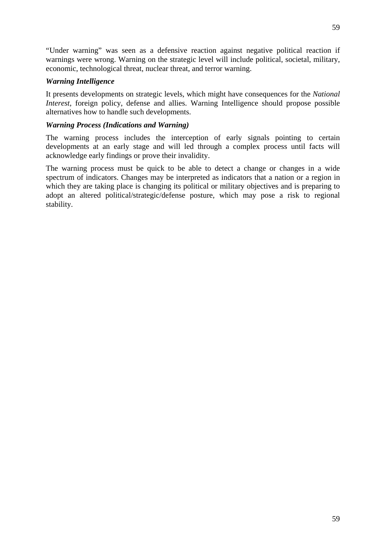"Under warning" was seen as a defensive reaction against negative political reaction if warnings were wrong. Warning on the strategic level will include political, societal, military, economic, technological threat, nuclear threat, and terror warning.

# *Warning Intelligence*

It presents developments on strategic levels, which might have consequences for the *National Interest*, foreign policy, defense and allies. Warning Intelligence should propose possible alternatives how to handle such developments.

### *Warning Process (Indications and Warning)*

The warning process includes the interception of early signals pointing to certain developments at an early stage and will led through a complex process until facts will acknowledge early findings or prove their invalidity.

The warning process must be quick to be able to detect a change or changes in a wide spectrum of indicators. Changes may be interpreted as indicators that a nation or a region in which they are taking place is changing its political or military objectives and is preparing to adopt an altered political/strategic/defense posture, which may pose a risk to regional stability.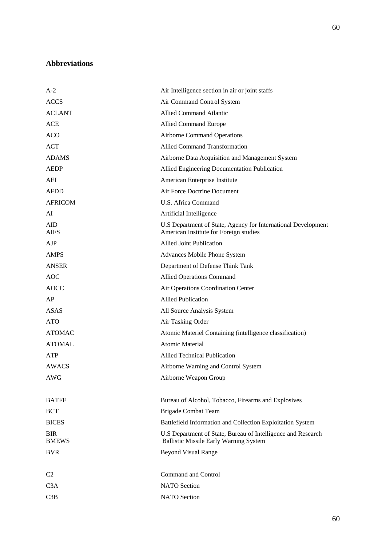# **Abbreviations**

| $A-2$                      | Air Intelligence section in air or joint staffs                                                               |
|----------------------------|---------------------------------------------------------------------------------------------------------------|
| <b>ACCS</b>                | Air Command Control System                                                                                    |
| <b>ACLANT</b>              | <b>Allied Command Atlantic</b>                                                                                |
| <b>ACE</b>                 | Allied Command Europe                                                                                         |
| <b>ACO</b>                 | <b>Airborne Command Operations</b>                                                                            |
| ACT                        | <b>Allied Command Transformation</b>                                                                          |
| <b>ADAMS</b>               | Airborne Data Acquisition and Management System                                                               |
| <b>AEDP</b>                | Allied Engineering Documentation Publication                                                                  |
| AEI                        | American Enterprise Institute                                                                                 |
| <b>AFDD</b>                | Air Force Doctrine Document                                                                                   |
| <b>AFRICOM</b>             | U.S. Africa Command                                                                                           |
| AI                         | Artificial Intelligence                                                                                       |
| <b>AID</b><br><b>AIFS</b>  | U.S Department of State, Agency for International Development<br>American Institute for Foreign studies       |
| AJP                        | <b>Allied Joint Publication</b>                                                                               |
| <b>AMPS</b>                | Advances Mobile Phone System                                                                                  |
| <b>ANSER</b>               | Department of Defense Think Tank                                                                              |
| <b>AOC</b>                 | <b>Allied Operations Command</b>                                                                              |
| <b>AOCC</b>                | Air Operations Coordination Center                                                                            |
| AP                         | <b>Allied Publication</b>                                                                                     |
| <b>ASAS</b>                | All Source Analysis System                                                                                    |
| <b>ATO</b>                 | Air Tasking Order                                                                                             |
| <b>ATOMAC</b>              | Atomic Materiel Containing (intelligence classification)                                                      |
| <b>ATOMAL</b>              | <b>Atomic Material</b>                                                                                        |
| ATP                        | <b>Allied Technical Publication</b>                                                                           |
| AWACS                      | Airborne Warning and Control System                                                                           |
| AWG                        | Airborne Weapon Group                                                                                         |
| <b>BATFE</b>               | Bureau of Alcohol, Tobacco, Firearms and Explosives                                                           |
| <b>BCT</b>                 | <b>Brigade Combat Team</b>                                                                                    |
| <b>BICES</b>               | Battlefield Information and Collection Exploitation System                                                    |
| <b>BIR</b><br><b>BMEWS</b> | U.S Department of State, Bureau of Intelligence and Research<br><b>Ballistic Missile Early Warning System</b> |
| <b>BVR</b>                 | <b>Beyond Visual Range</b>                                                                                    |
| C <sub>2</sub>             | Command and Control                                                                                           |
| C3A                        | <b>NATO</b> Section                                                                                           |
| C3B                        | <b>NATO</b> Section                                                                                           |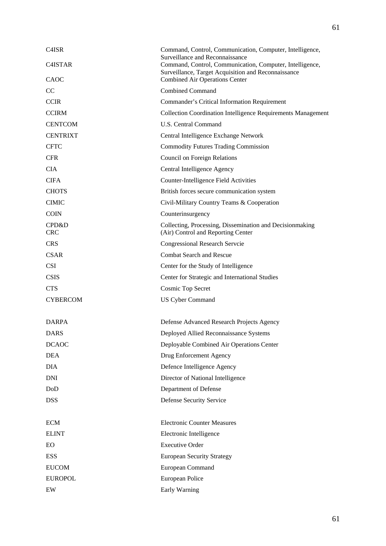| C <sub>4</sub> ISR  | Command, Control, Communication, Computer, Intelligence,<br>Surveillance and Reconnaissance                     |
|---------------------|-----------------------------------------------------------------------------------------------------------------|
| C4ISTAR             | Command, Control, Communication, Computer, Intelligence,<br>Surveillance, Target Acquisition and Reconnaissance |
| CAOC                | <b>Combined Air Operations Center</b>                                                                           |
| CC                  | <b>Combined Command</b>                                                                                         |
| <b>CCIR</b>         | Commander's Critical Information Requirement                                                                    |
| <b>CCIRM</b>        | <b>Collection Coordination Intelligence Requirements Management</b>                                             |
| <b>CENTCOM</b>      | <b>U.S. Central Command</b>                                                                                     |
| <b>CENTRIXT</b>     | Central Intelligence Exchange Network                                                                           |
| <b>CFTC</b>         | <b>Commodity Futures Trading Commission</b>                                                                     |
| <b>CFR</b>          | Council on Foreign Relations                                                                                    |
| <b>CIA</b>          | Central Intelligence Agency                                                                                     |
| <b>CIFA</b>         | Counter-Intelligence Field Activities                                                                           |
| <b>CHOTS</b>        | British forces secure communication system                                                                      |
| <b>CIMIC</b>        | Civil-Military Country Teams & Cooperation                                                                      |
| <b>COIN</b>         | Counterinsurgency                                                                                               |
| CPD&D<br><b>CRC</b> | Collecting, Processing, Dissemination and Decisionmaking<br>(Air) Control and Reporting Center                  |
| <b>CRS</b>          | <b>Congressional Research Servcie</b>                                                                           |
| <b>CSAR</b>         | <b>Combat Search and Rescue</b>                                                                                 |
| <b>CSI</b>          | Center for the Study of Intelligence                                                                            |
| <b>CSIS</b>         | Center for Strategic and International Studies                                                                  |
| <b>CTS</b>          | <b>Cosmic Top Secret</b>                                                                                        |
| <b>CYBERCOM</b>     | <b>US Cyber Command</b>                                                                                         |
| <b>DARPA</b>        | Defense Advanced Research Projects Agency                                                                       |
| <b>DARS</b>         | Deployed Allied Reconnaissance Systems                                                                          |
| <b>DCAOC</b>        | Deployable Combined Air Operations Center                                                                       |
| <b>DEA</b>          | Drug Enforcement Agency                                                                                         |
| <b>DIA</b>          | Defence Intelligence Agency                                                                                     |
| <b>DNI</b>          | Director of National Intelligence                                                                               |
| DoD                 | Department of Defense                                                                                           |
| <b>DSS</b>          | Defense Security Service                                                                                        |
|                     |                                                                                                                 |
| <b>ECM</b>          | <b>Electronic Counter Measures</b>                                                                              |
| <b>ELINT</b>        | Electronic Intelligence                                                                                         |
| EO                  | <b>Executive Order</b>                                                                                          |
| <b>ESS</b>          | <b>European Security Strategy</b>                                                                               |
| <b>EUCOM</b>        | European Command                                                                                                |
| <b>EUROPOL</b>      | European Police                                                                                                 |
| EW                  | Early Warning                                                                                                   |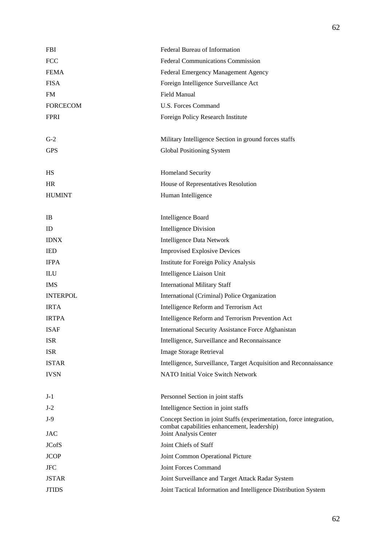| <b>FBI</b>                  | Federal Bureau of Information                                                                                                                 |
|-----------------------------|-----------------------------------------------------------------------------------------------------------------------------------------------|
| <b>FCC</b>                  | <b>Federal Communications Commission</b>                                                                                                      |
| <b>FEMA</b>                 | Federal Emergency Management Agency                                                                                                           |
| <b>FISA</b>                 | Foreign Intelligence Surveillance Act                                                                                                         |
| <b>FM</b>                   | <b>Field Manual</b>                                                                                                                           |
| <b>FORCECOM</b>             | <b>U.S. Forces Command</b>                                                                                                                    |
| <b>FPRI</b>                 | Foreign Policy Research Institute                                                                                                             |
|                             |                                                                                                                                               |
| $G-2$                       | Military Intelligence Section in ground forces staffs                                                                                         |
| <b>GPS</b>                  | Global Positioning System                                                                                                                     |
| HS                          | Homeland Security                                                                                                                             |
| <b>HR</b>                   | House of Representatives Resolution                                                                                                           |
| <b>HUMINT</b>               | Human Intelligence                                                                                                                            |
|                             |                                                                                                                                               |
| IB                          | <b>Intelligence Board</b>                                                                                                                     |
| ID                          | <b>Intelligence Division</b>                                                                                                                  |
| <b>IDNX</b>                 | <b>Intelligence Data Network</b>                                                                                                              |
| <b>IED</b>                  | <b>Improvised Explosive Devices</b>                                                                                                           |
| <b>IFPA</b>                 | Institute for Foreign Policy Analysis                                                                                                         |
| $\mathop{\rm ILU}\nolimits$ | Intelligence Liaison Unit                                                                                                                     |
| <b>IMS</b>                  | <b>International Military Staff</b>                                                                                                           |
| <b>INTERPOL</b>             | International (Criminal) Police Organization                                                                                                  |
| <b>IRTA</b>                 | Intelligence Reform and Terrorism Act                                                                                                         |
| <b>IRTPA</b>                | Intelligence Reform and Terrorism Prevention Act                                                                                              |
| <b>ISAF</b>                 | International Security Assistance Force Afghanistan                                                                                           |
| <b>ISR</b>                  | Intelligence, Surveillance and Reconnaissance                                                                                                 |
| <b>ISR</b>                  | <b>Image Storage Retrieval</b>                                                                                                                |
| <b>ISTAR</b>                | Intelligence, Surveillance, Target Acquisition and Reconnaissance                                                                             |
| <b>IVSN</b>                 | <b>NATO Initial Voice Switch Network</b>                                                                                                      |
|                             |                                                                                                                                               |
| $J-1$                       | Personnel Section in joint staffs                                                                                                             |
| $J-2$                       | Intelligence Section in joint staffs                                                                                                          |
| $J-9$<br><b>JAC</b>         | Concept Section in joint Staffs (experimentation, force integration,<br>combat capabilities enhancement, leadership)<br>Joint Analysis Center |
| <b>JCofS</b>                | Joint Chiefs of Staff                                                                                                                         |
| <b>JCOP</b>                 | Joint Common Operational Picture                                                                                                              |
| <b>JFC</b>                  | Joint Forces Command                                                                                                                          |
| <b>JSTAR</b>                | Joint Surveillance and Target Attack Radar System                                                                                             |
| <b>JTIDS</b>                | Joint Tactical Information and Intelligence Distribution System                                                                               |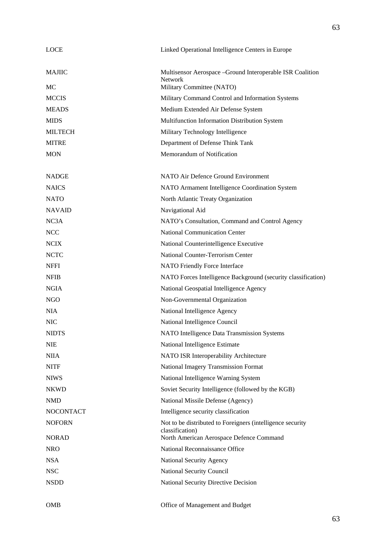| <b>LOCE</b>                 | Linked Operational Intelligence Centers in Europe                                                  |
|-----------------------------|----------------------------------------------------------------------------------------------------|
| <b>MAJIIC</b><br>MC         | Multisensor Aerospace - Ground Interoperable ISR Coalition<br>Network<br>Military Committee (NATO) |
|                             |                                                                                                    |
| <b>MCCIS</b>                | Military Command Control and Information Systems<br>Medium Extended Air Defense System             |
| <b>MEADS</b><br><b>MIDS</b> |                                                                                                    |
| <b>MILTECH</b>              | Multifunction Information Distribution System                                                      |
|                             | Military Technology Intelligence                                                                   |
| <b>MITRE</b>                | Department of Defense Think Tank                                                                   |
| <b>MON</b>                  | Memorandum of Notification                                                                         |
| <b>NADGE</b>                | NATO Air Defence Ground Environment                                                                |
| <b>NAICS</b>                | NATO Armament Intelligence Coordination System                                                     |
| <b>NATO</b>                 | North Atlantic Treaty Organization                                                                 |
| <b>NAVAID</b>               | Navigational Aid                                                                                   |
| NC3A                        | NATO's Consultation, Command and Control Agency                                                    |
| <b>NCC</b>                  | <b>National Communication Center</b>                                                               |
| <b>NCIX</b>                 | National Counterintelligence Executive                                                             |
| <b>NCTC</b>                 | National Counter-Terrorism Center                                                                  |
| <b>NFFI</b>                 | NATO Friendly Force Interface                                                                      |
| <b>NFIB</b>                 | NATO Forces Intelligence Background (security classification)                                      |
| <b>NGIA</b>                 | National Geospatial Intelligence Agency                                                            |
| NGO                         | Non-Governmental Organization                                                                      |
| <b>NIA</b>                  | National Intelligence Agency                                                                       |
| <b>NIC</b>                  | National Intelligence Council                                                                      |
| <b>NIDTS</b>                | NATO Intelligence Data Transmission Systems                                                        |
| <b>NIE</b>                  | National Intelligence Estimate                                                                     |
| <b>NIIA</b>                 | NATO ISR Interoperability Architecture                                                             |
| <b>NITF</b>                 | National Imagery Transmission Format                                                               |
| <b>NIWS</b>                 | National Intelligence Warning System                                                               |
| <b>NKWD</b>                 | Soviet Security Intelligence (followed by the KGB)                                                 |
| <b>NMD</b>                  | National Missile Defense (Agency)                                                                  |
| <b>NOCONTACT</b>            | Intelligence security classification                                                               |
| <b>NOFORN</b>               | Not to be distributed to Foreigners (intelligence security<br>classification)                      |
| <b>NORAD</b>                | North American Aerospace Defence Command                                                           |
| <b>NRO</b>                  | National Reconnaissance Office                                                                     |
| <b>NSA</b>                  | National Security Agency                                                                           |
| <b>NSC</b>                  | National Security Council                                                                          |
| <b>NSDD</b>                 | National Security Directive Decision                                                               |
| <b>OMB</b>                  | Office of Management and Budget                                                                    |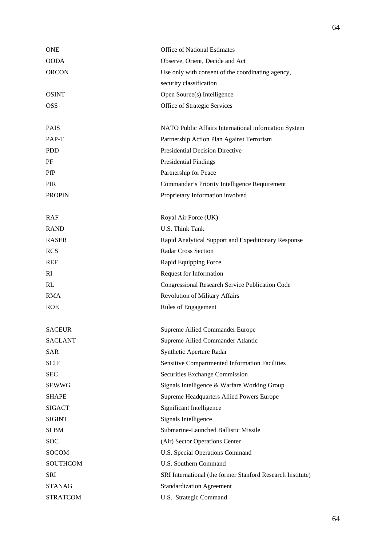| <b>ONE</b>      | <b>Office of National Estimates</b>                        |
|-----------------|------------------------------------------------------------|
| <b>OODA</b>     | Observe, Orient, Decide and Act                            |
| <b>ORCON</b>    | Use only with consent of the coordinating agency,          |
|                 | security classification                                    |
| <b>OSINT</b>    | Open Source(s) Intelligence                                |
| <b>OSS</b>      | Office of Strategic Services                               |
|                 |                                                            |
| <b>PAIS</b>     | NATO Public Affairs International information System       |
| PAP-T           | Partnership Action Plan Against Terrorism                  |
| <b>PDD</b>      | <b>Presidential Decision Directive</b>                     |
| PF              | <b>Presidential Findings</b>                               |
| <b>PfP</b>      | Partnership for Peace                                      |
| <b>PIR</b>      | Commander's Priority Intelligence Requirement              |
| <b>PROPIN</b>   | Proprietary Information involved                           |
|                 |                                                            |
| <b>RAF</b>      | Royal Air Force (UK)                                       |
| <b>RAND</b>     | <b>U.S. Think Tank</b>                                     |
| <b>RASER</b>    | Rapid Analytical Support and Expeditionary Response        |
| <b>RCS</b>      | <b>Radar Cross Section</b>                                 |
| <b>REF</b>      | Rapid Equipping Force                                      |
| RI              | Request for Information                                    |
| RL              | Congressional Research Service Publication Code            |
| <b>RMA</b>      | <b>Revolution of Military Affairs</b>                      |
| <b>ROE</b>      | Rules of Engagement                                        |
|                 |                                                            |
| <b>SACEUR</b>   | Supreme Allied Commander Europe                            |
| <b>SACLANT</b>  | Supreme Allied Commander Atlantic                          |
| SAR             | Synthetic Aperture Radar                                   |
| <b>SCIF</b>     | <b>Sensitive Compartmented Information Facilities</b>      |
| <b>SEC</b>      | Securities Exchange Commission                             |
| <b>SEWWG</b>    | Signals Intelligence & Warfare Working Group               |
| <b>SHAPE</b>    | Supreme Headquarters Allied Powers Europe                  |
| <b>SIGACT</b>   | Significant Intelligence                                   |
| <b>SIGINT</b>   | Signals Intelligence                                       |
| <b>SLBM</b>     | Submarine-Launched Ballistic Missile                       |
| <b>SOC</b>      | (Air) Sector Operations Center                             |
| <b>SOCOM</b>    | U.S. Special Operations Command                            |
| <b>SOUTHCOM</b> | U.S. Southern Command                                      |
| SRI             | SRI International (the former Stanford Research Institute) |
| <b>STANAG</b>   | <b>Standardization Agreement</b>                           |
| <b>STRATCOM</b> | U.S. Strategic Command                                     |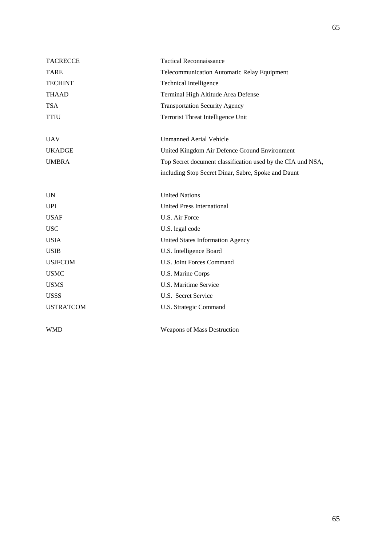| <b>TACRECCE</b>  | <b>Tactical Reconnaissance</b>                              |
|------------------|-------------------------------------------------------------|
| <b>TARE</b>      | <b>Telecommunication Automatic Relay Equipment</b>          |
| <b>TECHINT</b>   | <b>Technical Intelligence</b>                               |
| <b>THAAD</b>     | Terminal High Altitude Area Defense                         |
| <b>TSA</b>       | <b>Transportation Security Agency</b>                       |
| <b>TTIU</b>      | Terrorist Threat Intelligence Unit                          |
|                  |                                                             |
| <b>UAV</b>       | <b>Unmanned Aerial Vehicle</b>                              |
| <b>UKADGE</b>    | United Kingdom Air Defence Ground Environment               |
| <b>UMBRA</b>     | Top Secret document classification used by the CIA und NSA, |
|                  | including Stop Secret Dinar, Sabre, Spoke and Daunt         |
|                  |                                                             |
| <b>UN</b>        | <b>United Nations</b>                                       |
| <b>UPI</b>       | <b>United Press International</b>                           |
| <b>USAF</b>      | U.S. Air Force                                              |
| <b>USC</b>       | U.S. legal code                                             |
| <b>USIA</b>      | <b>United States Information Agency</b>                     |
| <b>USIB</b>      | U.S. Intelligence Board                                     |
| <b>USJFCOM</b>   | U.S. Joint Forces Command                                   |
| <b>USMC</b>      | U.S. Marine Corps                                           |
| <b>USMS</b>      | U.S. Maritime Service                                       |
| <b>USSS</b>      | U.S. Secret Service                                         |
| <b>USTRATCOM</b> | U.S. Strategic Command                                      |
| <b>WMD</b>       | <b>Weapons of Mass Destruction</b>                          |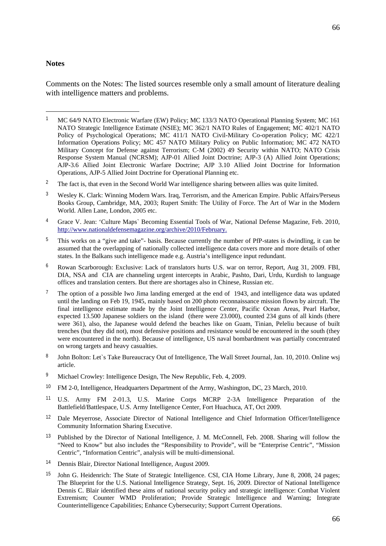#### **Notes**

-

Comments on the Notes: The listed sources resemble only a small amount of literature dealing with intelligence matters and problems.

- <sup>3</sup> Wesley K. Clark: Winning Modern Wars. Iraq, Terrorism, and the American Empire. Public Affairs/Perseus Books Group, Cambridge, MA, 2003; Rupert Smith: The Utility of Force. The Art of War in the Modern World. Allen Lane, London, 2005 etc.
- <sup>4</sup> Grace V. Jean: 'Culture Maps` Becoming Essential Tools of War, National Defense Magazine, Feb. 2010, [http://www.nationaldefensem](http://www.nationaldefense/)agazine.org/archive/2010/February.
- <sup>5</sup> This works on a "give and take"- basis. Because currently the number of PfP-states is dwindling, it can be assumed that the overlapping of nationally collected intelligence data covers more and more details of other states. In the Balkans such intelligence made e.g. Austria's intelligence input redundant.
- <sup>6</sup> Rowan Scarborough: Exclusive: Lack of translators hurts U.S. war on terror, Report, Aug 31, 2009. FBI, DIA, NSA and CIA are channeling urgent intercepts in Arabic, Pashto, Dari, Urdu, Kurdish to language offices and translation centers. But there are shortages also in Chinese, Russian etc.
- <sup>7</sup> The option of a possible Iwo Jima landing emerged at the end of 1943, and intelligence data was updated until the landing on Feb 19, 1945, mainly based on 200 photo reconnaissance mission flown by aircraft. The final intelligence estimate made by the Joint Intelligence Center, Pacific Ocean Areas, Pearl Harbor, expected 13.500 Japanese soldiers on the island (there were 23.000), counted 234 guns of all kinds (there were 361), also, the Japanese would defend the beaches like on Guam, Tinian, Peleliu because of built trenches (but they did not), most defensive positions and resistance would be encountered in the south (they were encountered in the north). Because of intelligence, US naval bombardment was partially concentrated on wrong targets and heavy casualties.
- 8 John Bolton: Let`s Take Bureaucracy Out of Intelligence, The Wall Street Journal, Jan. 10, 2010. Online wsj article.
- <sup>9</sup> Michael Crowley: Intelligence Design, The New Republic, Feb. 4, 2009.
- <sup>10</sup> FM 2-0, Intelligence, Headquarters Department of the Army, Washington, DC, 23 March, 2010.
- <sup>11</sup> U.S. Army FM 2-01.3, U.S. Marine Corps MCRP 2-3A Intelligence Preparation of the Battlefield/Battlespace, U.S. Army Intelligence Center, Fort Huachuca, AT, Oct 2009.
- <sup>12</sup> Dale Meyerrose, Associate Director of National Intelligence and Chief Information Officer/Intelligence Community Information Sharing Executive.
- <sup>13</sup> Published by the Director of National Intelligence, J. M. McConnell, Feb. 2008. Sharing will follow the "Need to Know" but also includes the "Responsibility to Provide", will be "Enterprise Centric", "Mission Centric", "Information Centric", analysis will be multi-dimensional.
- <sup>14</sup> Dennis Blair, Director National Intelligence, August 2009.
- <sup>15</sup> John G. Heidenrich: The State of Strategic Intelligence. CSI, CIA Home Library, June 8, 2008, 24 pages; The Blueprint for the U.S. National Intelligence Strategy, Sept. 16, 2009. Director of National Intelligence Dennis C. Blair identified these aims of national security policy and strategic intelligence: Combat Violent Extremism; Counter WMD Proliferation; Provide Strategic Intelligence and Warning; Integrate Counterintelligence Capabilities; Enhance Cybersecurity; Support Current Operations.

<sup>&</sup>lt;sup>1</sup> MC 64/9 NATO Electronic Warfare (EW) Policy; MC 133/3 NATO Operational Planning System; MC 161 NATO Strategic Intelligence Estimate (NSIE); MC 362/1 NATO Rules of Engagement; MC 402/1 NATO Policy of Psychological Operations; MC 411/1 NATO Civil-Military Co-operation Policy; MC 422/1 Information Operations Policy; MC 457 NATO Military Policy on Public Information; MC 472 NATO Military Concept for Defense against Terrorism; C-M (2002) 49 Security within NATO; NATO Crisis Response System Manual (NCRSM); AJP-01 Allied Joint Doctrine; AJP-3 (A) Allied Joint Operations; AJP-3.6 Allied Joint Electronic Warfare Doctrine; AJP 3.10 Allied Joint Doctrine for Information Operations, AJP-5 Allied Joint Doctrine for Operational Planning etc.

<sup>&</sup>lt;sup>2</sup> The fact is, that even in the Second World War intelligence sharing between allies was quite limited.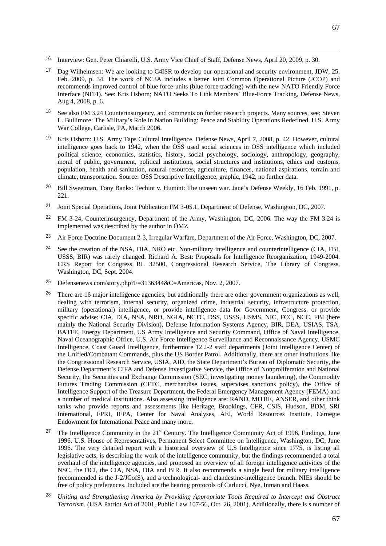<sup>16</sup> Interview: Gen. Peter Chiarelli, U.S. Army Vice Chief of Staff, Defense News, April 20, 2009, p. 30.

- <sup>17</sup> Dag Wilhelmsen: We are looking to C4ISR to develop our operational and security environment, JDW, 25. Feb. 2009, p. 34. The work of NC3A includes a better Joint Common Operational Picture (JCOP) and recommends improved control of blue force-units (blue force tracking) with the new NATO Friendly Force Interface (NFFI). See: Kris Osborn; NATO Seeks To Link Members` Blue-Force Tracking, Defense News, Aug 4, 2008, p. 6.
- <sup>18</sup> See also FM 3.24 Counterinsurgency, and comments on further research projects. Many sources, see: Steven L. Bullimore: The Military's Role in Nation Building: Peace and Stability Operations Redefined. U.S. Army War College, Carlisle, PA, March 2006.
- <sup>19</sup> Kris Osborn: U.S. Army Taps Cultural Intelligence, Defense News, April 7, 2008, p. 42. However, cultural intelligence goes back to 1942, when the OSS used social sciences in OSS intelligence which included political science, economics, statistics, history, social psychology, sociology, anthropology, geography, moral of public, government, political institutions, social structures and institutions, ethics and customs, population, health and sanitation, natural resources, agriculture, finances, national aspirations, terrain and climate, transportation. Source: OSS Descriptive Intelligence, graphic, 1942, no further data.
- <sup>20</sup> Bill Sweetman, Tony Banks: Techint v. Humint: The unseen war. Jane's Defense Weekly, 16 Feb. 1991, p. 221.
- <sup>21</sup> Joint Special Operations, Joint Publication FM 3-05.1, Department of Defense, Washington, DC, 2007.
- <sup>22</sup> FM 3-24, Counterinsurgency, Department of the Army, Washington, DC, 2006. The way the FM 3.24 is implemented was described by the author in ÖMZ
- <sup>23</sup> Air Force Doctrine Document 2-3, Irregular Warfare, Department of the Air Force, Washington, DC, 2007.
- <sup>24</sup> See the creation of the NSA, DIA, NRO etc. Non-military intelligence and counterintelligence (CIA, FBI, USSS, BIR) was rarely changed. Richard A. Best: Proposals for Intelligence Reorganization, 1949-2004. CRS Report for Congress RL 32500, Congressional Research Service, The Library of Congress, Washington, DC, Sept. 2004.
- <sup>25</sup> Defensenews.com/story.php?F=3136344&C=Americas, Nov. 2, 2007.
- <sup>26</sup> There are 16 major intelligence agencies, but additionally there are other government organizations as well, dealing with terrorism, internal security, organized crime, industrial security, infrastructure protection, military (operational) intelligence, or provide intelligence data for Government, Congress, or provide specific advise: CIA, DIA, NSA, NRO, NGIA, NCTC, DSS, USSS, USMS, NIC, FCC, NCC, FBI (here mainly the National Security Division), Defense Information Systems Agency, BIR, DEA, USIAS, TSA, BATFE, Energy Department, US Army Intelligence and Security Command, Office of Naval Intelligence, Naval Oceanographic Office, U.S. Air Force Intelligence Surveillance and Reconnaissance Agency, USMC Intelligence, Coast Guard Intelligence, furthermore 12 J-2 staff departments (Joint Intelligence Center) of the Unified/Combatant Commands, plus the US Border Patrol. Additionally, there are other institutions like the Congressional Research Service, USIA, AID, the State Department's Bureau of Diplomatic Security, the Defense Department's CIFA and Defense Investigative Service, the Office of Nonproliferation and National Security, the Securities and Exchange Commission (SEC, investigating money laundering), the Commodity Futures Trading Commission (CFTC, merchandise issues, supervises sanctions policy), the Office of Intelligence Support of the Treasure Department, the Federal Emergency Management Agency (FEMA) and a number of medical institutions. Also assessing intelligence are: RAND, MITRE, ANSER, and other think tanks who provide reports and assessments like Heritage, Brookings, CFR, CSIS, Hudson, BDM, SRI International, FPRI, IFPA, Center for Naval Analyses, AEI, World Resources Institute, Carnegie Endowment for International Peace and many more.
- The Intelligence Community in the 21<sup>st</sup> Century. The Intelligence Community Act of 1996, Findings, June 1996. U.S. House of Representatives, Permanent Select Committee on Intelligence, Washington, DC, June 1996. The very detailed report with a historical overview of U.S Intelligence since 1775, is listing all legislative acts, is describing the work of the intelligence community, but the findings recommended a total overhaul of the intelligence agencies, and proposed an overview of all foreign intelligence activities of the NSC, the DCI, the CIA, NSA, DIA and BIR. It also recommends a single head for military intelligence (recommended is the J-2/JCofS), and a technological- and clandestine-intelligence branch. NIEs should be free of policy preferences. Included are the hearing protocols of Carlucci, Nye, Inman and Haass.
- <sup>28</sup> *Uniting and Strengthening America by Providing Appropriate Tools Required to Intercept and Obstruct Terrorism*. (USA Patriot Act of 2001, Public Law 107-56, Oct. 26, 2001). Additionally, there is s number of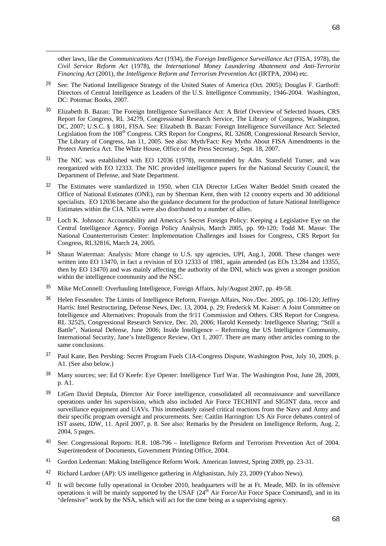other laws, like the *Communications Act* (1934), the *Foreign Intelligence Surveillance Act* (FISA, 1978), the *Civil Service Reform Act* (1978), the *International Money Laundering Abatement and Anti-Terrorist Financing Act* (2001), the *Intelligence Reform and Terrorism Prevention Act* (IRTPA, 2004) etc.

- <sup>29</sup> See: The National Intelligence Strategy of the United States of America (Oct. 2005); Douglas F. Garthoff: Directors of Central Intelligence as Leaders of the U.S. Intelligence Community, 1946-2004. Washington, DC: Potomac Books, 2007.
- <sup>30</sup> Elizabeth B. Bazan: The Foreign Intelligence Surveillance Act: A Brief Overview of Selected Issues, CRS Report for Congress, RL 34279, Congressional Research Service, The Library of Congress, Washington, DC, 2007; U.S.C. § 1801, FISA. See: Elizabeth B. Bazan: Foreign Intelligence Surveillance Act: Selected Legislation from the 108<sup>th</sup> Congress. CRS Report for Congress, RL 32608, Congressional Research Service, The Library of Congress, Jan 11, 2005. See also: Myth/Fact: Key Myths About FISA Amendments in the Protect America Act. The White House, Office of the Press Secretary, Sept. 18, 2007.
- <sup>31</sup> The NIC was established with EO 12036 (1978), recommended by Adm. Stansfield Turner, and was reorganized with EO 12333. The NIC provided intelligence papers for the National Security Council, the Department of Defense, and State Department.
- <sup>32</sup> The Estimates were standardized in 1950, when CIA Director LtGen Walter Beddel Smith created the Office of National Estimates (ONE), run by Sherman Kent, then with 12 country experts and 30 additional specialists. EO 12036 became also the guidance document for the production of future National Intelligence Estimates within the CIA. NIEs were also distributed to a number of allies.
- <sup>33</sup> Loch K. Johnson: Accountability and America's Secret Foreign Policy: Keeping a Legislative Eye on the Central Intelligence Agency. Foreign Policy Analysis, March 2005, pp. 99-120; Todd M. Masse: The National Counterterrorism Center: Implementation Challenges and Issues for Congress, CRS Report for Congress, RL32816, March 24, 2005.
- <sup>34</sup> Shaun Waterman: Analysis: More change to U.S. spy agencies, UPI, Aug.1, 2008. These changes were written into EO 13470, in fact a revision of EO 12333 of 1981, again amended (as EOs 13.284 and 13355, then by EO 13470) and was mainly affecting the authority of the DNI, which was given a stronger position within the intelligence community and the NSC.
- <sup>35</sup> Mike McConnell: Overhauling Intelligence, Foreign Affairs, July/August 2007, pp. 49-58.
- <sup>36</sup> Helen Fessenden: The Limits of Intelligence Reform, Foreign Affairs, Nov./Dec. 2005, pp. 106-120; Jeffrey Harris: Intel Restructuring, Defense News, Dec. 13, 2004, p. 29; Frederick M. Kaiser: A Joint Committee on Intelligence and Alternatives: Proposals from the 9/11 Commission and Others. CRS Report for Congress. RL 32525, Congressional Research Service, Dec. 20, 2006; Harold Kennedy: Intelligence Sharing; "Still a Battle", National Defense, June 2006; Inside Intelligence – Reforming the US Intelligence Community, International Security, Jane's Intelligence Review, Oct 1, 2007. There are many other articles coming to the same conclusions.
- <sup>37</sup> Paul Kane, Ben Pershing: Secret Program Fuels CIA-Congress Dispute, Washington Post, July 10, 2009, p. A1. (See also below.)
- <sup>38</sup> Many sources; see: Ed O`Keefe: Eye Opener: Intelligence Turf War. The Washington Post, June 28, 2009, p. A1.
- <sup>39</sup> LtGen David Deptula, Director Air Force intelligence, consolidated all reconnaissance and surveillance operations under his supervision, which also included Air Force TECHINT and SIGINT data, recce and surveillance equipment and UAVs. This immediately raised critical reactions from the Navy and Army and their specific program oversight and procurements. See: Caitlin Harrington: US Air Force debates control of IST assets, JDW, 11. April 2007, p. 8. See also: Remarks by the President on Intelligence Reform, Aug. 2, 2004, 5 pages.
- <sup>40</sup> See: Congressional Reports: H.R. 108-796 Intelligence Reform and Terrorism Prevention Act of 2004. Superintendent of Documents, Government Printing Office, 2004.
- <sup>41</sup> Gordon Lederman: Making Intelligence Reform Work. American Interest, Spring 2009, pp. 23-31.
- <sup>42</sup> Richard Lardner (AP): US intelligence gathering in Afghanistan, July 23, 2009 (Yahoo News).
- It will become fully operational in October 2010, headquarters will be at Ft. Meade, MD. In its offensive operations it will be mainly supported by the USAF  $(24^{\text{th}}$  Air Force/Air Force Space Command), and in its "defensive" work by the NSA, which will act for the time being as a supervising agency.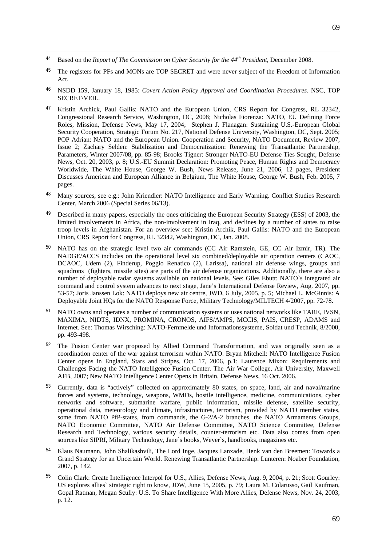<sup>44</sup> Based on the *Report of The Commission on Cyber Security for the 44th President*, December 2008.

- <sup>45</sup> The registers for PFs and MONs are TOP SECRET and were never subject of the Freedom of Information Act.
- <sup>46</sup> NSDD 159, January 18, 1985: *Covert Action Policy Approval and Coordination Procedures*. NSC, TOP SECRET/VEIL.
- <sup>47</sup> Kristin Archick, Paul Gallis: NATO and the European Union, CRS Report for Congress, RL 32342, Congressional Research Service, Washington, DC, 2008; Nicholas Fiorenza: NATO, EU Defining Force Roles, Mission, Defense News, May 17, 2004; Stephen J. Flanagan: Sustaining U.S.-European Global Security Cooperation, Strategic Forum No. 217, National Defense University, Washington, DC, Sept. 2005; POP Adrian: NATO and the European Union. Cooperation and Security, NATO Document, Review 2007, Issue 2; Zachary Selden: Stabilization and Democratization: Renewing the Transatlantic Partnership, Parameters, Winter 2007/08, pp. 85-98; Brooks Tigner: Stronger NATO-EU Defense Ties Sought, Defense News, Oct. 20, 2003, p. 8; U.S.-EU Summit Declaration: Promoting Peace, Human Rights and Democracy Worldwide, The White House, George W. Bush, News Release, June 21, 2006, 12 pages, President Discusses American and European Alliance in Belgium, The White House, George W. Bush, Feb. 2005, 7 pages.
- <sup>48</sup> Many sources, see e.g.: John Kriendler: NATO Intelligence and Early Warning. Conflict Studies Research Center, March 2006 (Special Series 06/13).
- <sup>49</sup> Described in many papers, especially the ones criticizing the European Security Strategy (ESS) of 2003, the limited involvements in Africa, the non-involvement in Iraq, and declines by a number of states to raise troop levels in Afghanistan. For an overview see: Kristin Archik, Paul Gallis: NATO and the European Union, CRS Report for Congress, RL 32342, Washington, DC, Jan. 2008.
- <sup>50</sup> NATO has on the strategic level two air commands (CC Air Ramstein, GE, CC Air Izmir, TR). The NADGE/ACCS includes on the operational level six combined/deployable air operation centers (CAOC, DCAOC, Udem (2), Finderup, Poggio Renatico (2), Larissa), national air defense wings, groups and squadrons (fighters, missile sites) are parts of the air defense organizations. Additionally, there are also a number of deployable radar systems available on national levels. See: Giles Ebutt: NATO`s integrated air command and control system advances to next stage, Jane's International Defense Review, Aug. 2007, pp. 53-57; Joris Janssen Lok: NATO deploys new air centre, JWD, 6 July, 2005, p. 5; Michael L. McGinnis: A Deployable Joint HQs for the NATO Response Force, Military Technology/MILTECH 4/2007, pp. 72-78.
- NATO owns and operates a number of communication systems or uses national networks like TARE, IVSN, MAXIMA, NIDTS, IDNX, PROMINA, CRONOS, AIFS/AMPS, MCCIS, PAIS, CRESP, ADAMS and Internet. See: Thomas Wirsching: NATO-Fernmelde und Informationssysteme, Soldat und Technik, 8/2000, pp. 493-498.
- <sup>52</sup> The Fusion Center war proposed by Allied Command Transformation, and was originally seen as a coordination center of the war against terrorism within NATO. Bryan Mitchell: NATO Intelligence Fusion Center opens in England, Stars and Stripes, Oct. 17, 2006, p.1; Laurence Mixon: Requirements and Challenges Facing the NATO Intelligence Fusion Center. The Air War College, Air University, Maxwell AFB, 2007; New NATO Intelligence Center Opens in Britain, Defense News, 16 Oct. 2006.
- <sup>53</sup> Currently, data is "actively" collected on approximately 80 states, on space, land, air and naval/marine forces and systems, technology, weapons, WMDs, hostile intelligence, medicine, communications, cyber networks and software, submarine warfare, public information, missile defense, satellite security, operational data, meteorology and climate, infrastructures, terrorism, provided by NATO member states, some from NATO PfP-states, from commands, the G-2/A-2 branches, the NATO Armaments Groups, NATO Economic Committee, NATO Air Defense Committee, NATO Science Committee, Defense Research and Technology, various security details, counter-terrorism etc. Data also comes from open sources like SIPRI, Military Technology, Jane`s books, Weyer`s, handbooks, magazines etc.
- <sup>54</sup> Klaus Naumann, John Shalikashvili, The Lord Inge, Jacques Lanxade, Henk van den Breemen: Towards a Grand Strategy for an Uncertain World. Renewing Transatlantic Partnership. Lunteren: Noaber Foundation, 2007, p. 142.
- <sup>55</sup> Colin Clark: Create Intelligence Interpol for U.S., Allies, Defense News, Aug. 9, 2004, p. 21; Scott Gourley: US explores allies` strategic right to know, JDW, June 15, 2005, p. 79; Laura M. Colarusso, Gail Kaufman, Gopal Ratman, Megan Scully: U.S. To Share Intelligence With More Allies, Defense News, Nov. 24, 2003, p. 12.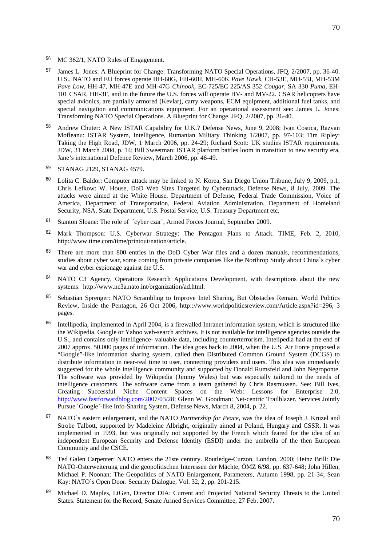<sup>56</sup> MC 362/1, NATO Rules of Engagement.

- <sup>57</sup> James L. Jones: A Blueprint for Change: Transforming NATO Special Operations, JFQ, 2/2007, pp. 36-40. U.S., NATO and EU forces operate HH-60G, HH-60H, MH-60K *Pave Hawk*, CH-53E, MH-53J, MH-53M *Pave Low*, HH-47, MH-47E and MH-47G *Chinook*, EC-725/EC 225/AS 352 *Cougar*, SA 330 *Puma*, EH-101 CSAR, HH-3F, and in the future the U.S. forces will operate HV- and MV-22. CSAR helicopters have special avionics, are partially armored (Kevlar), carry weapons, ECM equipment, additional fuel tanks, and special navigation and communications equipment. For an operational assessment see: James L. Jones: Transforming NATO Special Operations. A Blueprint for Change. JFQ, 2/2007, pp. 36-40.
- <sup>58</sup> Andrew Chuter: A New ISTAR Capability for U.K.? Defense News, June 9, 2008; Ivan Costica, Razvan Mofleanu: ISTAR System, Intelligence, Rumanian Military Thinking 1/2007, pp. 97-103; Tim Ripley: Taking the High Road, JDW, 1 March 2006, pp. 24-29; Richard Scott: UK studies ISTAR requirements, JDW, 31 March 2004, p. 14; Bill Sweetman: ISTAR platform battles loom in transition to new security era, Jane's international Defence Review, March 2006, pp. 46-49.
- <sup>59</sup> STANAG 2129, STANAG 4579.
- <sup>60</sup> Lolita C. Baldor: Computer attack may be linked to N. Korea, San Diego Union Tribune, July 9, 2009, p.1, Chris Lefkow: W. House, DoD Web Sites Targeted by Cyberattack, Defense News, 8 July, 2009. The attacks were aimed at the White House, Department of Defense, Federal Trade Commission, Voice of America, Department of Transportation, Federal Aviation Administration, Department of Homeland Security, NSA, State Department, U.S. Postal Service, U.S. Treasury Department etc.
- <sup>61</sup> Stanton Sloane: The role of ´cyber czar`, Armed Forces Journal, September 2009.
- <sup>62</sup> Mark Thompson: U.S. Cyberwar Strategy: The Pentagon Plans to Attack. TIME, Feb. 2, 2010, http://www.time.com/time/printout/nation/article.
- $63$  There are more than 800 entries in the DoD Cyber War files and a dozen manuals, recommendations, studies about cyber war, some coming from private companies like the Northrop Study about China`s cyber war and cyber espionage against the U.S.
- <sup>64</sup> NATO C3 Agency, Operations Research Applications Development, with descriptions about the new systems: http://www.nc3a.nato.int/organization/ad.html.
- <sup>65</sup> Sebastian Sprenger: NATO Scrambling to Improve Intel Sharing, But Obstacles Remain. World Politics Review, Inside the Pentagon, 26 Oct 2006, http:://www.worldpoliticsreview.com/Article.aspx?id=296, 3 pages.
- <sup>66</sup> Intellipedia, implemented in April 2004, is a firewalled Intranet information system, which is structured like the Wikipedia, Google or Yahoo web-search archives. It is not available for intelligence agencies outside the U.S., and contains only intelligence- valuable data, including counterterrorism. Intelipedia had at the end of 2007 approx. 50.000 pages of information. The idea goes back to 2004, when the U.S. Air Force proposed a "Google"-like information sharing system, called then Distributed Common Ground System (DCGS) to distribute information in near-real time to user, connecting providers and users. This idea was immediately suggested for the whole intelligence community and supported by Donald Rumsfeld and John Negroponte. The software was provided by Wikipedia (Jimmy Wales) but was especially tailored to the needs of intelligence customers. The software came from a team gathered by Chris Rasmussen. See: Bill Ives, Creating Successful Niche Content Spaces on the Web: Lessons for Enterprise 2.0, [http://www.fastforwardblog.com/2007/03/28; G](http://www.fastforwardblog.com/2007/03/28;)lenn W. Goodman: Net-centric Trailblazer. Services Jointly Pursue ´Google`-like Info-Sharing System, Defense News, March 8, 2004, p. 22.
- <sup>67</sup> NATO`s eastern enlargement, and the NATO *Partnership for Peace*, was the idea of Joseph J. Kruzel and Strobe Talbott, supported by Madeleine Albright, originally aimed at Poland, Hungary and CSSR. It was implemented in 1993, but was originally not supported by the French which feared for the idea of an independent European Security and Defense Identity (ESDI) under the umbrella of the then European Community and the CSCE.
- <sup>68</sup> Ted Galen Carpenter: NATO enters the 21ste century. Routledge-Curzon, London, 2000; Heinz Brill: Die NATO-Osterweiterung und die geopolitischen Interessen der Mächte, ÖMZ 6/98, pp. 637-648; John Hillen, Michael P. Noonan: The Geopolitics of NATO Enlargement, Parameters, Autumn 1998, pp. 21-34; Sean Kay: NATO`s Open Door. Security Dialogue, Vol. 32, 2, pp. 201-215.
- <sup>69</sup> Michael D. Maples, LtGen, Director DIA: Current and Projected National Security Threats to the United States. Statement for the Record, Senate Armed Services Committee, 27 Feb. 2007.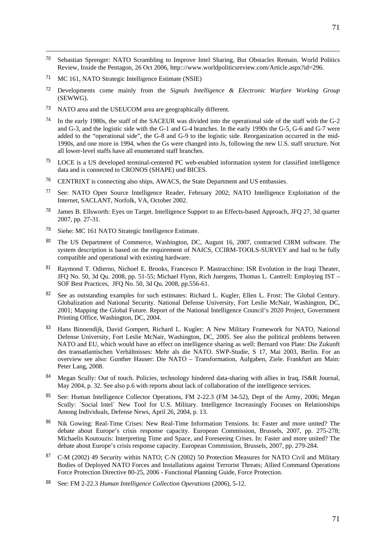- <sup>70</sup> Sebastian Sprenger: NATO Scrambling to Improve Intel Sharing, But Obstacles Remain. World Politics Review, Inside the Pentagon, 26 Oct 2006, http:://www.worldpoliticsreview.com/Article.aspx?id=296.
- <sup>71</sup> MC 161, NATO Strategic Intelligence Estimate (NSIE)

- <sup>72</sup> Developments come mainly from the *Signals Intelligence & Electronic Warfare Working Group* (SEWWG).
- <sup>73</sup> NATO area and the USEUCOM area are geographically different.
- <sup>74</sup> In the early 1980s, the staff of the SACEUR was divided into the operational side of the staff with the G-2 and G-3, and the logistic side with the G-1 and G-4 branches. In the early 1990s the G-5, G-6 and G-7 were added to the "operational side", the G-8 and G-9 to the logistic side. Reorganization occurred in the mid-1990s, and one more in 1994, when the Gs were changed into Js, following the new U.S. staff structure. Not all lower-level staffs have all enumerated staff branches.
- <sup>75</sup> LOCE is a US developed terminal-centered PC web-enabled information system for classified intelligence data and is connected to CRONOS (SHAPE) und BICES.
- <sup>76</sup> CENTRIXT is connecting also ships, AWACS, the State Department and US embassies.
- <sup>77</sup> See: NATO Open Source Intelligence Reader, February 2002; NATO Intelligence Exploitation of the Internet, SACLANT, Norfolk, VA, October 2002.
- <sup>78</sup> James B. Ellsworth: Eyes on Target. Intelligence Support to an Effects-based Approach, JFQ 27, 3d quarter 2007, pp. 27-31.
- <sup>79</sup> Siehe: MC 161 NATO Strategic Intelligence Estimate.
- 80 The US Department of Commerce, Washington, DC, August 16, 2007, contracted CIRM software. The system description is based on the requirement of NAICS, CCIRM-TOOLS-SURVEY and had to be fully compatible and operational with existing hardware.
- <sup>81</sup> Raymond T. Odierno, Nichoel E. Brooks, Francesco P. Mastracchino: ISR Evolution in the Iraqi Theater, JFQ No. 50, 3d Qu. 2008, pp. 51-55; Michael Flynn, Rich Juergens, Thomas L. Cantrell: Employing IST – SOF Best Practices, JFQ No. 50, 3d Qu. 2008, pp.556-61.
- 82 See as outstanding examples for such estimates: Richard L. Kugler, Ellen L. Frost: The Global Century. Globalization and National Security. National Defense University, Fort Leslie McNair, Washington, DC, 2001; Mapping the Global Future. Report of the National Intelligence Council's 2020 Project, Government Printing Office, Washington, DC, 2004.
- <sup>83</sup> Hans Binnendijk, David Gompert, Richard L. Kugler: A New Military Framework for NATO, National Defense University, Fort Leslie McNair, Washington, DC, 2005. See also the political problems between NATO and EU, which would have an effect on intelligence sharing as well: Bernard von Plate: Die Zukunft des transatlantischen Verhältnisses: Mehr als die NATO. SWP-Studie, S 17, Mai 2003, Berlin. For an overview see also: Gunther Hauser: Die NATO – Transformation, Aufgaben, Ziele. Frankfurt am Main: Peter Lang, 2008.
- Megan Scully: Out of touch. Policies, technology hindered data-sharing with allies in Iraq, IS&R Journal, May 2004, p. 32. See also p.6 with reports about lack of collaboration of the intelligence services.
- <sup>85</sup> See: Human Intelligence Collector Operations, FM 2-22.3 (FM 34-52), Dept of the Army, 2006; Megan Scully: ´Social Intel` New Tool for U.S. Military. Intelligence Increasingly Focuses on Relationships Among Individuals, Defense News, April 26, 2004, p. 13.
- 86 Nik Gowing: Real-Time Crises: New Real-Time Information Tensions. In: Faster and more united? The debate about Europe's crisis response capacity. European Commission, Brussels, 2007, pp. 275-278; Michaelis Koutouzis: Interpreting Time and Space, and Foreseeing Crises. In: Faster and more united? The debate about Europe's crisis response capacity. European Commission, Brussels, 2007, pp. 279-284.
- 87 C-M (2002) 49 Security within NATO; C-N (2002) 50 Protection Measures for NATO Civil and Military Bodies of Deployed NATO Forces and Installations against Terrorist Threats; Allied Command Operations Force Protection Directive 80-25, 2006 - Functional Planning Guide, Force Protection.
- <sup>88</sup> See: FM 2-22.3 *Human Intelligence Collection Operations* (2006), 5-12.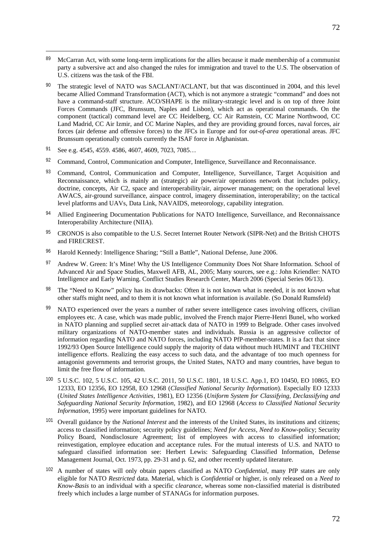- <sup>89</sup> McCarran Act, with some long-term implications for the allies because it made membership of a communist party a subversive act and also changed the rules for immigration and travel to the U.S. The observation of U.S. citizens was the task of the FBI.
- <sup>90</sup> The strategic level of NATO was SACLANT/ACLANT, but that was discontinued in 2004, and this level became Allied Command Transformation (ACT), which is not anymore a strategic "command" and does not have a command-staff structure. ACO/SHAPE is the military-strategic level and is on top of three Joint Forces Commands (JFC, Brunssum, Naples and Lisbon), which act as operational commands. On the component (tactical) command level are CC Heidelberg, CC Air Ramstein, CC Marine Northwood, CC Land Madrid, CC Air Izmir, and CC Marine Naples, and they are providing ground forces, naval forces, air forces (air defense and offensive forces) to the JFCs in Europe and for *out-of-area* operational areas. JFC Brunssum operationally controls currently the ISAF force in Afghanistan.
- <sup>91</sup> See e.g. 4545, 4559. 4586, 4607, 4609, 7023, 7085…

- <sup>92</sup> Command, Control, Communication and Computer, Intelligence, Surveillance and Reconnaissance.
- 93 Command, Control, Communication and Computer, Intelligence, Surveillance, Target Acquisition and Reconnaissance, which is mainly an (strategic) air power/air operations network that includes policy, doctrine, concepts, Air C2, space and interoperability/air, airpower management; on the operational level AWACS, air-ground surveillance, airspace control, imagery dissemination, interoperability; on the tactical level platforms and UAVs, Data Link, NAVAIDS, meteorology, capability integration.
- 94 Allied Engineering Documentation Publications for NATO Intelligence, Surveillance, and Reconnaissance Interoperability Architecture (NIIA).
- <sup>95</sup> CRONOS is also compatible to the U.S. Secret Internet Router Network (SIPR-Net) and the British CHOTS and FIRECREST.
- <sup>96</sup> Harold Kennedy: Intelligence Sharing; "Still a Battle", National Defense, June 2006.
- 97 Andrew W. Green: It's Mine! Why the US Intelligence Community Does Not Share Information. School of Advanced Air and Space Studies, Maxwell AFB, AL, 2005; Many sources, see e.g.: John Kriendler: NATO Intelligence and Early Warning. Conflict Studies Research Center, March 2006 (Special Series 06/13).
- <sup>98</sup> The "Need to Know" policy has its drawbacks: Often it is not known what is needed, it is not known what other staffs might need, and to them it is not known what information is available. (So Donald Rumsfeld)
- <sup>99</sup> NATO experienced over the years a number of rather severe intelligence cases involving officers, civilian employees etc. A case, which was made public, involved the French major Pierre-Henri Bunel, who worked in NATO planning and supplied secret air-attack data of NATO in 1999 to Belgrade. Other cases involved military organizations of NATO-member states and individuals. Russia is an aggressive collector of information regarding NATO and NATO forces, including NATO PfP-member-states. It is a fact that since 1992/93 Open Source Intelligence could supply the majority of data without much HUMINT and TECHINT intelligence efforts. Realizing the easy access to such data, and the advantage of too much openness for antagonist governments and terrorist groups, the United States, NATO and many countries, have begun to limit the free flow of information.
- <sup>100</sup> 5 U.S.C. 102, 5 U.S.C. 105, 42 U.S.C. 2011, 50 U.S.C. 1801, 18 U.S.C. App.1, EO 10450, EO 10865, EO 12333, EO 12356, EO 12958, EO 12968 (*Classified National Security Information*). Especially EO 12333 (*United States Intelligence Activities*, 1981), EO 12356 (*Uniform System for Classifying, Declassifying and Safeguarding National Security Information*, 1982), and EO 12968 (*Access to Classified National Security Information*, 1995) were important guidelines for NATO.
- <sup>101</sup> Overall guidance by the *National Interest* and the interests of the United States, its institutions and citizens; access to classified information; security policy guidelines; *Need for Access*, *Need to Know*-policy; Security Policy Board, Nondisclosure Agreement; list of employees with access to classified information; reinvestigation, employee education and acceptance rules. For the mutual interests of U.S. and NATO to safeguard classified information see: Herbert Lewis: Safeguarding Classified Information, Defense Management Journal, Oct. 1973, pp. 29-31 and p. 62, and other recently updated literature.
- <sup>102</sup> A number of states will only obtain papers classified as NATO *Confidential*, many PfP states are only eligible for NATO *Restricted* data. Material, which is *Confidential* or higher, is only released on a *Need to Know-Basis* to an individual with a specific c*learance,* whereas some non-classified material is distributed freely which includes a large number of STANAGs for information purposes.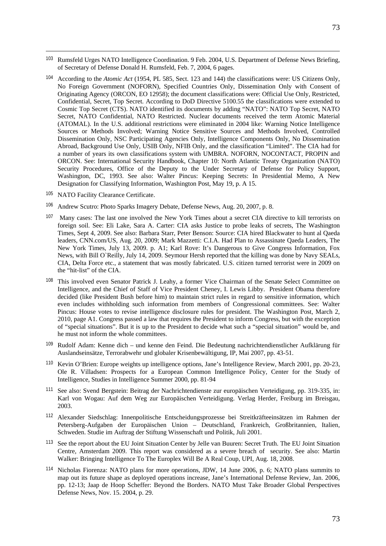- <sup>103</sup> Rumsfeld Urges NATO Intelligence Coordination. 9 Feb. 2004, U.S. Department of Defense News Briefing, of Secretary of Defense Donald H. Rumsfeld, Feb. 7, 2004, 6 pages.
- <sup>104</sup> According to the *Atomic Act* (1954, PL 585, Sect. 123 and 144) the classifications were: US Citizens Only, No Foreign Government (NOFORN), Specified Countries Only, Dissemination Only with Consent of Originating Agency (ORCON, EO 12958); the document classifications were: Official Use Only, Restricted, Confidential, Secret, Top Secret. According to DoD Directive 5100.55 the classifications were extended to Cosmic Top Secret (CTS). NATO identified its documents by adding "NATO": NATO Top Secret, NATO Secret, NATO Confidential, NATO Restricted. Nuclear documents received the term Atomic Material (ATOMAL). In the U.S. additional restrictions were eliminated in 2004 like: Warning Notice Intelligence Sources or Methods Involved; Warning Notice Sensitive Sources and Methods Involved, Controlled Dissemination Only, NSC Participating Agencies Only, Intelligence Components Only, No Dissemination Abroad, Background Use Only, USIB Only, NFIB Only, and the classification "Limited". The CIA had for a number of years its own classifications system with UMBRA. NOFORN, NOCONTACT, PROPIN and ORCON. See: International Security Handbook, Chapter 10: North Atlantic Treaty Organization (NATO) Security Procedures, Office of the Deputy to the Under Secretary of Defense for Policy Support, Washington, DC, 1993. See also: Walter Pincus: Keeping Secrets: In Presidential Memo, A New Designation for Classifying Information, Washington Post, May 19, p. A 15.
- <sup>105</sup> NATO Facility Clearance Certificate.

-

- <sup>106</sup> Andrew Scutro: Photo Sparks Imagery Debate, Defense News, Aug. 20, 2007, p. 8.
- 107 Many cases: The last one involved the New York Times about a secret CIA directive to kill terrorists on foreign soil. See: Eli Lake, Sara A. Carter: CIA asks Justice to probe leaks of secrets, The Washington Times, Sept 4, 2009. See also: Barbara Starr, Peter Benson: Source: CIA hired Blackwater to hunt al Qaeda leaders, CNN.com/US, Aug. 20, 2009; Mark Mazzetti: C.I.A. Had Plan to Assassinate Qaeda Leaders, The New York Times, July 13, 2009. p. A1; Karl Rove: It's Dangerous to Give Congress Information, Fox News, with Bill O`Reilly, July 14, 2009. Seymour Hersh reported that the killing was done by Navy SEALs, CIA, Delta Force etc., a statement that was mostly fabricated. U.S. citizen turned terrorist were in 2009 on the "hit-list" of the CIA.
- <sup>108</sup> This involved even Senator Patrick J. Leahy, a former Vice Chairman of the Senate Select Committee on Intelligence, and the Chief of Staff of Vice President Cheney, I. Lewis Libby. President Obama therefore decided (like President Bush before him) to maintain strict rules in regard to sensitive information, which even includes withholding such information from members of Congressional committees. See: Walter Pincus: House votes to revise intelligence disclosure rules for president. The Washington Post, March 2, 2010, page A1. Congress passed a law that requires the President to inform Congress, but with the exception of "special situations". But it is up to the President to decide what such a "special situation" would be, and he must not inform the whole committees.
- <sup>109</sup> Rudolf Adam: Kenne dich und kenne den Feind. Die Bedeutung nachrichtendienstlicher Aufklärung für Auslandseinsätze, Terrorabwehr und globaler Krisenbewältigung, IP, Mai 2007, pp. 43-51.
- <sup>110</sup> Kevin O'Brien: Europe weights up intelligence options, Jane's Intelligence Review, March 2001, pp. 20-23, Ole R. Villadsen: Prospects for a European Common Intelligence Policy, Center for the Study of Intelligence, Studies in Intelligence Summer 2000, pp. 81-94
- <sup>111</sup> See also: Svend Bergstein: Beitrag der Nachrichtendienste zur europäischen Verteidigung, pp. 319-335, in: Karl von Wogau: Auf dem Weg zur Europäischen Verteidigung. Verlag Herder, Freiburg im Breisgau, 2003.
- <sup>112</sup> Alexander Siedschlag: Innenpolitische Entscheidungsprozesse bei Streitkräfteeinsätzen im Rahmen der Petersberg-Aufgaben der Europäischen Union – Deutschland, Frankreich, Großbritannien, Italien, Schweden. Studie im Auftrag der Stiftung Wissenschaft und Politik, Juli 2001.
- <sup>113</sup> See the report about the EU Joint Situation Center by Jelle van Buuren: Secret Truth. The EU Joint Situation Centre, Amsterdam 2009. This report was considered as a severe breach of security. See also: Martin Walker: Bringing Intelligence To The Europlex Will Be A Real Coup, UPI, Aug. 18, 2008.
- <sup>114</sup> Nicholas Fiorenza: NATO plans for more operations, JDW, 14 June 2006, p. 6; NATO plans summits to map out its future shape as deployed operations increase, Jane's International Defense Review, Jan. 2006, pp. 12-13; Jaap de Hoop Scheffer: Beyond the Borders. NATO Must Take Broader Global Perspectives Defense News, Nov. 15. 2004, p. 29.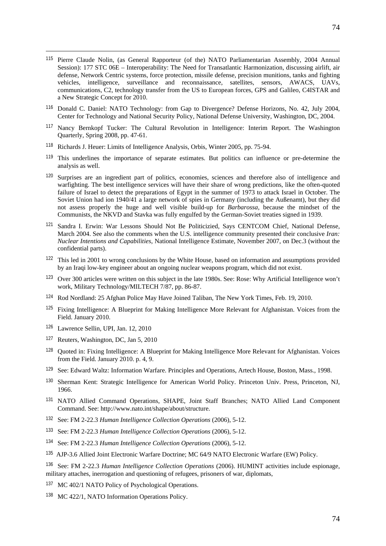- <sup>115</sup> Pierre Claude Nolin, (as General Rapporteur (of the) NATO Parliamentarian Assembly, 2004 Annual Session): 177 STC 06E – Interoperability: The Need for Transatlantic Harmonization, discussing airlift, air defense, Network Centric systems, force protection, missile defense, precision munitions, tanks and fighting vehicles, intelligence, surveillance and reconnaissance, satellites, sensors, AWACS, UAVs, communications, C2, technology transfer from the US to European forces, GPS and Galileo, C4ISTAR and a New Strategic Concept for 2010.
- <sup>116</sup> Donald C. Daniel: NATO Technology: from Gap to Divergence? Defense Horizons, No. 42, July 2004, Center for Technology and National Security Policy, National Defense University, Washington, DC, 2004.
- <sup>117</sup> Nancy Bernkopf Tucker: The Cultural Revolution in Intelligence: Interim Report. The Washington Quarterly, Spring 2008, pp. 47-61.
- <sup>118</sup> Richards J. Heuer: Limits of Intelligence Analysis, Orbis, Winter 2005, pp. 75-94.
- <sup>119</sup> This underlines the importance of separate estimates. But politics can influence or pre-determine the analysis as well.
- <sup>120</sup> Surprises are an ingredient part of politics, economies, sciences and therefore also of intelligence and warfighting. The best intelligence services will have their share of wrong predictions, like the often-quoted failure of Israel to detect the preparations of Egypt in the summer of 1973 to attack Israel in October. The Soviet Union had ion 1940/41 a large network of spies in Germany (including the Außenamt), but they did not assess properly the huge and well visible build-up for *Barbarossa,* because the mindset of the Communists, the NKVD and Stavka was fully engulfed by the German-Soviet treaties signed in 1939.
- <sup>121</sup> Sandra I. Erwin: War Lessons Should Not Be Politicizied, Says CENTCOM Chief, National Defense, March 2004. See also the comments when the U.S. intelligence community presented their conclusive *Iran: Nuclear Intentions and Capabilities*, National Intelligence Estimate, November 2007, on Dec.3 (without the confidential parts).
- <sup>122</sup> This led in 2001 to wrong conclusions by the White House, based on information and assumptions provided by an Iraqi low-key engineer about an ongoing nuclear weapons program, which did not exist.
- <sup>123</sup> Over 300 articles were written on this subject in the late 1980s. See: Rose: Why Artificial Intelligence won't work, Military Technology/MILTECH 7/87, pp. 86-87.
- <sup>124</sup> Rod Nordland: 25 Afghan Police May Have Joined Taliban, The New York Times, Feb. 19, 2010.
- <sup>125</sup> Fixing Intelligence: A Blueprint for Making Intelligence More Relevant for Afghanistan. Voices from the Field. January 2010.
- <sup>126</sup> Lawrence Sellin, UPI, Jan. 12, 2010

-

- <sup>127</sup> Reuters, Washington, DC, Jan 5, 2010
- <sup>128</sup> Quoted in: Fixing Intelligence: A Blueprint for Making Intelligence More Relevant for Afghanistan. Voices from the Field. January 2010. p. 4, 9.
- <sup>129</sup> See: Edward Waltz: Information Warfare. Principles and Operations, Artech House, Boston, Mass., 1998.
- <sup>130</sup> Sherman Kent: Strategic Intelligence for American World Policy. Princeton Univ. Press, Princeton, NJ, 1966.
- <sup>131</sup> NATO Allied Command Operations, SHAPE, Joint Staff Branches; NATO Allied Land Component Command. See: http://www.nato.int/shape/about/structure.
- <sup>132</sup> See: FM 2-22.3 *Human Intelligence Collection Operations* (2006), 5-12.
- <sup>133</sup> See: FM 2-22.3 *Human Intelligence Collection Operations* (2006), 5-12.
- <sup>134</sup> See: FM 2-22.3 *Human Intelligence Collection Operations* (2006), 5-12.
- <sup>135</sup> AJP-3.6 Allied Joint Electronic Warfare Doctrine; MC 64/9 NATO Electronic Warfare (EW) Policy.

<sup>136</sup> See: FM 2-22.3 *Human Intelligence Collection Operations* (2006). HUMINT activities include espionage, military attaches, inerrogation and questioning of refugees, prisoners of war, diplomats,

- <sup>137</sup> MC 402/1 NATO Policy of Psychological Operations.
- <sup>138</sup> MC 422/1, NATO Information Operations Policy.